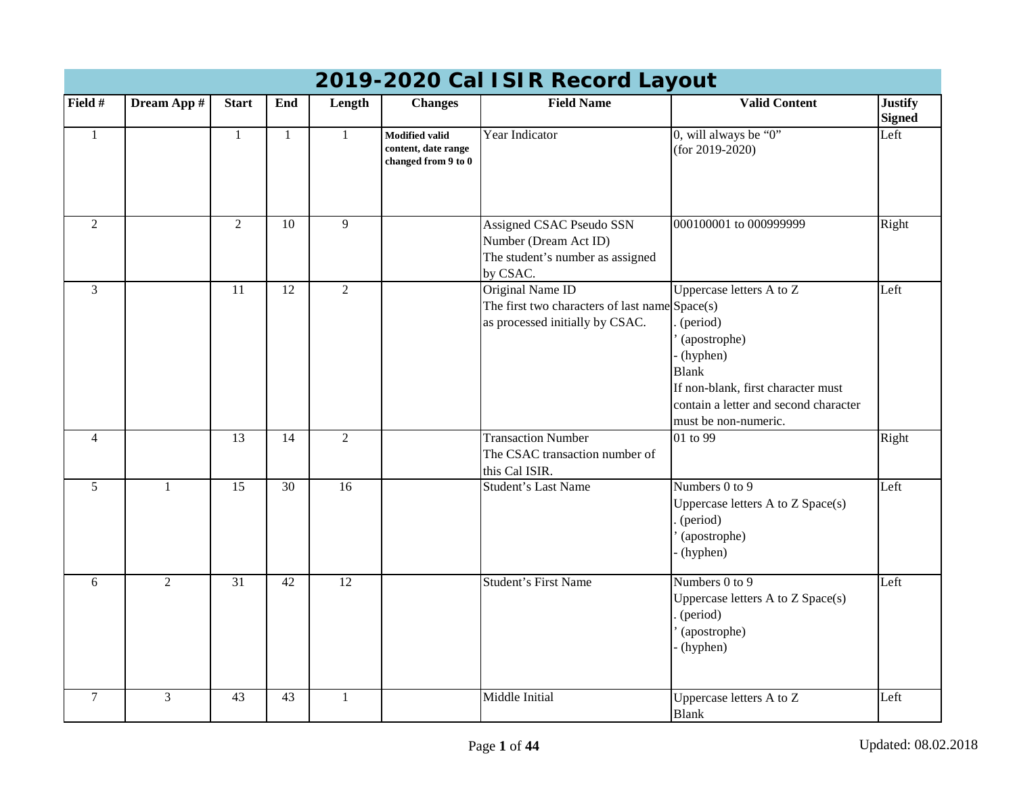|                | 2019-2020 Cal ISIR Record Layout |                 |              |                 |                                                                     |                                                                                                       |                                                                                                                                                                                           |                                 |  |  |  |  |
|----------------|----------------------------------|-----------------|--------------|-----------------|---------------------------------------------------------------------|-------------------------------------------------------------------------------------------------------|-------------------------------------------------------------------------------------------------------------------------------------------------------------------------------------------|---------------------------------|--|--|--|--|
| Field #        | Dream App #                      | <b>Start</b>    | End          | Length          | <b>Changes</b>                                                      | <b>Field Name</b>                                                                                     | <b>Valid Content</b>                                                                                                                                                                      | <b>Justify</b><br><b>Signed</b> |  |  |  |  |
| $\mathbf{1}$   |                                  | $\mathbf{1}$    | $\mathbf{1}$ | $\mathbf{1}$    | <b>Modified valid</b><br>content, date range<br>changed from 9 to 0 | Year Indicator                                                                                        | 0, will always be "0"<br>(for $2019 - 2020$ )                                                                                                                                             | Left                            |  |  |  |  |
| $\overline{2}$ |                                  | $\overline{2}$  | 10           | 9               |                                                                     | Assigned CSAC Pseudo SSN<br>Number (Dream Act ID)<br>The student's number as assigned<br>by CSAC.     | 000100001 to 000999999                                                                                                                                                                    | Right                           |  |  |  |  |
| $\mathfrak{Z}$ |                                  | 11              | 12           | $\overline{2}$  |                                                                     | Original Name ID<br>The first two characters of last name Space(s)<br>as processed initially by CSAC. | Uppercase letters A to Z<br>(period)<br>(apostrophe)<br>- (hyphen)<br><b>Blank</b><br>If non-blank, first character must<br>contain a letter and second character<br>must be non-numeric. | Left                            |  |  |  |  |
| $\overline{4}$ |                                  | 13              | 14           | $\overline{2}$  |                                                                     | <b>Transaction Number</b><br>The CSAC transaction number of<br>this Cal ISIR.                         | 01 to 99                                                                                                                                                                                  | Right                           |  |  |  |  |
| 5              | 1                                | 15              | 30           | 16              |                                                                     | Student's Last Name                                                                                   | Numbers 0 to 9<br>Uppercase letters A to Z Space(s)<br>(period)<br>(apostrophe)<br>(hyphen)                                                                                               | Left                            |  |  |  |  |
| 6              | $\overline{2}$                   | $\overline{31}$ | 42           | $\overline{12}$ |                                                                     | <b>Student's First Name</b>                                                                           | Numbers $0$ to $9$<br>Uppercase letters A to Z Space(s)<br>(period)<br>(apostrophe)<br>(hyphen)                                                                                           | Left                            |  |  |  |  |
| $\overline{7}$ | 3                                | 43              | 43           | 1               |                                                                     | Middle Initial                                                                                        | Uppercase letters A to Z<br><b>Blank</b>                                                                                                                                                  | Left                            |  |  |  |  |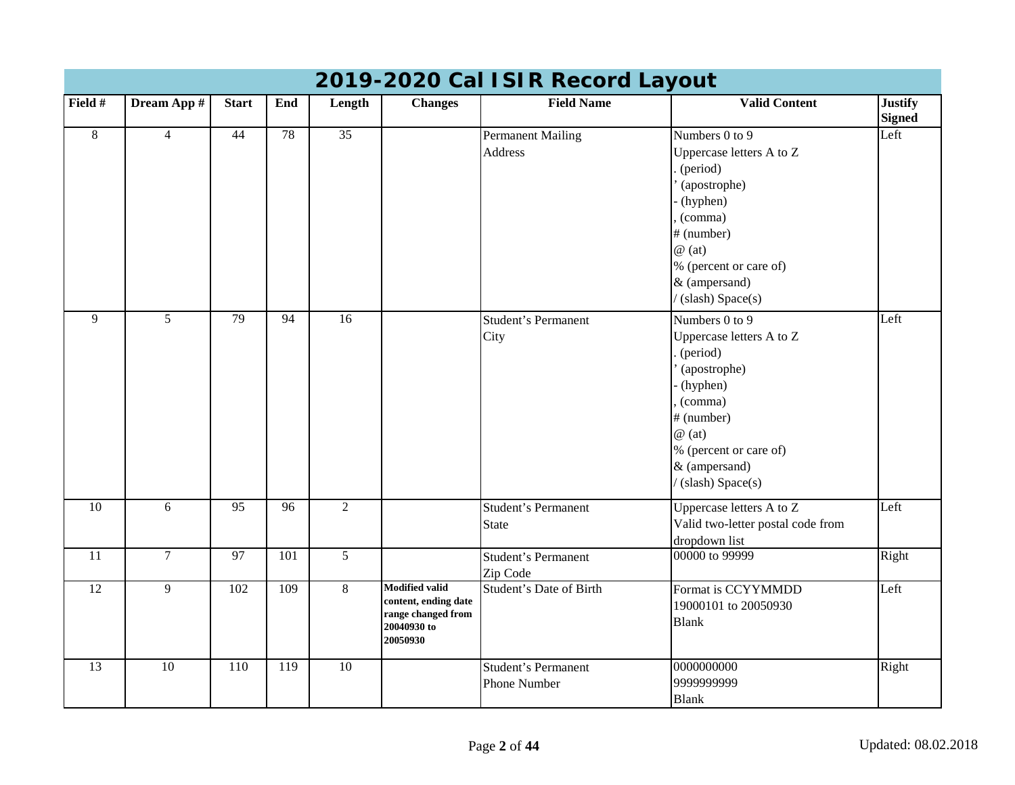|                 | 2019-2020 Cal ISIR Record Layout |                 |                 |                 |                                                                                                |                                            |                                                                                                                                                                                             |                                 |  |  |  |  |
|-----------------|----------------------------------|-----------------|-----------------|-----------------|------------------------------------------------------------------------------------------------|--------------------------------------------|---------------------------------------------------------------------------------------------------------------------------------------------------------------------------------------------|---------------------------------|--|--|--|--|
| Field #         | Dream App #                      | <b>Start</b>    | End             | Length          | <b>Changes</b>                                                                                 | <b>Field Name</b>                          | <b>Valid Content</b>                                                                                                                                                                        | <b>Justify</b><br><b>Signed</b> |  |  |  |  |
| $8\,$           | $\overline{4}$                   | 44              | 78              | 35              |                                                                                                | <b>Permanent Mailing</b><br>Address        | Numbers 0 to 9<br>Uppercase letters A to Z<br>(period)<br>(apostrophe)<br>(hyphen)<br>(comma)<br># (number)<br>$@$ (at)<br>% (percent or care of)<br>& (ampersand)<br>(slash) Space(s)      | Left                            |  |  |  |  |
| $\overline{9}$  | $\overline{5}$                   | 79              | $\overline{94}$ | $\overline{16}$ |                                                                                                | Student's Permanent<br>City                | Numbers 0 to 9<br>Uppercase letters A to Z<br>(period)<br>(apostrophe)<br>(hyphen)<br>(comma)<br># (number)<br>$\omega$ (at)<br>% (percent or care of)<br>& (ampersand)<br>(slash) Space(s) | Left                            |  |  |  |  |
| $\overline{10}$ | 6                                | 95              | $\overline{96}$ | $\overline{2}$  |                                                                                                | Student's Permanent<br><b>State</b>        | Uppercase letters A to Z<br>Valid two-letter postal code from<br>dropdown list                                                                                                              | Left                            |  |  |  |  |
| 11              | $\overline{7}$                   | $\overline{97}$ | 101             | $\overline{5}$  |                                                                                                | <b>Student's Permanent</b><br>Zip Code     | 00000 to 99999                                                                                                                                                                              | Right                           |  |  |  |  |
| $\overline{12}$ | 9                                | 102             | 109             | 8               | <b>Modified valid</b><br>content, ending date<br>range changed from<br>20040930 to<br>20050930 | <b>Student's Date of Birth</b>             | Format is CCYYMMDD<br>19000101 to 20050930<br><b>Blank</b>                                                                                                                                  | Left                            |  |  |  |  |
| 13              | 10                               | 110             | 119             | $\overline{10}$ |                                                                                                | <b>Student's Permanent</b><br>Phone Number | 0000000000<br>9999999999<br><b>Blank</b>                                                                                                                                                    | Right                           |  |  |  |  |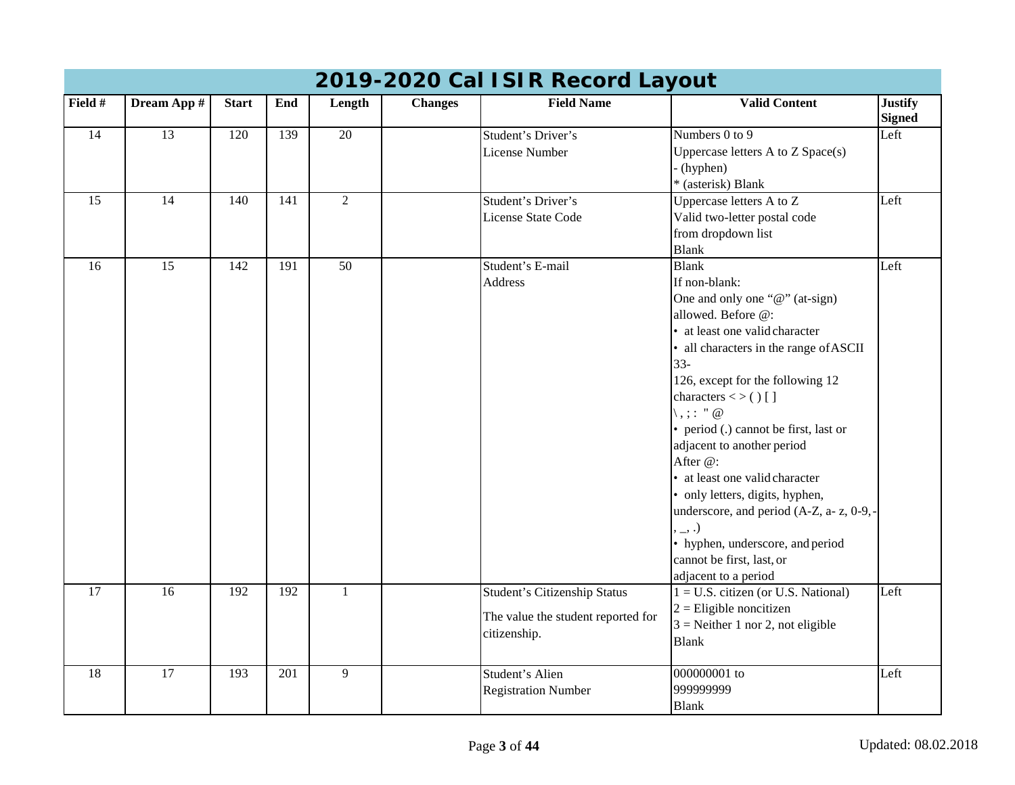|                 | 2019-2020 Cal ISIR Record Layout |              |     |                 |                |                                                    |                                                                   |                                 |  |  |  |  |
|-----------------|----------------------------------|--------------|-----|-----------------|----------------|----------------------------------------------------|-------------------------------------------------------------------|---------------------------------|--|--|--|--|
| Field #         | Dream App #                      | <b>Start</b> | End | Length          | <b>Changes</b> | <b>Field Name</b>                                  | <b>Valid Content</b>                                              | <b>Justify</b><br><b>Signed</b> |  |  |  |  |
| 14              | $\overline{13}$                  | 120          | 139 | $\overline{20}$ |                | Student's Driver's                                 | Numbers $0$ to $9$                                                | Left                            |  |  |  |  |
|                 |                                  |              |     |                 |                | <b>License Number</b>                              | Uppercase letters A to Z Space(s)                                 |                                 |  |  |  |  |
|                 |                                  |              |     |                 |                |                                                    | - (hyphen)                                                        |                                 |  |  |  |  |
|                 |                                  |              |     |                 |                |                                                    | * (asterisk) Blank                                                |                                 |  |  |  |  |
| 15              | 14                               | 140          | 141 | $\overline{2}$  |                | Student's Driver's                                 | Uppercase letters A to Z                                          | Left                            |  |  |  |  |
|                 |                                  |              |     |                 |                | License State Code                                 | Valid two-letter postal code                                      |                                 |  |  |  |  |
|                 |                                  |              |     |                 |                |                                                    | from dropdown list                                                |                                 |  |  |  |  |
|                 |                                  |              |     |                 |                |                                                    | <b>Blank</b>                                                      |                                 |  |  |  |  |
| 16              | $\overline{15}$                  | 142          | 191 | $\overline{50}$ |                | Student's E-mail                                   | <b>Blank</b>                                                      | Left                            |  |  |  |  |
|                 |                                  |              |     |                 |                | <b>Address</b>                                     | If non-blank:                                                     |                                 |  |  |  |  |
|                 |                                  |              |     |                 |                |                                                    | One and only one "@" (at-sign)                                    |                                 |  |  |  |  |
|                 |                                  |              |     |                 |                |                                                    | allowed. Before @:                                                |                                 |  |  |  |  |
|                 |                                  |              |     |                 |                |                                                    | • at least one valid character                                    |                                 |  |  |  |  |
|                 |                                  |              |     |                 |                |                                                    | • all characters in the range of ASCII                            |                                 |  |  |  |  |
|                 |                                  |              |     |                 |                |                                                    | $33 -$                                                            |                                 |  |  |  |  |
|                 |                                  |              |     |                 |                |                                                    | 126, except for the following 12                                  |                                 |  |  |  |  |
|                 |                                  |              |     |                 |                |                                                    | characters $\lt$ > () []<br>$\langle , ; : " \mathcal{Q} \rangle$ |                                 |  |  |  |  |
|                 |                                  |              |     |                 |                |                                                    | • period (.) cannot be first, last or                             |                                 |  |  |  |  |
|                 |                                  |              |     |                 |                |                                                    | adjacent to another period                                        |                                 |  |  |  |  |
|                 |                                  |              |     |                 |                |                                                    | After @:                                                          |                                 |  |  |  |  |
|                 |                                  |              |     |                 |                |                                                    | • at least one valid character                                    |                                 |  |  |  |  |
|                 |                                  |              |     |                 |                |                                                    | • only letters, digits, hyphen,                                   |                                 |  |  |  |  |
|                 |                                  |              |     |                 |                |                                                    | underscore, and period (A-Z, a- z, 0-9,-                          |                                 |  |  |  |  |
|                 |                                  |              |     |                 |                |                                                    | , _, .)                                                           |                                 |  |  |  |  |
|                 |                                  |              |     |                 |                |                                                    | • hyphen, underscore, and period                                  |                                 |  |  |  |  |
|                 |                                  |              |     |                 |                |                                                    | cannot be first, last, or                                         |                                 |  |  |  |  |
|                 |                                  |              |     |                 |                |                                                    | adjacent to a period                                              |                                 |  |  |  |  |
| $\overline{17}$ | $\overline{16}$                  | 192          | 192 | $\mathbf{1}$    |                | <b>Student's Citizenship Status</b>                | $1 = U.S.$ citizen (or U.S. National)                             | Left                            |  |  |  |  |
|                 |                                  |              |     |                 |                |                                                    | $2 =$ Eligible noncitizen                                         |                                 |  |  |  |  |
|                 |                                  |              |     |                 |                | The value the student reported for<br>citizenship. | $3$ = Neither 1 nor 2, not eligible                               |                                 |  |  |  |  |
|                 |                                  |              |     |                 |                |                                                    | <b>Blank</b>                                                      |                                 |  |  |  |  |
| 18              | 17                               | 193          | 201 | 9               |                | Student's Alien                                    | 000000001 to                                                      | Left                            |  |  |  |  |
|                 |                                  |              |     |                 |                | <b>Registration Number</b>                         | 999999999                                                         |                                 |  |  |  |  |
|                 |                                  |              |     |                 |                |                                                    | <b>Blank</b>                                                      |                                 |  |  |  |  |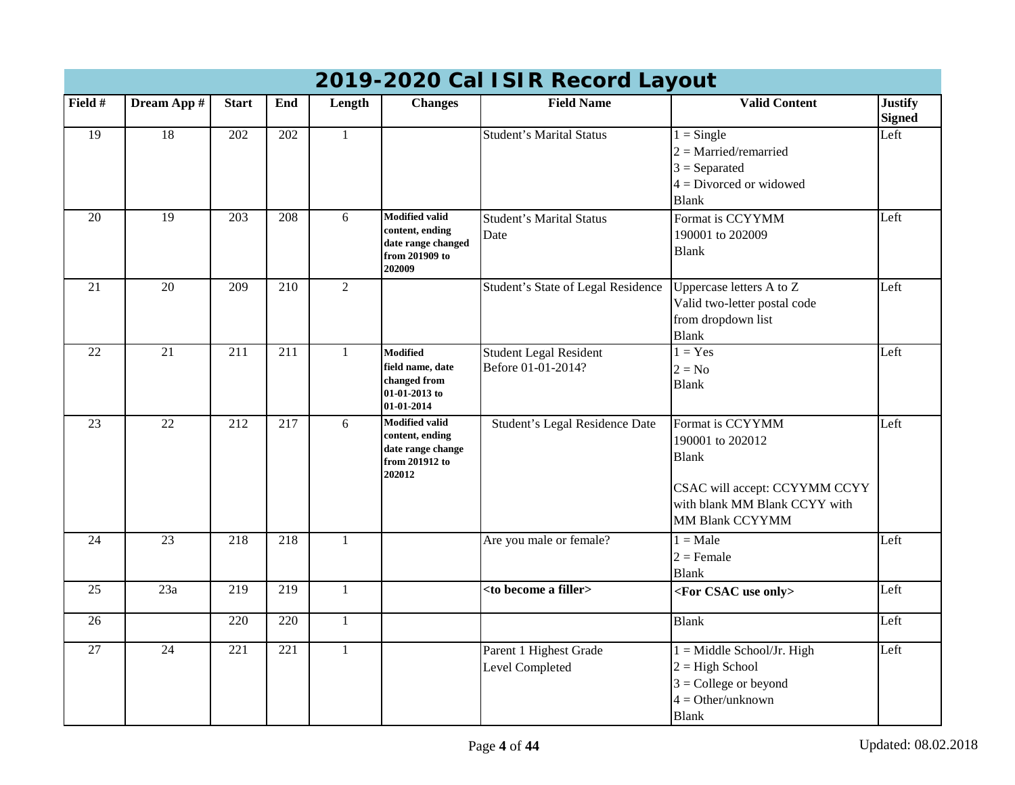|                 | 2019-2020 Cal ISIR Record Layout |                  |                  |                |                                                                                            |                                                     |                                                                                                                                           |                                 |  |  |  |  |
|-----------------|----------------------------------|------------------|------------------|----------------|--------------------------------------------------------------------------------------------|-----------------------------------------------------|-------------------------------------------------------------------------------------------------------------------------------------------|---------------------------------|--|--|--|--|
| Field #         | Dream App #                      | <b>Start</b>     | End              | Length         | <b>Changes</b>                                                                             | <b>Field Name</b>                                   | <b>Valid Content</b>                                                                                                                      | <b>Justify</b><br><b>Signed</b> |  |  |  |  |
| $\overline{19}$ | $\overline{18}$                  | $\overline{202}$ | $\overline{202}$ | $\mathbf{1}$   |                                                                                            | <b>Student's Marital Status</b>                     | $1 =$ Single<br>$2 =$ Married/remarried<br>$3 =$ Separated<br>$4 = Divored$ or widowed<br><b>Blank</b>                                    | Left                            |  |  |  |  |
| 20              | 19                               | 203              | 208              | 6              | <b>Modified valid</b><br>content, ending<br>date range changed<br>from 201909 to<br>202009 | <b>Student's Marital Status</b><br>Date             | Format is CCYYMM<br>190001 to 202009<br><b>Blank</b>                                                                                      | Left                            |  |  |  |  |
| 21              | 20                               | 209              | 210              | $\overline{2}$ |                                                                                            | Student's State of Legal Residence                  | Uppercase letters A to Z<br>Valid two-letter postal code<br>from dropdown list<br><b>Blank</b>                                            | Left                            |  |  |  |  |
| 22              | 21                               | 211              | 211              | $\mathbf{1}$   | Modified<br>field name, date<br>changed from<br>01-01-2013 to<br>01-01-2014                | <b>Student Legal Resident</b><br>Before 01-01-2014? | $1 = Yes$<br>$2 = No$<br><b>Blank</b>                                                                                                     | Left                            |  |  |  |  |
| 23              | $\overline{22}$                  | 212              | $\overline{217}$ | 6              | <b>Modified valid</b><br>content, ending<br>date range change<br>from 201912 to<br>202012  | Student's Legal Residence Date                      | Format is CCYYMM<br>190001 to 202012<br><b>Blank</b><br>CSAC will accept: CCYYMM CCYY<br>with blank MM Blank CCYY with<br>MM Blank CCYYMM | Left                            |  |  |  |  |
| 24              | 23                               | $\overline{218}$ | $\overline{218}$ | $\mathbf{1}$   |                                                                                            | Are you male or female?                             | $1 = Male$<br>$2$ = Female<br><b>Blank</b>                                                                                                | Left                            |  |  |  |  |
| 25              | 23a                              | 219              | 219              | $\mathbf{1}$   |                                                                                            | <to a="" become="" filler=""></to>                  | <for csac="" only="" use=""></for>                                                                                                        | Left                            |  |  |  |  |
| $\overline{26}$ |                                  | 220              | $\overline{220}$ | $\mathbf{1}$   |                                                                                            |                                                     | <b>Blank</b>                                                                                                                              | Left                            |  |  |  |  |
| 27              | 24                               | 221              | 221              | 1              |                                                                                            | Parent 1 Highest Grade<br>Level Completed           | $1 =$ Middle School/Jr. High<br>$2 = High School$<br>$3 =$ College or beyond<br>$4 = Other/unknown$<br><b>Blank</b>                       | Left                            |  |  |  |  |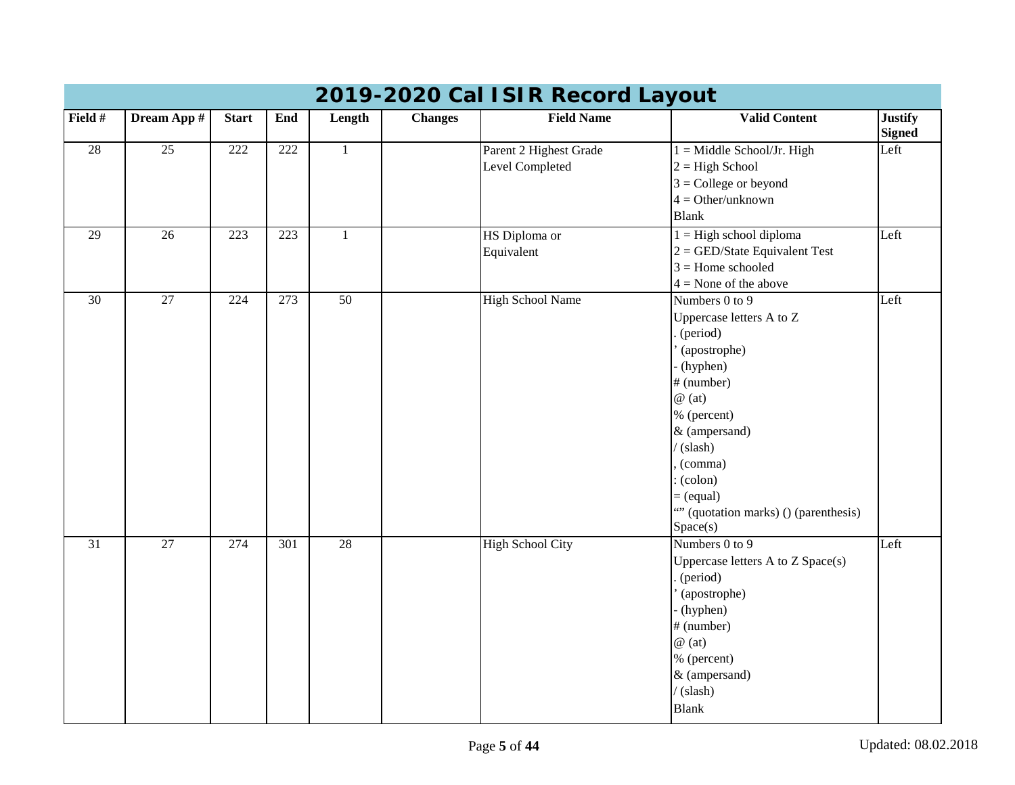|                 | 2019-2020 Cal ISIR Record Layout |              |                  |                 |                |                         |                                       |                                 |  |  |  |
|-----------------|----------------------------------|--------------|------------------|-----------------|----------------|-------------------------|---------------------------------------|---------------------------------|--|--|--|
| Field #         | Dream App #                      | <b>Start</b> | End              | Length          | <b>Changes</b> | <b>Field Name</b>       | <b>Valid Content</b>                  | <b>Justify</b><br><b>Signed</b> |  |  |  |
| $\overline{28}$ | 25                               | 222          | 222              | $\mathbf{1}$    |                | Parent 2 Highest Grade  | $1 =$ Middle School/Jr. High          | Left                            |  |  |  |
|                 |                                  |              |                  |                 |                | Level Completed         | $2 = High School$                     |                                 |  |  |  |
|                 |                                  |              |                  |                 |                |                         | $3 =$ College or beyond               |                                 |  |  |  |
|                 |                                  |              |                  |                 |                |                         | $4 = Other/unknown$                   |                                 |  |  |  |
|                 |                                  |              |                  |                 |                |                         | <b>Blank</b>                          |                                 |  |  |  |
| 29              | $\overline{26}$                  | 223          | $\overline{223}$ | $\mathbf{1}$    |                | HS Diploma or           | $1 =$ High school diploma             | Left                            |  |  |  |
|                 |                                  |              |                  |                 |                | Equivalent              | $2 =$ GED/State Equivalent Test       |                                 |  |  |  |
|                 |                                  |              |                  |                 |                |                         | $3 =$ Home schooled                   |                                 |  |  |  |
|                 |                                  |              |                  |                 |                |                         | $4 =$ None of the above               |                                 |  |  |  |
| 30              | 27                               | 224          | 273              | $\overline{50}$ |                | <b>High School Name</b> | Numbers 0 to 9                        | Left                            |  |  |  |
|                 |                                  |              |                  |                 |                |                         | Uppercase letters A to Z              |                                 |  |  |  |
|                 |                                  |              |                  |                 |                |                         | (period)                              |                                 |  |  |  |
|                 |                                  |              |                  |                 |                |                         | (apostrophe)                          |                                 |  |  |  |
|                 |                                  |              |                  |                 |                |                         | (hyphen)                              |                                 |  |  |  |
|                 |                                  |              |                  |                 |                |                         | # (number)                            |                                 |  |  |  |
|                 |                                  |              |                  |                 |                |                         | $\omega$ (at)                         |                                 |  |  |  |
|                 |                                  |              |                  |                 |                |                         | % (percent)                           |                                 |  |  |  |
|                 |                                  |              |                  |                 |                |                         | & (ampersand)                         |                                 |  |  |  |
|                 |                                  |              |                  |                 |                |                         | $\sqrt{\text{(slash)}}$               |                                 |  |  |  |
|                 |                                  |              |                  |                 |                |                         | (comma)                               |                                 |  |  |  |
|                 |                                  |              |                  |                 |                |                         | (colon)                               |                                 |  |  |  |
|                 |                                  |              |                  |                 |                |                         | $=$ (equal)                           |                                 |  |  |  |
|                 |                                  |              |                  |                 |                |                         | "" (quotation marks) () (parenthesis) |                                 |  |  |  |
|                 | $\overline{27}$                  |              |                  | $\overline{28}$ |                |                         | Space(s)                              |                                 |  |  |  |
| 31              |                                  | 274          | 301              |                 |                | <b>High School City</b> | Numbers 0 to 9                        | Left                            |  |  |  |
|                 |                                  |              |                  |                 |                |                         | Uppercase letters A to Z Space(s)     |                                 |  |  |  |
|                 |                                  |              |                  |                 |                |                         | (period)                              |                                 |  |  |  |
|                 |                                  |              |                  |                 |                |                         | (apostrophe)<br>(hyphen)              |                                 |  |  |  |
|                 |                                  |              |                  |                 |                |                         | # (number)                            |                                 |  |  |  |
|                 |                                  |              |                  |                 |                |                         | $\omega$ (at)                         |                                 |  |  |  |
|                 |                                  |              |                  |                 |                |                         | % (percent)                           |                                 |  |  |  |
|                 |                                  |              |                  |                 |                |                         | & (ampersand)                         |                                 |  |  |  |
|                 |                                  |              |                  |                 |                |                         | (slash)                               |                                 |  |  |  |
|                 |                                  |              |                  |                 |                |                         |                                       |                                 |  |  |  |
|                 |                                  |              |                  |                 |                |                         | <b>Blank</b>                          |                                 |  |  |  |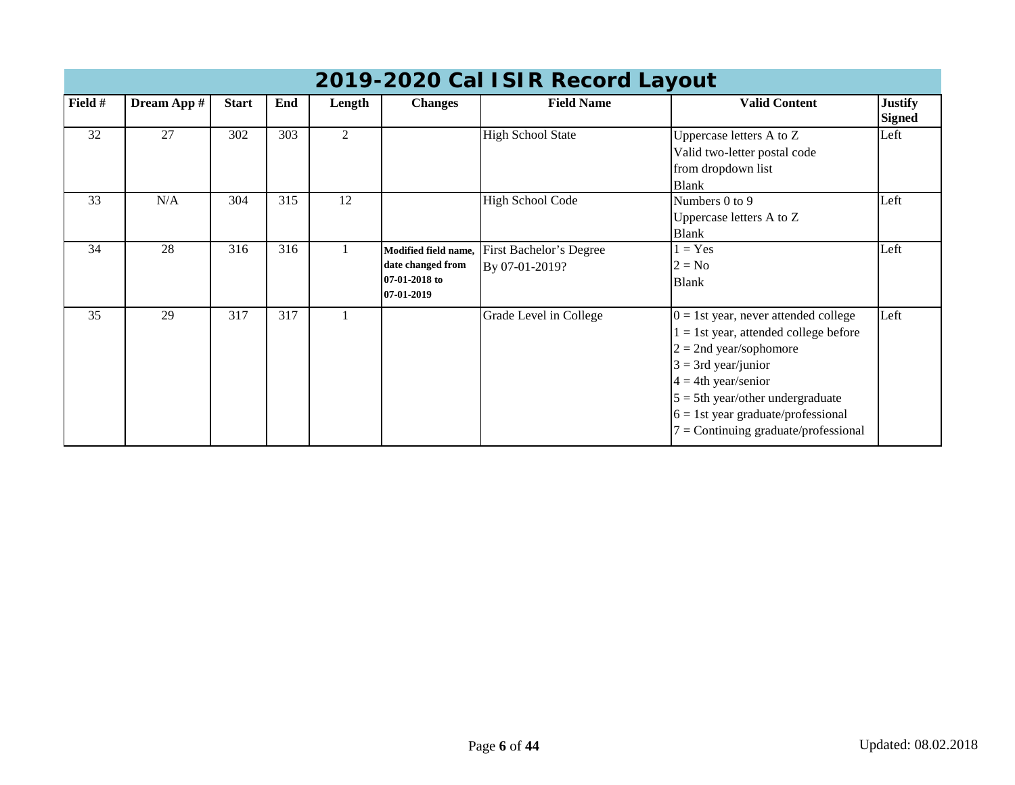|         | 2019-2020 Cal ISIR Record Layout |              |     |                |                                                                          |                                           |                                                                                                                                                                                                                                                                                               |                                 |  |  |  |
|---------|----------------------------------|--------------|-----|----------------|--------------------------------------------------------------------------|-------------------------------------------|-----------------------------------------------------------------------------------------------------------------------------------------------------------------------------------------------------------------------------------------------------------------------------------------------|---------------------------------|--|--|--|
| Field # | Dream App #                      | <b>Start</b> | End | Length         | <b>Changes</b>                                                           | <b>Field Name</b>                         | <b>Valid Content</b>                                                                                                                                                                                                                                                                          | <b>Justify</b><br><b>Signed</b> |  |  |  |
| 32      | 27                               | 302          | 303 | $\overline{2}$ |                                                                          | <b>High School State</b>                  | Uppercase letters A to Z<br>Valid two-letter postal code<br>from dropdown list<br><b>Blank</b>                                                                                                                                                                                                | Left                            |  |  |  |
| 33      | N/A                              | 304          | 315 | 12             |                                                                          | <b>High School Code</b>                   | Numbers 0 to 9<br>Uppercase letters A to Z<br><b>Blank</b>                                                                                                                                                                                                                                    | Left                            |  |  |  |
| 34      | 28                               | 316          | 316 |                | Modified field name,<br>date changed from<br>07-01-2018 to<br>07-01-2019 | First Bachelor's Degree<br>By 07-01-2019? | $= Yes$<br>$2 = No$<br><b>Blank</b>                                                                                                                                                                                                                                                           | Left                            |  |  |  |
| 35      | 29                               | 317          | 317 |                |                                                                          | Grade Level in College                    | $0 = 1$ st year, never attended college<br>$l = 1$ st year, attended college before<br>$2 = 2$ nd year/sophomore<br>$3 = 3rd$ year/junior<br>$4 = 4$ th year/senior<br>$5 = 5$ th year/other undergraduate<br>$6 = 1$ st year graduate/professional<br>$7 =$ Continuing graduate/professional | Left                            |  |  |  |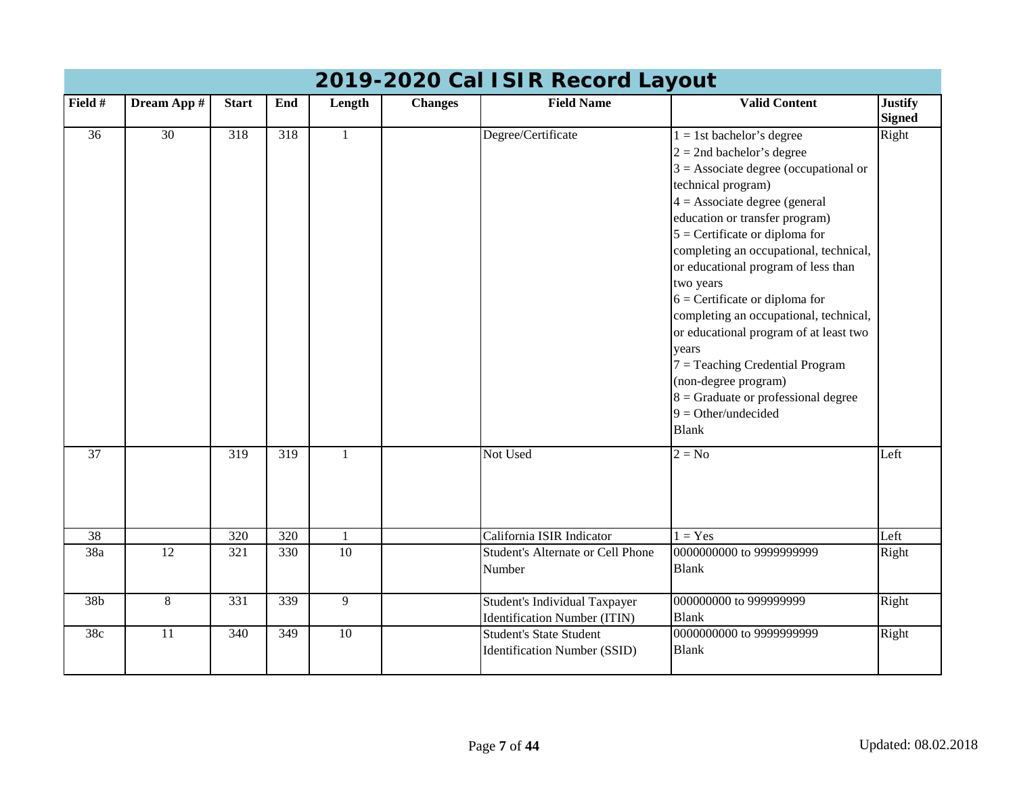|                  | 2019-2020 Cal ISIR Record Layout |                  |                  |              |                |                                                                       |                                                                                                                                                                                                                                                                                                                                                                                                                                                                                                                                                                                                                      |                                 |  |  |  |  |  |
|------------------|----------------------------------|------------------|------------------|--------------|----------------|-----------------------------------------------------------------------|----------------------------------------------------------------------------------------------------------------------------------------------------------------------------------------------------------------------------------------------------------------------------------------------------------------------------------------------------------------------------------------------------------------------------------------------------------------------------------------------------------------------------------------------------------------------------------------------------------------------|---------------------------------|--|--|--|--|--|
| Field #          | Dream App #                      | <b>Start</b>     | End              | Length       | <b>Changes</b> | <b>Field Name</b>                                                     | <b>Valid Content</b>                                                                                                                                                                                                                                                                                                                                                                                                                                                                                                                                                                                                 | <b>Justify</b><br><b>Signed</b> |  |  |  |  |  |
| $\overline{36}$  | $\overline{30}$                  | $\overline{318}$ | 318              | $\mathbf{1}$ |                | Degree/Certificate                                                    | $1 = 1$ st bachelor's degree<br>$2 = 2$ nd bachelor's degree<br>$3 =$ Associate degree (occupational or<br>technical program)<br>$4 =$ Associate degree (general<br>education or transfer program)<br>$5$ = Certificate or diploma for<br>completing an occupational, technical,<br>or educational program of less than<br>two years<br>$6$ = Certificate or diploma for<br>completing an occupational, technical,<br>or educational program of at least two<br>vears<br>$7 =$ Teaching Credential Program<br>(non-degree program)<br>$8 =$ Graduate or professional degree<br>$9 = Other/undecided$<br><b>Blank</b> | Right                           |  |  |  |  |  |
| $\overline{37}$  |                                  | $\overline{319}$ | $\overline{319}$ | $\mathbf{1}$ |                | Not Used                                                              | $2 = No$                                                                                                                                                                                                                                                                                                                                                                                                                                                                                                                                                                                                             | Left                            |  |  |  |  |  |
| $\overline{38}$  |                                  | 320              | 320              | $\mathbf{1}$ |                | California ISIR Indicator                                             | $1 = Yes$                                                                                                                                                                                                                                                                                                                                                                                                                                                                                                                                                                                                            | Left                            |  |  |  |  |  |
| 38a              | 12                               | 321              | 330              | 10           |                | <b>Student's Alternate or Cell Phone</b><br>Number                    | 0000000000 to 9999999999<br><b>Blank</b>                                                                                                                                                                                                                                                                                                                                                                                                                                                                                                                                                                             | Right                           |  |  |  |  |  |
| 38b              | 8                                | 331              | 339              | 9            |                | Student's Individual Taxpayer<br><b>Identification Number (ITIN)</b>  | 000000000 to 999999999<br><b>Blank</b>                                                                                                                                                                                                                                                                                                                                                                                                                                                                                                                                                                               | Right                           |  |  |  |  |  |
| $\overline{38c}$ | $\overline{11}$                  | $\overline{340}$ | 349              | 10           |                | <b>Student's State Student</b><br><b>Identification Number (SSID)</b> | 0000000000 to 9999999999<br><b>Blank</b>                                                                                                                                                                                                                                                                                                                                                                                                                                                                                                                                                                             | Right                           |  |  |  |  |  |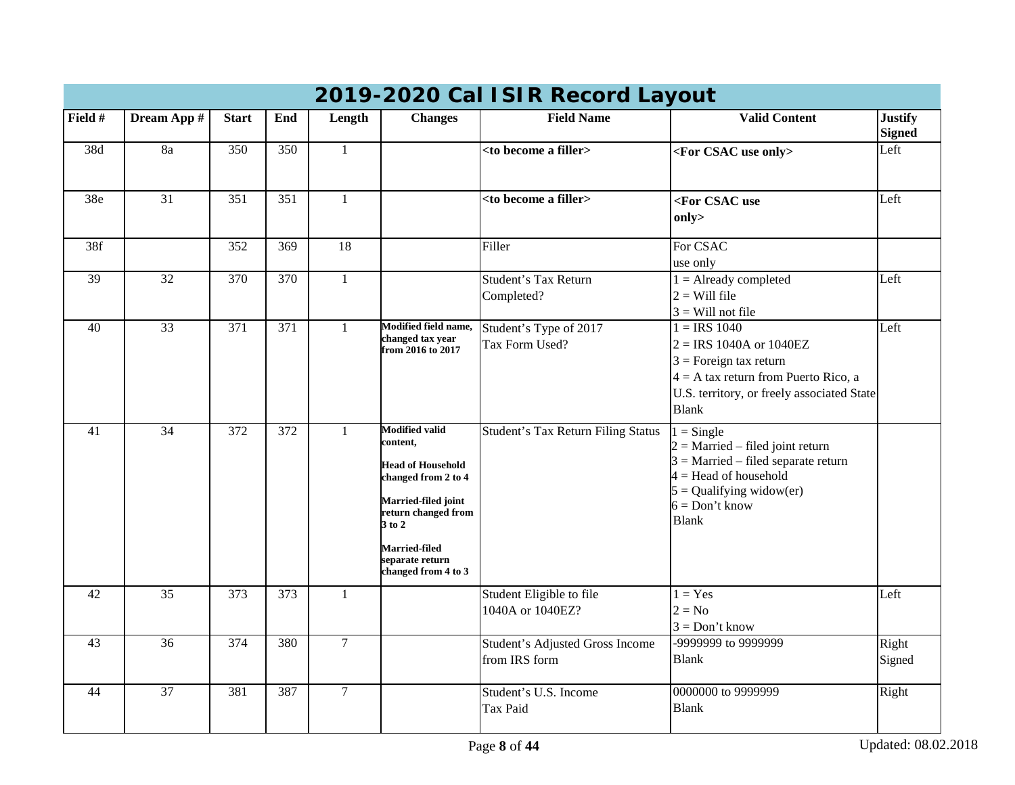|         |                 |              |                  |                |                                                                                                                                                                                                                | ZUZU UGI TUTIN INGGUTU LU JUUN                   |                                                                                                                                                                                          |                                 |
|---------|-----------------|--------------|------------------|----------------|----------------------------------------------------------------------------------------------------------------------------------------------------------------------------------------------------------------|--------------------------------------------------|------------------------------------------------------------------------------------------------------------------------------------------------------------------------------------------|---------------------------------|
| Field # | Dream App #     | <b>Start</b> | End              | Length         | <b>Changes</b>                                                                                                                                                                                                 | <b>Field Name</b>                                | <b>Valid Content</b>                                                                                                                                                                     | <b>Justify</b><br><b>Signed</b> |
| 38d     | 8a              | 350          | 350              | $\mathbf{1}$   |                                                                                                                                                                                                                | <to a="" become="" filler=""></to>               | <for csac="" only="" use=""></for>                                                                                                                                                       | Left                            |
| 38e     | 31              | 351          | 351              | $\mathbf{1}$   |                                                                                                                                                                                                                | <to a="" become="" filler=""></to>               | <for csac="" use<br="">only&gt;</for>                                                                                                                                                    | Left                            |
| 38f     |                 | 352          | 369              | 18             |                                                                                                                                                                                                                | Filler                                           | For CSAC<br>use only                                                                                                                                                                     |                                 |
| 39      | 32              | 370          | 370              | $\mathbf{1}$   |                                                                                                                                                                                                                | Student's Tax Return<br>Completed?               | $1 =$ Already completed<br>$2 =$ Will file<br>$3$ = Will not file                                                                                                                        | Left                            |
| 40      | $\overline{33}$ | 371          | $\overline{371}$ | $\mathbf{1}$   | Modified field name,<br>changed tax year<br>from 2016 to 2017                                                                                                                                                  | Student's Type of 2017<br>Tax Form Used?         | $1 = IRS$ 1040<br>$2 = IRS 1040A$ or $1040EZ$<br>$3 =$ Foreign tax return<br>$4 = A$ tax return from Puerto Rico, a<br>U.S. territory, or freely associated State<br><b>Blank</b>        | Left                            |
| 41      | $\overline{34}$ | 372          | 372              | $\mathbf{1}$   | <b>Modified valid</b><br>content.<br><b>Head of Household</b><br>changed from 2 to 4<br>Married-filed joint<br>return changed from<br>3 to 2<br><b>Married-filed</b><br>separate return<br>changed from 4 to 3 | Student's Tax Return Filing Status               | $1 =$ Single<br>$2 =$ Married – filed joint return<br>$3$ = Married – filed separate return<br>$4 =$ Head of household<br>$5 =$ Qualifying widow(er)<br>$6 = Don't know$<br><b>Blank</b> |                                 |
| 42      | 35              | 373          | 373              | $\mathbf{1}$   |                                                                                                                                                                                                                | Student Eligible to file<br>1040A or 1040EZ?     | $1 = Yes$<br>$2 = No$<br>$3 = Don't know$                                                                                                                                                | Left                            |
| 43      | $\overline{36}$ | 374          | 380              | $\overline{7}$ |                                                                                                                                                                                                                | Student's Adjusted Gross Income<br>from IRS form | -9999999 to 9999999<br><b>Blank</b>                                                                                                                                                      | Right<br>Signed                 |
| 44      | $\overline{37}$ | 381          | 387              | $\overline{7}$ |                                                                                                                                                                                                                | Student's U.S. Income<br><b>Tax Paid</b>         | 0000000 to 9999999<br><b>Blank</b>                                                                                                                                                       | Right                           |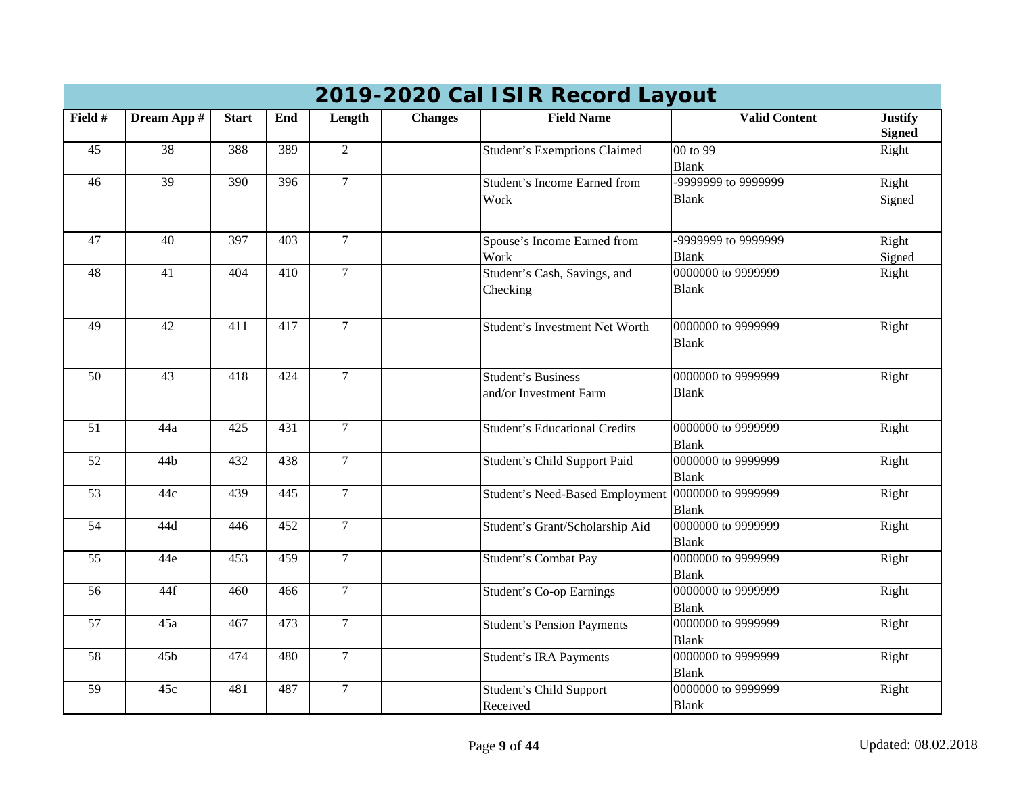| Field #         | Dream App #     | <b>Start</b>     | End              | Length         | <b>Changes</b> | <b>Field Name</b>                      | <b>Valid Content</b>     | <b>Justify</b><br><b>Signed</b> |  |  |
|-----------------|-----------------|------------------|------------------|----------------|----------------|----------------------------------------|--------------------------|---------------------------------|--|--|
| 45              | $\overline{38}$ | 388              | 389              | $\overline{2}$ |                | <b>Student's Exemptions Claimed</b>    | 00 to 99<br><b>Blank</b> | Right                           |  |  |
| 46              | 39              | 390              | $\overline{396}$ | $\overline{7}$ |                | <b>Student's Income Earned from</b>    | -9999999 to 9999999      | Right                           |  |  |
|                 |                 |                  |                  |                |                | Work                                   | <b>Blank</b>             | Signed                          |  |  |
| 47              | 40              | 397              | 403              | $\overline{7}$ |                | Spouse's Income Earned from            | -9999999 to 9999999      | Right                           |  |  |
|                 |                 |                  |                  |                |                | Work                                   | <b>Blank</b>             | Signed                          |  |  |
| 48              | 41              | 404              | 410              | $\overline{7}$ |                | Student's Cash, Savings, and           | 0000000 to 9999999       | Right                           |  |  |
|                 |                 |                  |                  |                |                | Checking                               | <b>Blank</b>             |                                 |  |  |
| 49              | $\overline{42}$ | $\overline{411}$ | 417              | $\mathcal{I}$  |                | Student's Investment Net Worth         | 0000000 to 9999999       | Right                           |  |  |
|                 |                 |                  |                  |                |                |                                        | <b>Blank</b>             |                                 |  |  |
|                 |                 |                  |                  |                |                |                                        |                          |                                 |  |  |
| 50              | 43              | 418              | 424              | $\overline{7}$ |                | <b>Student's Business</b>              | 0000000 to 9999999       | Right                           |  |  |
|                 |                 |                  |                  |                |                | and/or Investment Farm                 | <b>Blank</b>             |                                 |  |  |
|                 |                 |                  |                  |                |                |                                        |                          |                                 |  |  |
| 51              | 44a             | 425              | 431              | $\overline{7}$ |                | <b>Student's Educational Credits</b>   | 0000000 to 9999999       | Right                           |  |  |
|                 |                 |                  |                  |                |                |                                        | <b>Blank</b>             |                                 |  |  |
| $\overline{52}$ | 44 <sub>b</sub> | 432              | 438              | $\overline{7}$ |                | Student's Child Support Paid           | 0000000 to 9999999       | Right                           |  |  |
|                 |                 |                  |                  |                |                |                                        | <b>Blank</b>             |                                 |  |  |
| $\overline{53}$ | 44c             | 439              | $\overline{445}$ | $\overline{7}$ |                | <b>Student's Need-Based Employment</b> | 0000000 to 9999999       | Right                           |  |  |
|                 |                 |                  |                  |                |                |                                        | <b>Blank</b>             |                                 |  |  |
| $\overline{54}$ | 44d             | 446              | $\overline{452}$ | $\overline{7}$ |                | Student's Grant/Scholarship Aid        | 0000000 to 9999999       | Right                           |  |  |
|                 |                 |                  |                  |                |                |                                        | <b>Blank</b>             |                                 |  |  |
| $\overline{55}$ | 44e             | 453              | 459              | $\overline{7}$ |                | Student's Combat Pay                   | 0000000 to 9999999       | Right                           |  |  |
|                 |                 |                  |                  |                |                |                                        | <b>Blank</b>             |                                 |  |  |
| 56              | 44f             | 460              | 466              | $\overline{7}$ |                | <b>Student's Co-op Earnings</b>        | 0000000 to 9999999       | Right                           |  |  |
|                 |                 |                  |                  |                |                |                                        | <b>Blank</b>             |                                 |  |  |
| $\overline{57}$ | 45a             | 467              | 473              | $\overline{7}$ |                | <b>Student's Pension Payments</b>      | 0000000 to 9999999       | Right                           |  |  |
|                 |                 |                  |                  |                |                |                                        | <b>Blank</b>             |                                 |  |  |
| 58              | 45b             | 474              | 480              | $\overline{7}$ |                | <b>Student's IRA Payments</b>          | 0000000 to 9999999       | Right                           |  |  |
|                 |                 |                  |                  |                |                |                                        | <b>Blank</b>             |                                 |  |  |
| 59              | 45c             | 481              | 487              | $\overline{7}$ |                | Student's Child Support                | 0000000 to 9999999       | Right                           |  |  |
|                 |                 |                  |                  |                |                | Received                               | <b>Blank</b>             |                                 |  |  |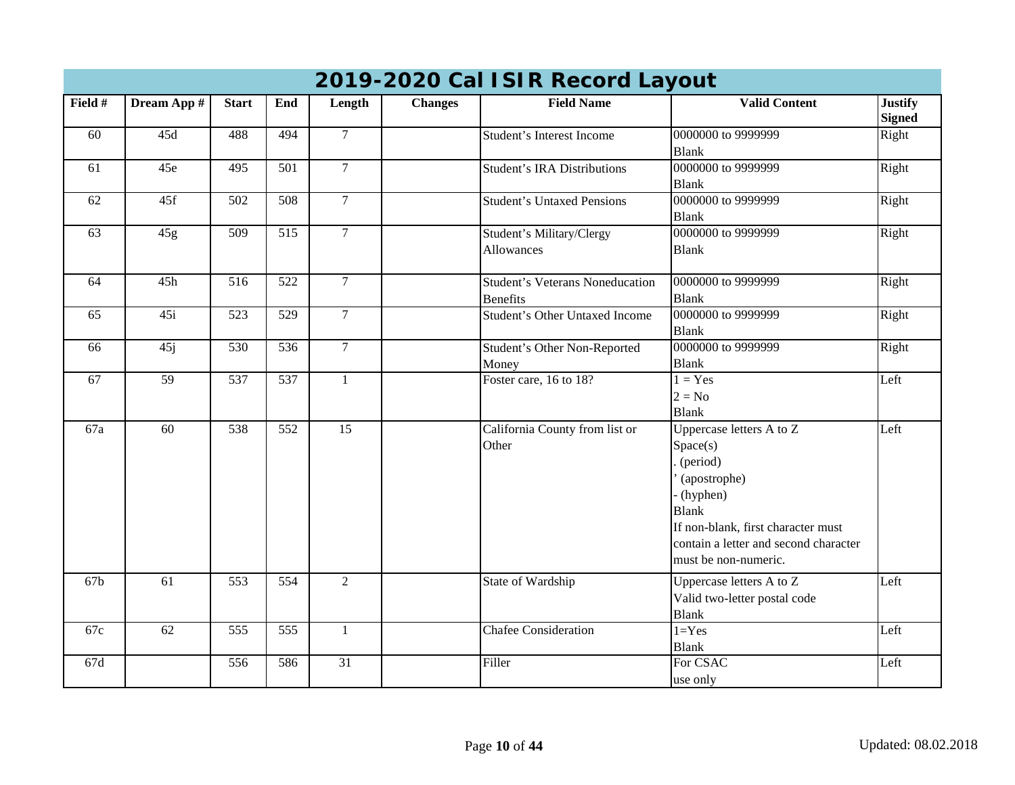|         | $\frac{1}{2}$ 2020 001 101 in 110001 a 20 juni |              |                  |                 |                |                                                           |                                                                                                                                                                                                     |                                 |  |  |  |  |
|---------|------------------------------------------------|--------------|------------------|-----------------|----------------|-----------------------------------------------------------|-----------------------------------------------------------------------------------------------------------------------------------------------------------------------------------------------------|---------------------------------|--|--|--|--|
| Field # | Dream App #                                    | <b>Start</b> | End              | Length          | <b>Changes</b> | <b>Field Name</b>                                         | <b>Valid Content</b>                                                                                                                                                                                | <b>Justify</b><br><b>Signed</b> |  |  |  |  |
| 60      | 45d                                            | 488          | 494              | $\overline{7}$  |                | Student's Interest Income                                 | 0000000 to 9999999<br><b>Blank</b>                                                                                                                                                                  | Right                           |  |  |  |  |
| 61      | 45e                                            | 495          | $\overline{501}$ | $7\overline{ }$ |                | <b>Student's IRA Distributions</b>                        | 0000000 to 9999999<br><b>Blank</b>                                                                                                                                                                  | Right                           |  |  |  |  |
| 62      | 45f                                            | 502          | 508              | $\tau$          |                | <b>Student's Untaxed Pensions</b>                         | 0000000 to 9999999<br><b>Blank</b>                                                                                                                                                                  | Right                           |  |  |  |  |
| 63      | 45g                                            | 509          | 515              | $\overline{7}$  |                | Student's Military/Clergy<br>Allowances                   | 0000000 to 9999999<br><b>Blank</b>                                                                                                                                                                  | Right                           |  |  |  |  |
| 64      | 45h                                            | 516          | 522              | $\mathcal{I}$   |                | <b>Student's Veterans Noneducation</b><br><b>Benefits</b> | 0000000 to 9999999<br><b>Blank</b>                                                                                                                                                                  | Right                           |  |  |  |  |
| 65      | 45i                                            | 523          | $\overline{529}$ | $\overline{7}$  |                | <b>Student's Other Untaxed Income</b>                     | 0000000 to 9999999<br><b>Blank</b>                                                                                                                                                                  | Right                           |  |  |  |  |
| 66      | 45j                                            | 530          | $\overline{536}$ | $\overline{7}$  |                | Student's Other Non-Reported<br>Money                     | 0000000 to 9999999<br><b>Blank</b>                                                                                                                                                                  | Right                           |  |  |  |  |
| 67      | 59                                             | 537          | $\overline{537}$ | $\mathbf{1}$    |                | Foster care, 16 to 18?                                    | $1 = Yes$<br>$2 = No$<br><b>Blank</b>                                                                                                                                                               | Left                            |  |  |  |  |
| 67a     | 60                                             | 538          | 552              | $\overline{15}$ |                | California County from list or<br>Other                   | Uppercase letters A to Z<br>Space(s)<br>(period)<br>(apostrophe)<br>(hyphen)<br><b>Blank</b><br>If non-blank, first character must<br>contain a letter and second character<br>must be non-numeric. | Left                            |  |  |  |  |
| 67b     | 61                                             | 553          | 554              | $\overline{2}$  |                | State of Wardship                                         | Uppercase letters A to Z<br>Valid two-letter postal code<br><b>Blank</b>                                                                                                                            | Left                            |  |  |  |  |
| 67c     | 62                                             | 555          | 555              | $\mathbf{1}$    |                | <b>Chafee Consideration</b>                               | $1 = Yes$<br><b>Blank</b>                                                                                                                                                                           | Left                            |  |  |  |  |
| 67d     |                                                | 556          | 586              | $\overline{31}$ |                | Filler                                                    | For CSAC<br>use only                                                                                                                                                                                | Left                            |  |  |  |  |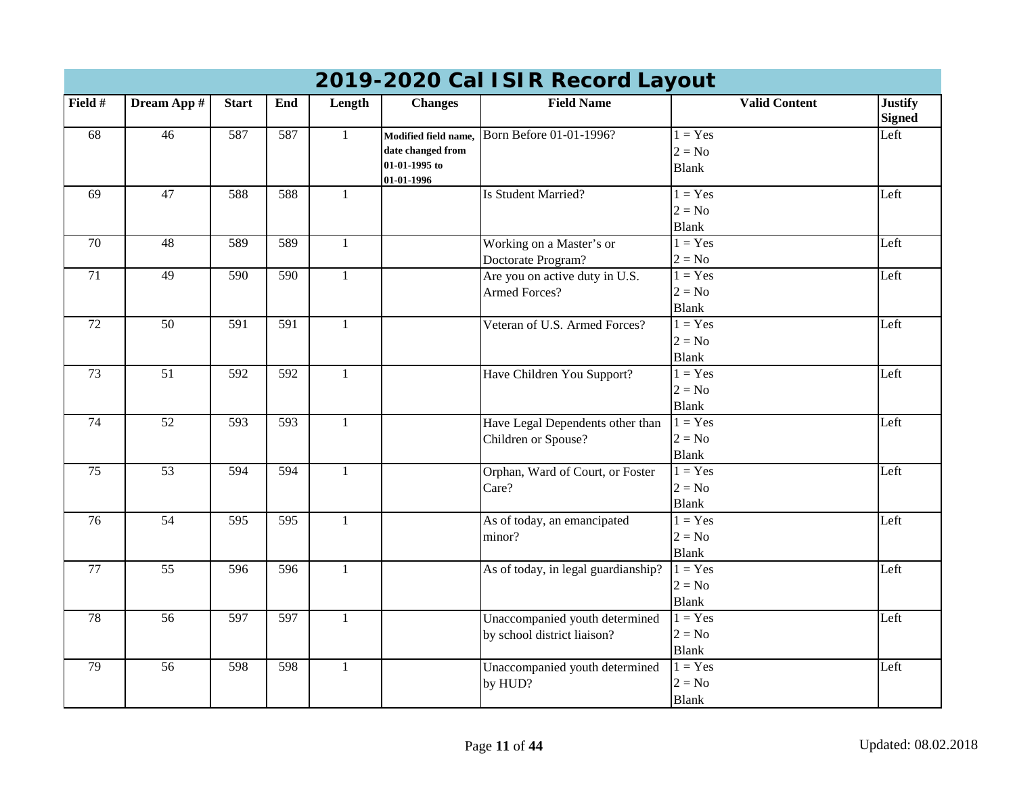|                 |                 |                  |                  |              |                                                            | 2019-2020 Cal ISIR Record Layout    |                                       |                                 |
|-----------------|-----------------|------------------|------------------|--------------|------------------------------------------------------------|-------------------------------------|---------------------------------------|---------------------------------|
| Field #         | Dream App #     | <b>Start</b>     | End              | Length       | <b>Changes</b>                                             | <b>Field Name</b>                   | <b>Valid Content</b>                  | <b>Justify</b><br><b>Signed</b> |
| 68              | $\overline{46}$ | 587              | 587              | $\mathbf{1}$ | Modified field name,<br>date changed from<br>01-01-1995 to | Born Before 01-01-1996?             | $1 = Yes$<br>$2 = No$<br><b>Blank</b> | Left                            |
|                 |                 |                  |                  |              | 01-01-1996                                                 |                                     |                                       |                                 |
| 69              | $\overline{47}$ | 588              | 588              | $\mathbf{1}$ |                                                            | Is Student Married?                 | $1 = Yes$<br>$2 = No$                 | Left                            |
|                 |                 |                  |                  |              |                                                            |                                     | <b>Blank</b>                          |                                 |
| 70              | 48              | 589              | 589              | $\mathbf{1}$ |                                                            | Working on a Master's or            | $1 = Yes$                             | Left                            |
|                 |                 |                  |                  |              |                                                            | Doctorate Program?                  | $2 = No$                              |                                 |
| $\overline{71}$ | 49              | 590              | $\overline{590}$ | $\mathbf{1}$ |                                                            | Are you on active duty in U.S.      | $1 = Yes$                             | Left                            |
|                 |                 |                  |                  |              |                                                            | <b>Armed Forces?</b>                | $2 = No$                              |                                 |
|                 |                 |                  |                  |              |                                                            |                                     | <b>Blank</b>                          |                                 |
| 72              | $\overline{50}$ | 591              | $\overline{591}$ | $\mathbf{1}$ |                                                            | Veteran of U.S. Armed Forces?       | $1 = Yes$                             | Left                            |
|                 |                 |                  |                  |              |                                                            |                                     | $2 = No$                              |                                 |
|                 |                 |                  |                  |              |                                                            |                                     | <b>Blank</b>                          |                                 |
| 73              | $\overline{51}$ | 592              | $\overline{592}$ | $\mathbf{1}$ |                                                            | Have Children You Support?          | $1 = Yes$                             | Left                            |
|                 |                 |                  |                  |              |                                                            |                                     | $2 = No$                              |                                 |
|                 |                 |                  |                  |              |                                                            |                                     | <b>Blank</b>                          |                                 |
| 74              | 52              | 593              | 593              | $\mathbf{1}$ |                                                            | Have Legal Dependents other than    | $1 = Yes$                             | Left                            |
|                 |                 |                  |                  |              |                                                            | Children or Spouse?                 | $2 = No$                              |                                 |
|                 |                 |                  |                  |              |                                                            |                                     | <b>Blank</b>                          |                                 |
| $\overline{75}$ | 53              | 594              | 594              | $\mathbf{1}$ |                                                            | Orphan, Ward of Court, or Foster    | $1 = Yes$                             | Left                            |
|                 |                 |                  |                  |              |                                                            | Care?                               | $2 = No$                              |                                 |
|                 |                 |                  |                  |              |                                                            |                                     | <b>Blank</b>                          |                                 |
| 76              | 54              | $\overline{595}$ | $\overline{595}$ | $\mathbf{1}$ |                                                            | As of today, an emancipated         | $1 = Yes$                             | Left                            |
|                 |                 |                  |                  |              |                                                            | minor?                              | $2 = No$                              |                                 |
|                 |                 |                  |                  |              |                                                            |                                     | <b>Blank</b>                          |                                 |
| 77              | $\overline{55}$ | 596              | 596              | $\mathbf{1}$ |                                                            | As of today, in legal guardianship? | $1 = Yes$                             | Left                            |
|                 |                 |                  |                  |              |                                                            |                                     | $2 = No$                              |                                 |
|                 |                 |                  |                  |              |                                                            |                                     | <b>Blank</b>                          |                                 |
| 78              | 56              | 597              | 597              | $\mathbf{1}$ |                                                            | Unaccompanied youth determined      | $1 = Yes$                             | Left                            |
|                 |                 |                  |                  |              |                                                            | by school district liaison?         | $2 = No$                              |                                 |
|                 |                 |                  |                  |              |                                                            |                                     | <b>Blank</b>                          |                                 |
| 79              | $\overline{56}$ | 598              | $\overline{598}$ | $\mathbf{1}$ |                                                            | Unaccompanied youth determined      | $1 = Yes$                             | Left                            |
|                 |                 |                  |                  |              |                                                            | by HUD?                             | $2 = No$                              |                                 |
|                 |                 |                  |                  |              |                                                            |                                     | <b>Blank</b>                          |                                 |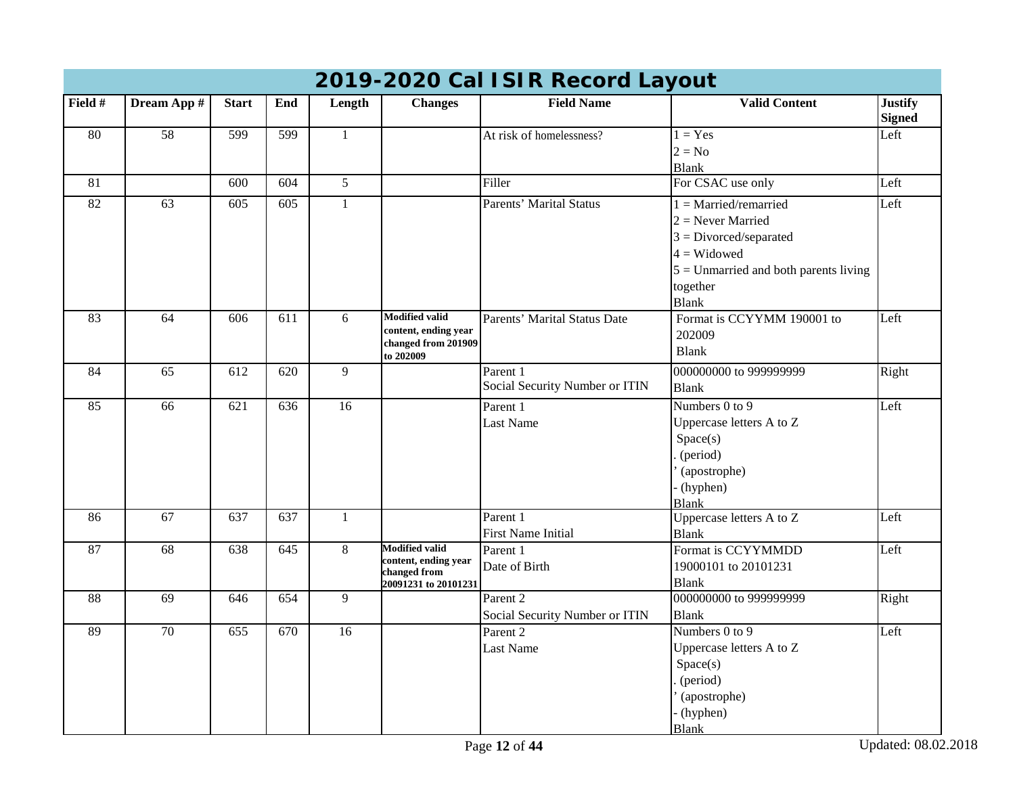|                 |                 |                  |                  |                 |                                             | $\sim$ can form nobol a Eagoal |                                         |                                 |
|-----------------|-----------------|------------------|------------------|-----------------|---------------------------------------------|--------------------------------|-----------------------------------------|---------------------------------|
| Field #         | Dream App #     | <b>Start</b>     | End              | Length          | <b>Changes</b>                              | <b>Field Name</b>              | <b>Valid Content</b>                    | <b>Justify</b><br><b>Signed</b> |
| 80              | 58              | 599              | 599              | $\mathbf{1}$    |                                             | At risk of homelessness?       | $1 = Yes$                               | Left                            |
|                 |                 |                  |                  |                 |                                             |                                | $2 = No$                                |                                 |
|                 |                 |                  |                  |                 |                                             |                                | <b>Blank</b>                            |                                 |
| 81              |                 | 600              | 604              | $5\overline{)}$ |                                             | Filler                         | For CSAC use only                       | Left                            |
| $\overline{82}$ | 63              | $\overline{605}$ | $\overline{605}$ | $\mathbf{1}$    |                                             | Parents' Marital Status        | $1 =$ Married/remarried                 | Left                            |
|                 |                 |                  |                  |                 |                                             |                                | $2$ = Never Married                     |                                 |
|                 |                 |                  |                  |                 |                                             |                                | $3 = Divored/separated$                 |                                 |
|                 |                 |                  |                  |                 |                                             |                                | $4 = Widowed$                           |                                 |
|                 |                 |                  |                  |                 |                                             |                                | $5 =$ Unmarried and both parents living |                                 |
|                 |                 |                  |                  |                 |                                             |                                | together                                |                                 |
|                 |                 |                  |                  |                 |                                             |                                | <b>Blank</b>                            |                                 |
| 83              | 64              | 606              | 611              | 6               | <b>Modified valid</b>                       | Parents' Marital Status Date   | Format is CCYYMM 190001 to              | Left                            |
|                 |                 |                  |                  |                 | content, ending year<br>changed from 201909 |                                | 202009                                  |                                 |
|                 |                 |                  |                  |                 | to 202009                                   |                                | <b>Blank</b>                            |                                 |
| 84              | 65              | 612              | 620              | 9               |                                             | Parent 1                       | 000000000 to 999999999                  | Right                           |
|                 |                 |                  |                  |                 |                                             | Social Security Number or ITIN | <b>Blank</b>                            |                                 |
| 85              | $\overline{66}$ | 621              | 636              | $\overline{16}$ |                                             | Parent 1                       | Numbers 0 to 9                          | Left                            |
|                 |                 |                  |                  |                 |                                             | <b>Last Name</b>               | Uppercase letters A to Z                |                                 |
|                 |                 |                  |                  |                 |                                             |                                | Space(s)                                |                                 |
|                 |                 |                  |                  |                 |                                             |                                | (period)                                |                                 |
|                 |                 |                  |                  |                 |                                             |                                | (apostrophe)                            |                                 |
|                 |                 |                  |                  |                 |                                             |                                | (hyphen)                                |                                 |
|                 |                 |                  |                  |                 |                                             |                                | <b>Blank</b>                            |                                 |
| 86              | 67              | 637              | 637              | $\mathbf{1}$    |                                             | Parent 1                       | Uppercase letters A to Z                | Left                            |
|                 |                 |                  |                  |                 |                                             | <b>First Name Initial</b>      | <b>Blank</b>                            |                                 |
| 87              | 68              | 638              | 645              | 8               | <b>Modified valid</b>                       | Parent 1                       | Format is CCYYMMDD                      | Left                            |
|                 |                 |                  |                  |                 | content, ending year<br>changed from        | Date of Birth                  | 19000101 to 20101231                    |                                 |
|                 |                 |                  |                  |                 | 20091231 to 20101231                        |                                | <b>Blank</b>                            |                                 |
| 88              | 69              | 646              | 654              | $\overline{9}$  |                                             | Parent 2                       | 000000000 to 999999999                  | Right                           |
|                 |                 |                  |                  |                 |                                             | Social Security Number or ITIN | <b>Blank</b>                            |                                 |
| 89              | $\overline{70}$ | 655              | 670              | 16              |                                             | Parent 2                       | Numbers $0$ to $9$                      | Left                            |
|                 |                 |                  |                  |                 |                                             | <b>Last Name</b>               | Uppercase letters A to Z                |                                 |
|                 |                 |                  |                  |                 |                                             |                                | Space(s)                                |                                 |
|                 |                 |                  |                  |                 |                                             |                                | (period)                                |                                 |
|                 |                 |                  |                  |                 |                                             |                                | (apostrophe)                            |                                 |
|                 |                 |                  |                  |                 |                                             |                                | (hyphen)                                |                                 |
|                 |                 |                  |                  |                 |                                             |                                | <b>Blank</b>                            |                                 |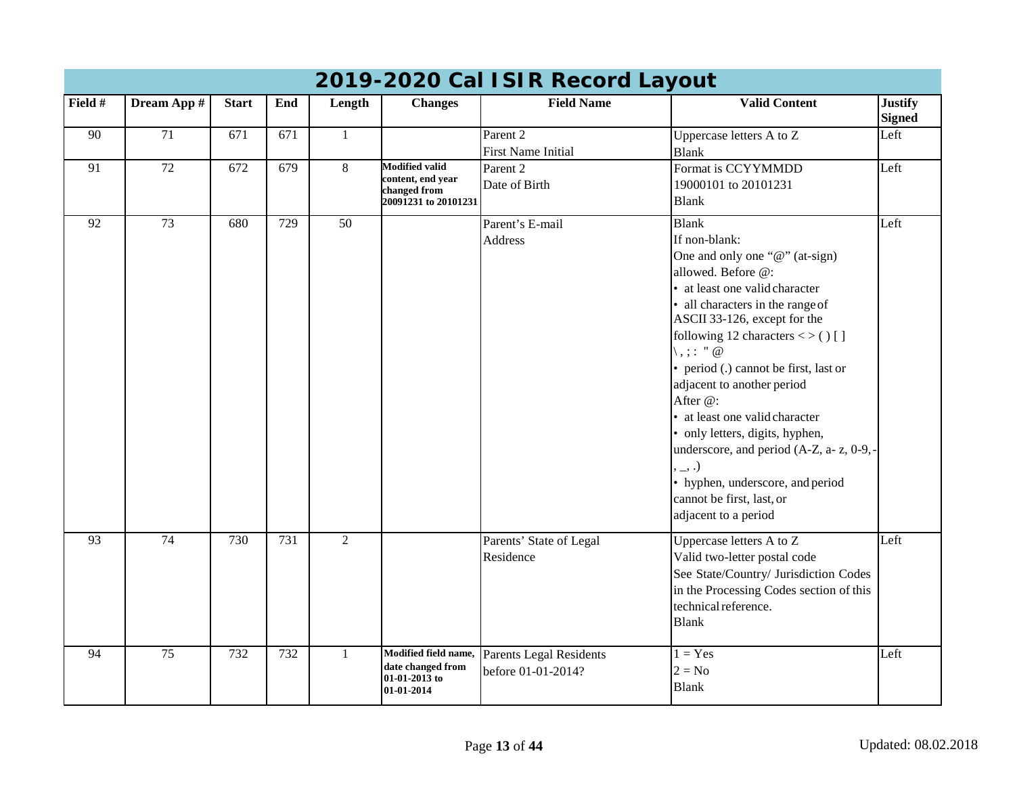|         | 2019-2020 Cal ISIR Record Layout |              |                  |                 |                                                                                    |                                                  |                                                                                                                                                                                                                                                                                                                                                                                                                                                                                                                                                                                     |                                 |  |  |  |  |
|---------|----------------------------------|--------------|------------------|-----------------|------------------------------------------------------------------------------------|--------------------------------------------------|-------------------------------------------------------------------------------------------------------------------------------------------------------------------------------------------------------------------------------------------------------------------------------------------------------------------------------------------------------------------------------------------------------------------------------------------------------------------------------------------------------------------------------------------------------------------------------------|---------------------------------|--|--|--|--|
| Field # | Dream App #                      | <b>Start</b> | End              | Length          | <b>Changes</b>                                                                     | <b>Field Name</b>                                | <b>Valid Content</b>                                                                                                                                                                                                                                                                                                                                                                                                                                                                                                                                                                | <b>Justify</b><br><b>Signed</b> |  |  |  |  |
| 90      | 71                               | 671          | 671              | -1              |                                                                                    | Parent <sub>2</sub><br><b>First Name Initial</b> | Uppercase letters A to Z<br><b>Blank</b>                                                                                                                                                                                                                                                                                                                                                                                                                                                                                                                                            | Left                            |  |  |  |  |
| 91      | $\overline{72}$                  | 672          | 679              | 8               | <b>Modified valid</b><br>content, end year<br>changed from<br>20091231 to 20101231 | Parent 2<br>Date of Birth                        | Format is CCYYMMDD<br>19000101 to 20101231<br><b>Blank</b>                                                                                                                                                                                                                                                                                                                                                                                                                                                                                                                          | Left                            |  |  |  |  |
| 92      | $\overline{73}$                  | 680          | $\overline{729}$ | $\overline{50}$ |                                                                                    | Parent's E-mail<br><b>Address</b>                | <b>Blank</b><br>If non-blank:<br>One and only one "@" (at-sign)<br>allowed. Before @:<br>• at least one valid character<br>• all characters in the range of<br>ASCII 33-126, except for the<br>following 12 characters $\lt$ > () []<br>$\langle , \rangle$ : " $\emptyset$<br>• period (.) cannot be first, last or<br>adjacent to another period<br>After @:<br>• at least one valid character<br>• only letters, digits, hyphen,<br>underscore, and period (A-Z, a- z, 0-9,-<br>, _, .)<br>• hyphen, underscore, and period<br>cannot be first, last, or<br>adjacent to a period | Left                            |  |  |  |  |
| 93      | 74                               | 730          | $\overline{731}$ | $\overline{2}$  |                                                                                    | Parents' State of Legal<br>Residence             | Uppercase letters A to Z<br>Valid two-letter postal code<br>See State/Country/ Jurisdiction Codes<br>in the Processing Codes section of this<br>technical reference.<br><b>Blank</b>                                                                                                                                                                                                                                                                                                                                                                                                | Left                            |  |  |  |  |
| 94      | 75                               | 732          | 732              | $\mathbf{1}$    | Modified field name,<br>date changed from<br>01-01-2013 to<br>01-01-2014           | Parents Legal Residents<br>before 01-01-2014?    | $1 = Yes$<br>$2 = No$<br><b>Blank</b>                                                                                                                                                                                                                                                                                                                                                                                                                                                                                                                                               | Left                            |  |  |  |  |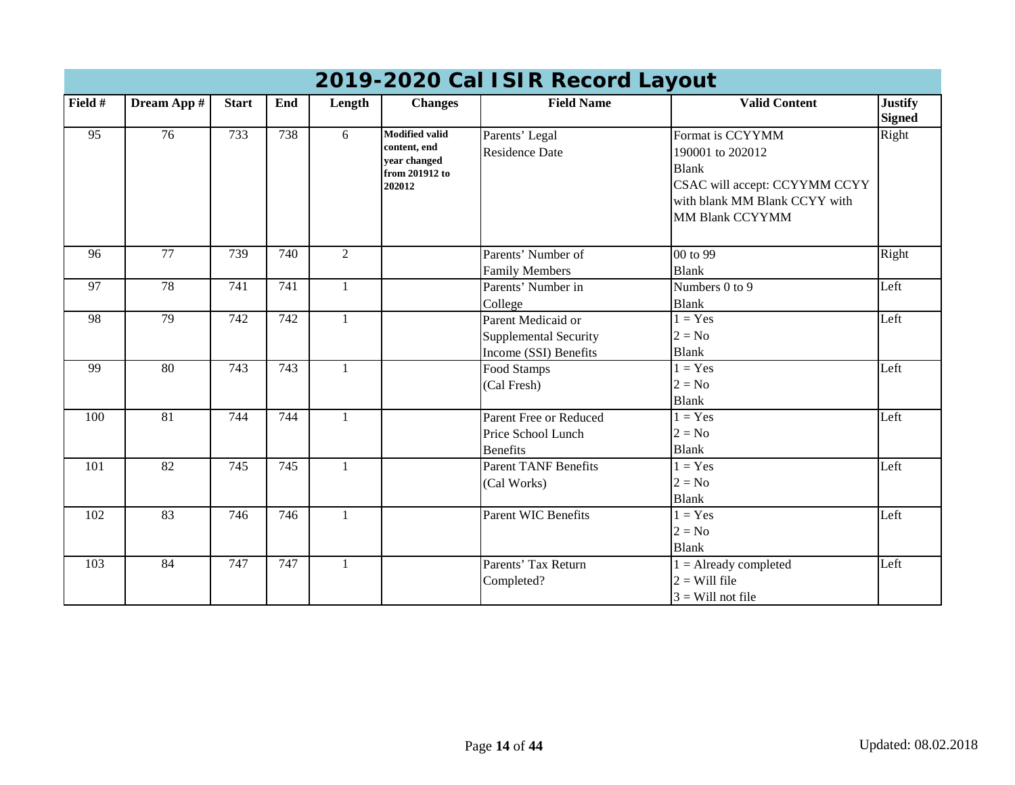| 2019-2020 Cal ISIR Record Layout |                 |              |     |                |                                                                                   |                                                                             |                                                                                                                                                  |                                 |  |  |
|----------------------------------|-----------------|--------------|-----|----------------|-----------------------------------------------------------------------------------|-----------------------------------------------------------------------------|--------------------------------------------------------------------------------------------------------------------------------------------------|---------------------------------|--|--|
| Field #                          | Dream App #     | <b>Start</b> | End | Length         | <b>Changes</b>                                                                    | <b>Field Name</b>                                                           | <b>Valid Content</b>                                                                                                                             | <b>Justify</b><br><b>Signed</b> |  |  |
| 95                               | 76              | 733          | 738 | 6              | <b>Modified valid</b><br>content, end<br>year changed<br>from 201912 to<br>202012 | Parents' Legal<br><b>Residence Date</b>                                     | Format is CCYYMM<br>190001 to 202012<br><b>Blank</b><br>CSAC will accept: CCYYMM CCYY<br>with blank MM Blank CCYY with<br><b>MM Blank CCYYMM</b> | Right                           |  |  |
| 96                               | 77              | 739          | 740 | $\overline{2}$ |                                                                                   | Parents' Number of<br><b>Family Members</b>                                 | 00 to 99<br><b>Blank</b>                                                                                                                         | Right                           |  |  |
| 97                               | 78              | 741          | 741 |                |                                                                                   | Parents' Number in<br>College                                               | Numbers 0 to 9<br><b>Blank</b>                                                                                                                   | Left                            |  |  |
| 98                               | 79              | 742          | 742 | $\mathbf{1}$   |                                                                                   | Parent Medicaid or<br><b>Supplemental Security</b><br>Income (SSI) Benefits | $1 = Yes$<br>$2 = No$<br><b>Blank</b>                                                                                                            | Left                            |  |  |
| 99                               | 80              | 743          | 743 | $\mathbf{1}$   |                                                                                   | Food Stamps<br>(Cal Fresh)                                                  | $1 = Yes$<br>$2 = No$<br><b>Blank</b>                                                                                                            | Left                            |  |  |
| 100                              | $\overline{81}$ | 744          | 744 | $\mathbf{1}$   |                                                                                   | Parent Free or Reduced<br>Price School Lunch<br><b>Benefits</b>             | $1 = Yes$<br>$2 = No$<br><b>Blank</b>                                                                                                            | Left                            |  |  |
| 101                              | 82              | 745          | 745 | $\mathbf{1}$   |                                                                                   | <b>Parent TANF Benefits</b><br>(Cal Works)                                  | $1 = Yes$<br>$2 = No$<br><b>Blank</b>                                                                                                            | Left                            |  |  |
| 102                              | 83              | 746          | 746 | $\mathbf{1}$   |                                                                                   | <b>Parent WIC Benefits</b>                                                  | $1 = Yes$<br>$2 = No$<br><b>Blank</b>                                                                                                            | Left                            |  |  |
| 103                              | 84              | 747          | 747 |                |                                                                                   | Parents' Tax Return<br>Completed?                                           | $1 =$ Already completed<br>$2 =$ Will file<br>$3$ = Will not file                                                                                | Left                            |  |  |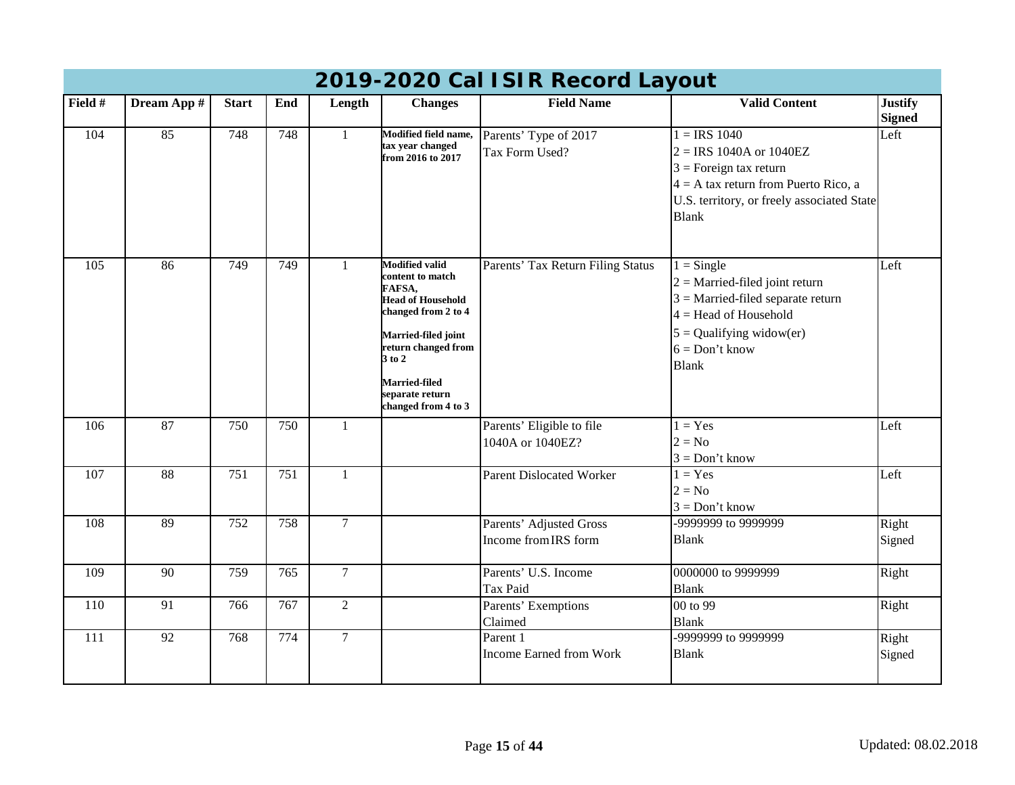|                  | 0 T / 2020 OGI TOTIV ROOD G LAYOU. |              |                  |                |                                                                                                                                                                                                                                      |                                                 |                                                                                                                                                                                      |                                 |  |  |  |
|------------------|------------------------------------|--------------|------------------|----------------|--------------------------------------------------------------------------------------------------------------------------------------------------------------------------------------------------------------------------------------|-------------------------------------------------|--------------------------------------------------------------------------------------------------------------------------------------------------------------------------------------|---------------------------------|--|--|--|
| Field #          | Dream App #                        | <b>Start</b> | End              | Length         | <b>Changes</b>                                                                                                                                                                                                                       | <b>Field Name</b>                               | <b>Valid Content</b>                                                                                                                                                                 | <b>Justify</b><br><b>Signed</b> |  |  |  |
| 104              | 85                                 | 748          | 748              | $\mathbf{1}$   | Modified field name,<br>tax year changed<br>from 2016 to 2017                                                                                                                                                                        | Parents' Type of 2017<br>Tax Form Used?         | $1 = IRS$ 1040<br>$2 = IRS 1040A$ or $1040EZ$<br>$3$ = Foreign tax return<br>$4 = A$ tax return from Puerto Rico, a<br>U.S. territory, or freely associated State<br><b>Blank</b>    | Left                            |  |  |  |
| 105              | 86                                 | 749          | 749              | 1              | <b>Modified valid</b><br>content to match<br>FAFSA,<br><b>Head of Household</b><br>changed from 2 to 4<br>Married-filed joint<br>return changed from<br>$3$ to $2$<br><b>Married-filed</b><br>separate return<br>changed from 4 to 3 | Parents' Tax Return Filing Status               | $1 =$ Single<br>$2$ = Married-filed joint return<br>$3$ = Married-filed separate return<br>$4 =$ Head of Household<br>$5 =$ Qualifying widow(er)<br>$6 = Don't know$<br><b>Blank</b> | Left                            |  |  |  |
| 106              | 87                                 | 750          | 750              | $\mathbf{1}$   |                                                                                                                                                                                                                                      | Parents' Eligible to file<br>1040A or 1040EZ?   | $1 = Yes$<br>$2 = No$<br>$3 = Don't know$                                                                                                                                            | Left                            |  |  |  |
| 107              | 88                                 | 751          | $\overline{751}$ | $\mathbf{1}$   |                                                                                                                                                                                                                                      | <b>Parent Dislocated Worker</b>                 | $1 = Yes$<br>$2 = No$<br>$3 = Don't know$                                                                                                                                            | Left                            |  |  |  |
| 108              | 89                                 | 752          | 758              | $\overline{7}$ |                                                                                                                                                                                                                                      | Parents' Adjusted Gross<br>Income from IRS form | -9999999 to 9999999<br><b>Blank</b>                                                                                                                                                  | Right<br>Signed                 |  |  |  |
| 109              | 90                                 | 759          | 765              | $\overline{7}$ |                                                                                                                                                                                                                                      | Parents' U.S. Income<br>Tax Paid                | 0000000 to 9999999<br><b>Blank</b>                                                                                                                                                   | Right                           |  |  |  |
| 110              | 91                                 | 766          | 767              | $\overline{2}$ |                                                                                                                                                                                                                                      | Parents' Exemptions<br>Claimed                  | 00 to 99<br><b>Blank</b>                                                                                                                                                             | Right                           |  |  |  |
| $\overline{111}$ | 92                                 | 768          | 774              | $\overline{7}$ |                                                                                                                                                                                                                                      | Parent 1<br><b>Income Earned from Work</b>      | -9999999 to 9999999<br><b>Blank</b>                                                                                                                                                  | Right<br>Signed                 |  |  |  |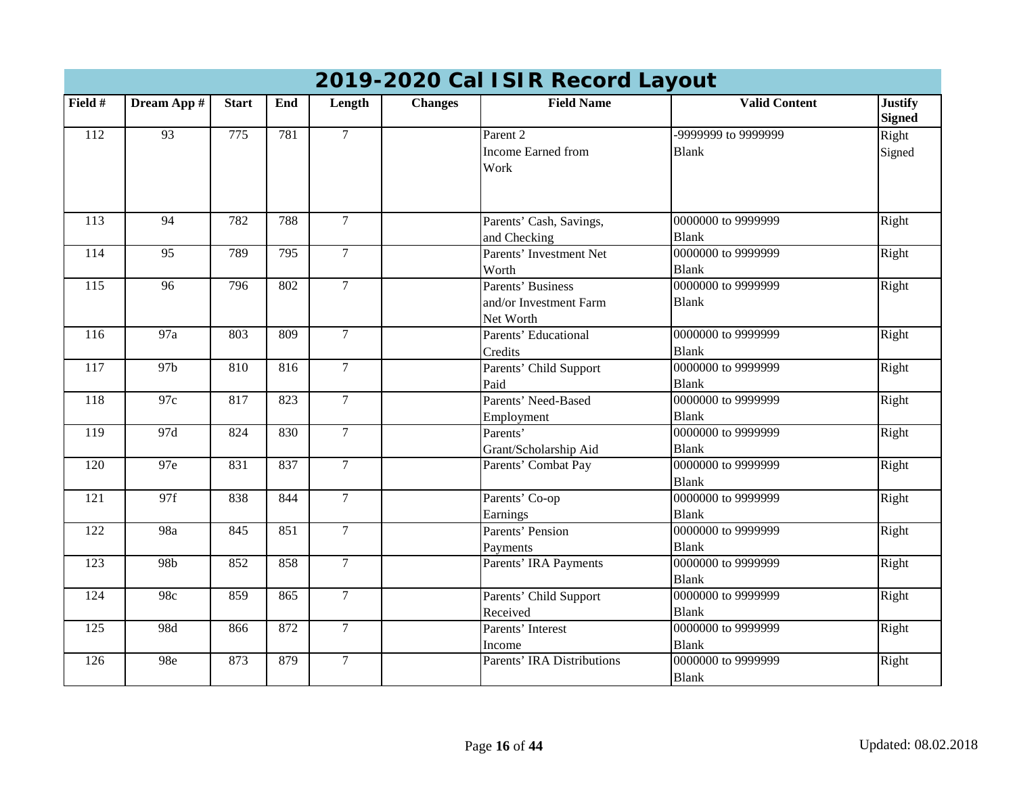| 2019-2020 Cal ISIR Record Layout |                  |              |     |                 |                |                                   |                      |                                 |  |  |
|----------------------------------|------------------|--------------|-----|-----------------|----------------|-----------------------------------|----------------------|---------------------------------|--|--|
| Field #                          | Dream App #      | <b>Start</b> | End | Length          | <b>Changes</b> | <b>Field Name</b>                 | <b>Valid Content</b> | <b>Justify</b><br><b>Signed</b> |  |  |
| 112                              | $\overline{93}$  | 775          | 781 | $\overline{7}$  |                | Parent <sub>2</sub>               | -9999999 to 9999999  | Right                           |  |  |
|                                  |                  |              |     |                 |                | <b>Income Earned from</b>         | <b>Blank</b>         | Signed                          |  |  |
|                                  |                  |              |     |                 |                | Work                              |                      |                                 |  |  |
| 113                              | 94               | 782          | 788 | $\mathcal{I}$   |                | Parents' Cash, Savings,           | 0000000 to 9999999   | Right                           |  |  |
|                                  |                  |              |     |                 |                | and Checking                      | <b>Blank</b>         |                                 |  |  |
| 114                              | 95               | 789          | 795 | $\overline{7}$  |                | Parents' Investment Net           | 0000000 to 9999999   | Right                           |  |  |
|                                  |                  |              |     |                 |                | Worth                             | <b>Blank</b>         |                                 |  |  |
| 115                              | 96               | 796          | 802 | $\overline{7}$  |                | Parents' Business                 | 0000000 to 9999999   | Right                           |  |  |
|                                  |                  |              |     |                 |                | and/or Investment Farm            | <b>Blank</b>         |                                 |  |  |
|                                  |                  |              |     |                 |                | Net Worth                         |                      |                                 |  |  |
| 116                              | $\overline{97a}$ | 803          | 809 | $\tau$          |                | Parents' Educational              | 0000000 to 9999999   | Right                           |  |  |
|                                  |                  |              |     |                 |                | Credits                           | <b>Blank</b>         |                                 |  |  |
| 117                              | 97b              | 810          | 816 | $\mathcal{I}$   |                | Parents' Child Support            | 0000000 to 9999999   | Right                           |  |  |
|                                  |                  |              |     |                 |                | Paid                              | <b>Blank</b>         |                                 |  |  |
| 118                              | 97c              | 817          | 823 | $\tau$          |                | Parents' Need-Based               | 0000000 to 9999999   | Right                           |  |  |
|                                  |                  |              |     |                 |                | Employment                        | <b>Blank</b>         |                                 |  |  |
| 119                              | 97d              | 824          | 830 | $\tau$          |                | Parents'                          | 0000000 to 9999999   | Right                           |  |  |
|                                  |                  |              |     |                 |                | Grant/Scholarship Aid             | <b>Blank</b>         |                                 |  |  |
| 120                              | 97e              | 831          | 837 | $7\phantom{.0}$ |                | Parents' Combat Pay               | 0000000 to 9999999   | Right                           |  |  |
|                                  |                  |              |     |                 |                |                                   | Blank                |                                 |  |  |
| 121                              | 97f              | 838          | 844 | $\tau$          |                | Parents' Co-op                    | 0000000 to 9999999   | Right                           |  |  |
|                                  |                  |              |     |                 |                | Earnings                          | <b>Blank</b>         |                                 |  |  |
| 122                              | 98a              | 845          | 851 | $\overline{7}$  |                | Parents' Pension                  | 0000000 to 9999999   | Right                           |  |  |
|                                  |                  |              |     |                 |                | Payments                          | <b>Blank</b>         |                                 |  |  |
| $\overline{123}$                 | 98 <sub>b</sub>  | 852          | 858 | $\overline{7}$  |                | Parents' IRA Payments             | 0000000 to 9999999   | Right                           |  |  |
|                                  |                  |              |     |                 |                |                                   | <b>Blank</b>         |                                 |  |  |
| 124                              | 98c              | 859          | 865 | $\tau$          |                | Parents' Child Support            | 0000000 to 9999999   | Right                           |  |  |
|                                  |                  |              |     |                 |                | Received                          | <b>Blank</b>         |                                 |  |  |
| 125                              | 98d              | 866          | 872 | $\overline{7}$  |                | Parents' Interest                 | 0000000 to 9999999   | Right                           |  |  |
|                                  |                  |              |     |                 |                | Income                            | <b>Blank</b>         |                                 |  |  |
| $\frac{126}{2}$                  | 98e              | 873          | 879 | $\overline{7}$  |                | <b>Parents' IRA Distributions</b> | 0000000 to 9999999   | Right                           |  |  |
|                                  |                  |              |     |                 |                |                                   | <b>Blank</b>         |                                 |  |  |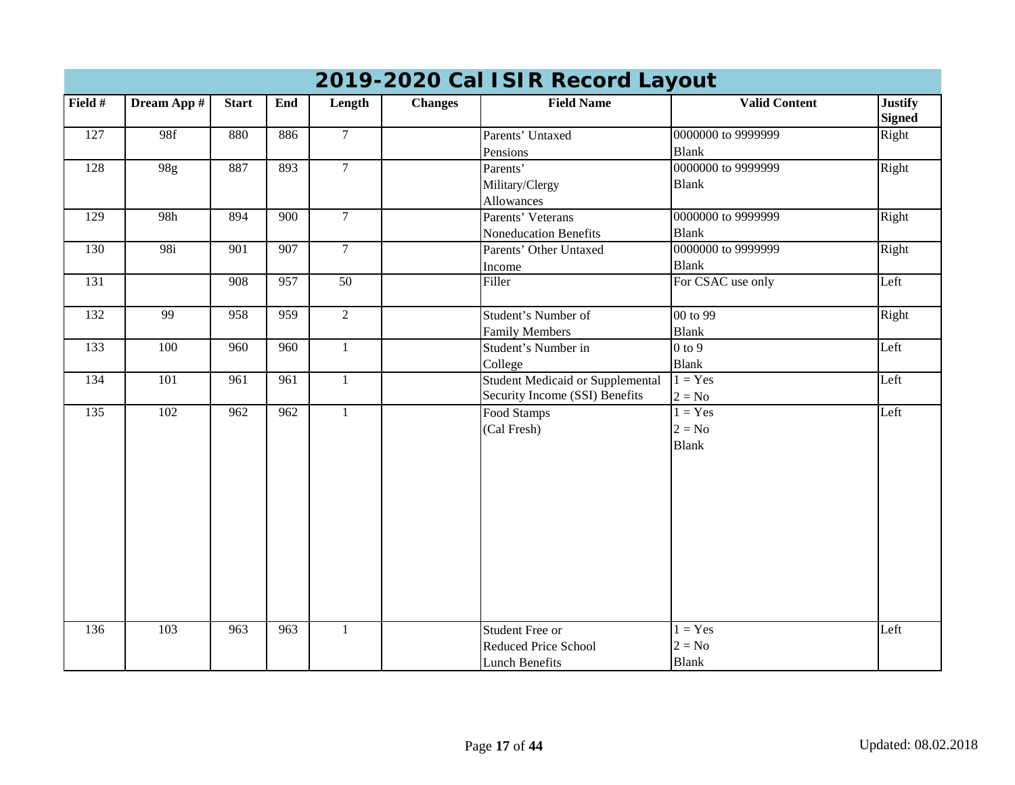|                  | 2019-2020 Cal ISIR Record Layout |                  |                  |                 |                |                                                                                |                                       |                                 |  |  |  |  |
|------------------|----------------------------------|------------------|------------------|-----------------|----------------|--------------------------------------------------------------------------------|---------------------------------------|---------------------------------|--|--|--|--|
| Field #          | Dream App #                      | <b>Start</b>     | End              | Length          | <b>Changes</b> | <b>Field Name</b>                                                              | <b>Valid Content</b>                  | <b>Justify</b><br><b>Signed</b> |  |  |  |  |
| 127              | 98f                              | 880              | 886              | $7\overline{ }$ |                | Parents' Untaxed<br>Pensions                                                   | 0000000 to 9999999<br><b>Blank</b>    | Right                           |  |  |  |  |
| 128              | 98g                              | 887              | 893              | $\overline{7}$  |                | Parents'<br>Military/Clergy<br>Allowances                                      | 0000000 to 9999999<br><b>Blank</b>    | Right                           |  |  |  |  |
| 129              | 98h                              | 894              | 900              | $\overline{7}$  |                | Parents' Veterans<br>Noneducation Benefits                                     | 0000000 to 9999999<br><b>Blank</b>    | Right                           |  |  |  |  |
| 130              | $\overline{98i}$                 | $\overline{901}$ | $\overline{907}$ | $\overline{7}$  |                | Parents' Other Untaxed<br>Income                                               | 0000000 to 9999999<br><b>Blank</b>    | Right                           |  |  |  |  |
| 131              |                                  | 908              | 957              | $\overline{50}$ |                | Filler                                                                         | For CSAC use only                     | Left                            |  |  |  |  |
| 132              | 99                               | 958              | 959              | $\overline{2}$  |                | Student's Number of<br><b>Family Members</b>                                   | 00 to 99<br><b>Blank</b>              | Right                           |  |  |  |  |
| 133              | 100                              | 960              | 960              | $\mathbf{1}$    |                | Student's Number in<br>College                                                 | $0$ to $9$<br><b>Blank</b>            | Left                            |  |  |  |  |
| 134              | 101                              | $\overline{961}$ | $\overline{961}$ | $\mathbf{1}$    |                | <b>Student Medicaid or Supplemental</b><br>Security Income (SSI) Benefits      | $1 = Yes$<br>$2 = No$                 | Left                            |  |  |  |  |
| $\overline{135}$ | 102                              | 962              | $\overline{962}$ | $\mathbf{1}$    |                | Food Stamps<br>(Cal Fresh)                                                     | $1 = Yes$<br>$2 = No$<br><b>Blank</b> | Left                            |  |  |  |  |
| $\frac{136}{ }$  | 103                              | 963              | 963              | $\mathbf{1}$    |                | <b>Student Free or</b><br><b>Reduced Price School</b><br><b>Lunch Benefits</b> | $1 = Yes$<br>$2 = No$<br><b>Blank</b> | Left                            |  |  |  |  |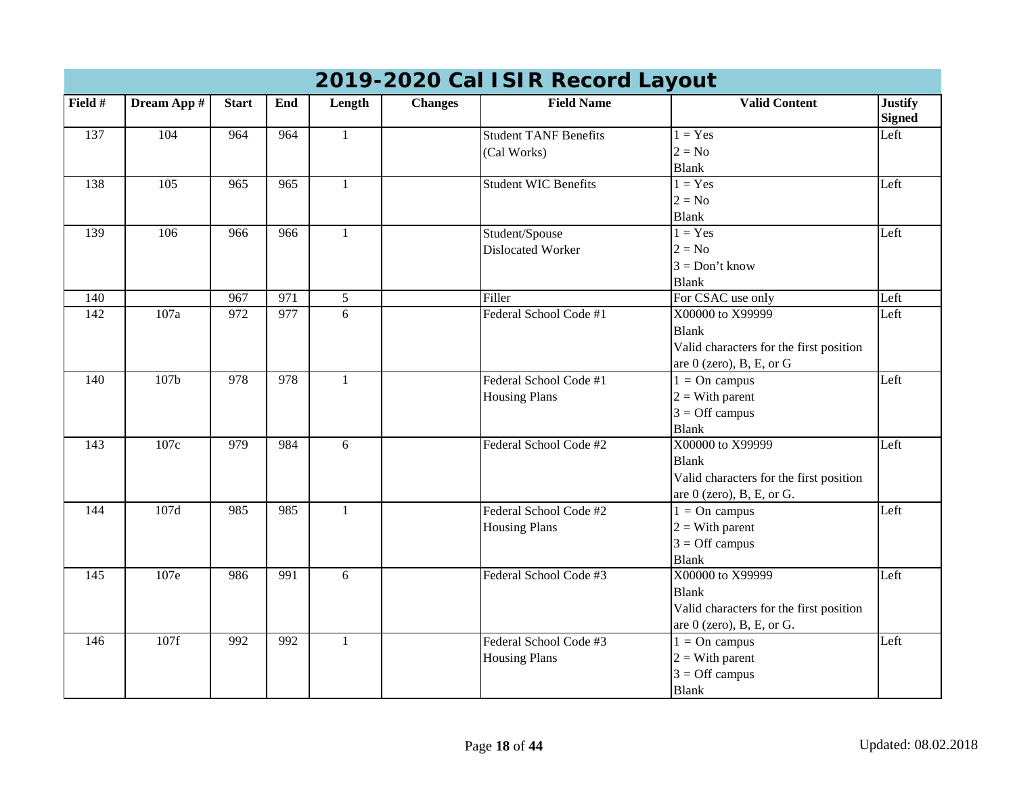|                  | 2019-2020 Cal ISIR Record Layout |              |                  |              |                |                              |                                         |                                 |  |  |  |  |
|------------------|----------------------------------|--------------|------------------|--------------|----------------|------------------------------|-----------------------------------------|---------------------------------|--|--|--|--|
| Field #          | Dream App #                      | <b>Start</b> | End              | Length       | <b>Changes</b> | <b>Field Name</b>            | <b>Valid Content</b>                    | <b>Justify</b><br><b>Signed</b> |  |  |  |  |
| 137              | 104                              | 964          | 964              | $\mathbf{1}$ |                | <b>Student TANF Benefits</b> | $1 = Yes$                               | Left                            |  |  |  |  |
|                  |                                  |              |                  |              |                | (Cal Works)                  | $2 = No$                                |                                 |  |  |  |  |
|                  |                                  |              |                  |              |                |                              | <b>Blank</b>                            |                                 |  |  |  |  |
| 138              | 105                              | 965          | 965              | $\mathbf{1}$ |                | <b>Student WIC Benefits</b>  | $1 = Yes$                               | Left                            |  |  |  |  |
|                  |                                  |              |                  |              |                |                              | $2 = No$                                |                                 |  |  |  |  |
|                  |                                  |              |                  |              |                |                              | <b>Blank</b>                            |                                 |  |  |  |  |
| 139              | $\frac{106}{2}$                  | 966          | 966              | $\mathbf{1}$ |                | Student/Spouse               | $1 = Yes$                               | Left                            |  |  |  |  |
|                  |                                  |              |                  |              |                | <b>Dislocated Worker</b>     | $2 = No$                                |                                 |  |  |  |  |
|                  |                                  |              |                  |              |                |                              | $3 = Don't know$                        |                                 |  |  |  |  |
|                  |                                  |              |                  |              |                |                              | <b>Blank</b>                            |                                 |  |  |  |  |
| 140              |                                  | 967          | $\overline{971}$ | 5            |                | Filler                       | For CSAC use only                       | Left                            |  |  |  |  |
| 142              | 107a                             | 972          | 977              | 6            |                | Federal School Code #1       | X00000 to X99999                        | Left                            |  |  |  |  |
|                  |                                  |              |                  |              |                |                              | <b>Blank</b>                            |                                 |  |  |  |  |
|                  |                                  |              |                  |              |                |                              | Valid characters for the first position |                                 |  |  |  |  |
|                  |                                  |              |                  |              |                |                              | are 0 (zero), B, E, or G                |                                 |  |  |  |  |
| 140              | 107 <sub>b</sub>                 | 978          | 978              | $\mathbf{1}$ |                | Federal School Code #1       | $1 = On$ campus                         | Left                            |  |  |  |  |
|                  |                                  |              |                  |              |                | <b>Housing Plans</b>         | $2 = With parent$                       |                                 |  |  |  |  |
|                  |                                  |              |                  |              |                |                              | $3 =$ Off campus                        |                                 |  |  |  |  |
|                  |                                  |              |                  |              |                |                              | <b>Blank</b>                            |                                 |  |  |  |  |
| 143              | 107c                             | 979          | 984              | 6            |                | Federal School Code #2       | X00000 to X99999                        | Left                            |  |  |  |  |
|                  |                                  |              |                  |              |                |                              | <b>Blank</b>                            |                                 |  |  |  |  |
|                  |                                  |              |                  |              |                |                              | Valid characters for the first position |                                 |  |  |  |  |
|                  |                                  |              |                  |              |                |                              | are $0$ (zero), B, E, or G.             |                                 |  |  |  |  |
| 144              | 107d                             | 985          | 985              | $\mathbf{1}$ |                | Federal School Code #2       | $1 = On$ campus                         | Left                            |  |  |  |  |
|                  |                                  |              |                  |              |                | <b>Housing Plans</b>         | $2 = With parent$                       |                                 |  |  |  |  |
|                  |                                  |              |                  |              |                |                              | $3 =$ Off campus                        |                                 |  |  |  |  |
|                  |                                  |              |                  |              |                |                              | <b>Blank</b>                            |                                 |  |  |  |  |
| $\overline{145}$ | 107e                             | 986          | $\overline{991}$ | 6            |                | Federal School Code #3       | X00000 to X99999                        | Left                            |  |  |  |  |
|                  |                                  |              |                  |              |                |                              | <b>Blank</b>                            |                                 |  |  |  |  |
|                  |                                  |              |                  |              |                |                              | Valid characters for the first position |                                 |  |  |  |  |
|                  |                                  |              |                  |              |                |                              | are $0$ (zero), B, E, or G.             |                                 |  |  |  |  |
| 146              | 107f                             | 992          | 992              | $\mathbf{1}$ |                | Federal School Code #3       | $1 = On$ campus                         | Left                            |  |  |  |  |
|                  |                                  |              |                  |              |                | <b>Housing Plans</b>         | $2 = With parent$                       |                                 |  |  |  |  |
|                  |                                  |              |                  |              |                |                              | $3 =$ Off campus                        |                                 |  |  |  |  |
|                  |                                  |              |                  |              |                |                              | <b>Blank</b>                            |                                 |  |  |  |  |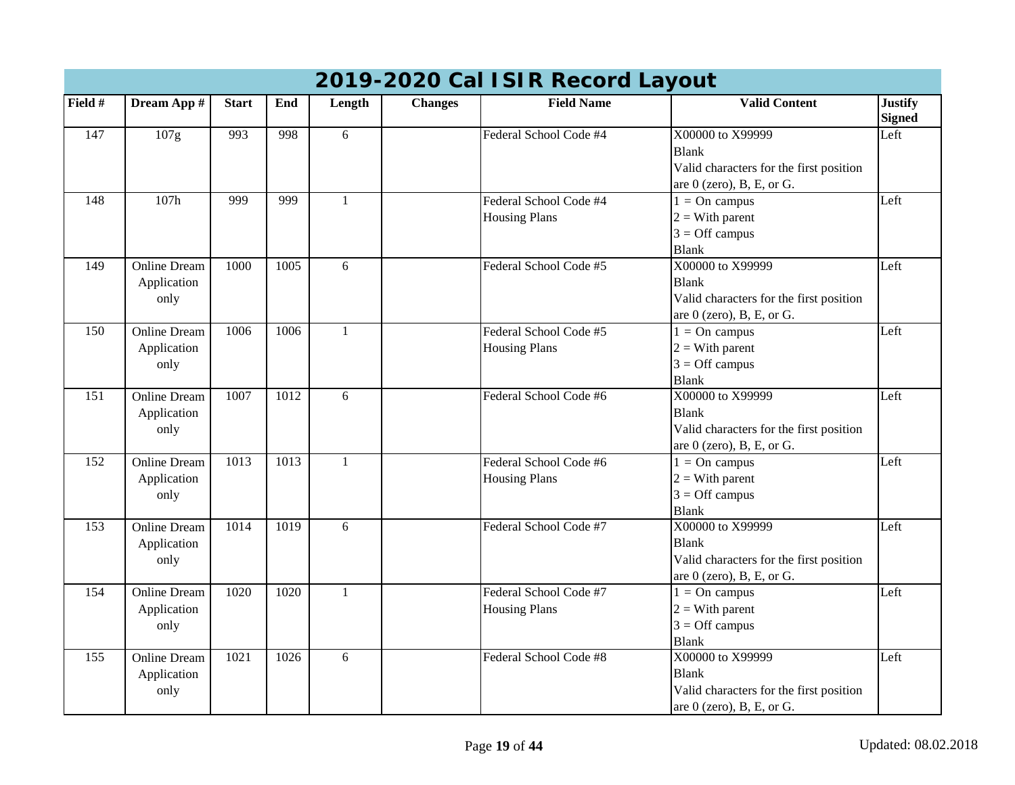|                  | 2019-2020 Cal ISIR Record Layout           |              |      |              |                |                                                |                                                                                                            |                                 |  |  |  |  |
|------------------|--------------------------------------------|--------------|------|--------------|----------------|------------------------------------------------|------------------------------------------------------------------------------------------------------------|---------------------------------|--|--|--|--|
| Field #          | Dream App #                                | <b>Start</b> | End  | Length       | <b>Changes</b> | <b>Field Name</b>                              | <b>Valid Content</b>                                                                                       | <b>Justify</b><br><b>Signed</b> |  |  |  |  |
| 147              | 107g                                       | 993          | 998  | 6            |                | Federal School Code #4                         | X00000 to X99999<br><b>Blank</b><br>Valid characters for the first position<br>are $0$ (zero), B, E, or G. | Left                            |  |  |  |  |
| 148              | 107h                                       | 999          | 999  | 1            |                | Federal School Code #4<br><b>Housing Plans</b> | $1 = On$ campus<br>$2 = With parent$<br>$3 =$ Off campus<br><b>Blank</b>                                   | Left                            |  |  |  |  |
| 149              | <b>Online Dream</b><br>Application<br>only | 1000         | 1005 | 6            |                | Federal School Code #5                         | X00000 to X99999<br><b>Blank</b><br>Valid characters for the first position<br>are $0$ (zero), B, E, or G. | Left                            |  |  |  |  |
| 150              | <b>Online Dream</b><br>Application<br>only | 1006         | 1006 | 1            |                | Federal School Code #5<br><b>Housing Plans</b> | $1 = On$ campus<br>$2 = With parent$<br>$3 =$ Off campus<br><b>Blank</b>                                   | Left                            |  |  |  |  |
| $\overline{151}$ | <b>Online Dream</b><br>Application<br>only | 1007         | 1012 | 6            |                | Federal School Code #6                         | X00000 to X99999<br><b>Blank</b><br>Valid characters for the first position<br>are $0$ (zero), B, E, or G. | Left                            |  |  |  |  |
| 152              | <b>Online Dream</b><br>Application<br>only | 1013         | 1013 | $\mathbf{1}$ |                | Federal School Code #6<br><b>Housing Plans</b> | $1 = On$ campus<br>$2 = With parent$<br>$3 =$ Off campus<br><b>Blank</b>                                   | Left                            |  |  |  |  |
| 153              | <b>Online Dream</b><br>Application<br>only | 1014         | 1019 | 6            |                | Federal School Code #7                         | X00000 to X99999<br><b>Blank</b><br>Valid characters for the first position<br>are $0$ (zero), B, E, or G. | Left                            |  |  |  |  |
| 154              | <b>Online Dream</b><br>Application<br>only | 1020         | 1020 | $\mathbf{1}$ |                | Federal School Code #7<br><b>Housing Plans</b> | $\overline{1}$ = On campus<br>$2 = With parent$<br>$3 =$ Off campus<br><b>Blank</b>                        | Left                            |  |  |  |  |
| 155              | <b>Online Dream</b><br>Application<br>only | 1021         | 1026 | 6            |                | Federal School Code #8                         | X00000 to X99999<br><b>Blank</b><br>Valid characters for the first position<br>are $0$ (zero), B, E, or G. | Left                            |  |  |  |  |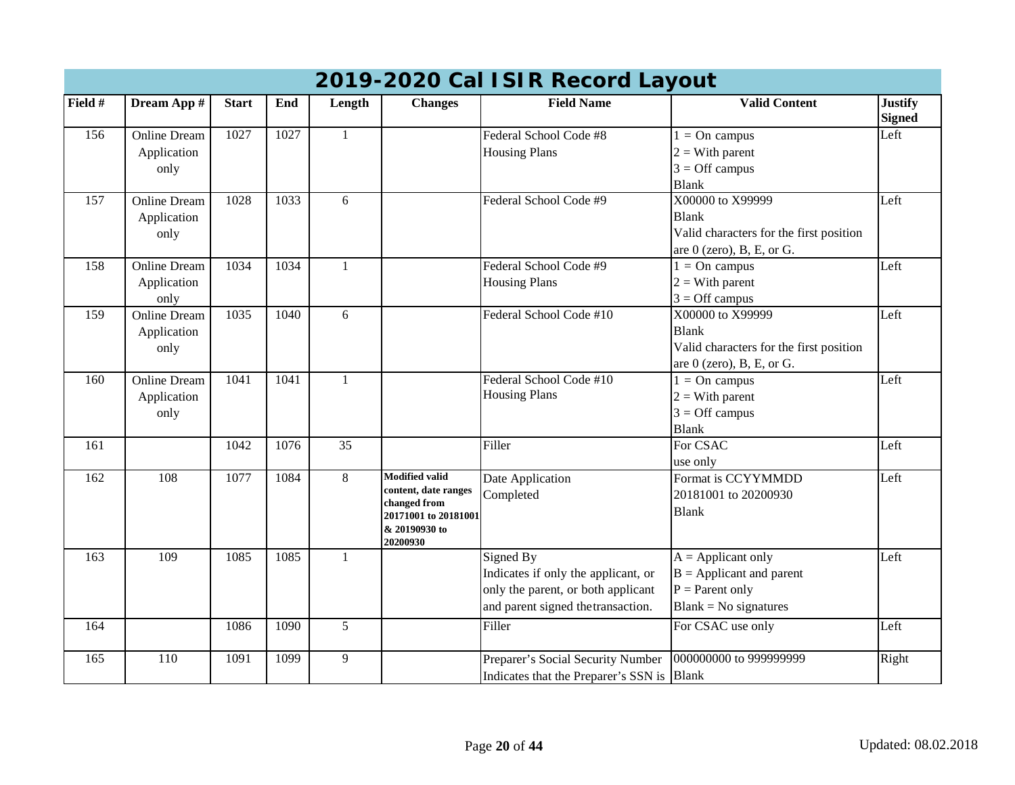|         | 2019-2020 Cal ISIR Record Layout |              |      |              |                                      |                                            |                                         |                                 |  |  |  |
|---------|----------------------------------|--------------|------|--------------|--------------------------------------|--------------------------------------------|-----------------------------------------|---------------------------------|--|--|--|
| Field # | Dream App #                      | <b>Start</b> | End  | Length       | <b>Changes</b>                       | <b>Field Name</b>                          | <b>Valid Content</b>                    | <b>Justify</b><br><b>Signed</b> |  |  |  |
| 156     | <b>Online Dream</b>              | 1027         | 1027 | $\mathbf{1}$ |                                      | Federal School Code #8                     | $1 = On$ campus                         | Left                            |  |  |  |
|         | Application                      |              |      |              |                                      | <b>Housing Plans</b>                       | $2 = With parent$                       |                                 |  |  |  |
|         | only                             |              |      |              |                                      |                                            | $3 =$ Off campus                        |                                 |  |  |  |
|         |                                  |              |      |              |                                      |                                            | <b>Blank</b>                            |                                 |  |  |  |
| 157     | <b>Online Dream</b>              | 1028         | 1033 | 6            |                                      | Federal School Code #9                     | X00000 to X99999                        | Left                            |  |  |  |
|         | Application                      |              |      |              |                                      |                                            | <b>Blank</b>                            |                                 |  |  |  |
|         | only                             |              |      |              |                                      |                                            | Valid characters for the first position |                                 |  |  |  |
|         |                                  |              |      |              |                                      |                                            | are $0$ (zero), B, E, or G.             |                                 |  |  |  |
| 158     | <b>Online Dream</b>              | 1034         | 1034 | $\mathbf{1}$ |                                      | Federal School Code #9                     | $1 = On$ campus                         | Left                            |  |  |  |
|         | Application                      |              |      |              |                                      | <b>Housing Plans</b>                       | $2 = With parent$                       |                                 |  |  |  |
|         | only                             |              |      |              |                                      |                                            | $3 =$ Off campus                        |                                 |  |  |  |
| 159     | <b>Online Dream</b>              | 1035         | 1040 | 6            |                                      | Federal School Code #10                    | X00000 to X99999                        | Left                            |  |  |  |
|         | Application                      |              |      |              |                                      |                                            | <b>Blank</b>                            |                                 |  |  |  |
|         | only                             |              |      |              |                                      |                                            | Valid characters for the first position |                                 |  |  |  |
|         |                                  |              |      |              |                                      |                                            | are $0$ (zero), B, E, or G.             |                                 |  |  |  |
| 160     | <b>Online Dream</b>              | 1041         | 1041 | $\mathbf{1}$ |                                      | Federal School Code #10                    | $1 = On$ campus                         | Left                            |  |  |  |
|         | Application                      |              |      |              |                                      | <b>Housing Plans</b>                       | $2 = With parent$                       |                                 |  |  |  |
|         | only                             |              |      |              |                                      |                                            | $3 =$ Off campus                        |                                 |  |  |  |
|         |                                  |              |      |              |                                      |                                            | <b>Blank</b>                            |                                 |  |  |  |
| 161     |                                  | 1042         | 1076 | 35           |                                      | Filler                                     | For CSAC                                | Left                            |  |  |  |
|         |                                  |              |      |              |                                      |                                            | use only                                |                                 |  |  |  |
| 162     | 108                              | 1077         | 1084 | 8            | <b>Modified valid</b>                | Date Application                           | Format is CCYYMMDD                      | Left                            |  |  |  |
|         |                                  |              |      |              | content, date ranges                 | Completed                                  | 20181001 to 20200930                    |                                 |  |  |  |
|         |                                  |              |      |              | changed from<br>20171001 to 20181001 |                                            | <b>Blank</b>                            |                                 |  |  |  |
|         |                                  |              |      |              | & 20190930 to                        |                                            |                                         |                                 |  |  |  |
|         |                                  |              |      |              | 20200930                             |                                            |                                         |                                 |  |  |  |
| 163     | 109                              | 1085         | 1085 | 1            |                                      | Signed By                                  | $A = \text{Application}$                | Left                            |  |  |  |
|         |                                  |              |      |              |                                      | Indicates if only the applicant, or        | $B =$ Applicant and parent              |                                 |  |  |  |
|         |                                  |              |      |              |                                      | only the parent, or both applicant         | $P = Parent only$                       |                                 |  |  |  |
|         |                                  |              |      |              |                                      | and parent signed the transaction.         | $Blank = No$ signatures                 |                                 |  |  |  |
| 164     |                                  | 1086         | 1090 | 5            |                                      | Filler                                     | For CSAC use only                       | Left                            |  |  |  |
|         |                                  |              |      |              |                                      |                                            |                                         |                                 |  |  |  |
| 165     | 110                              | 1091         | 1099 | 9            |                                      | Preparer's Social Security Number          | 000000000 to 999999999                  | Right                           |  |  |  |
|         |                                  |              |      |              |                                      | Indicates that the Preparer's SSN is Blank |                                         |                                 |  |  |  |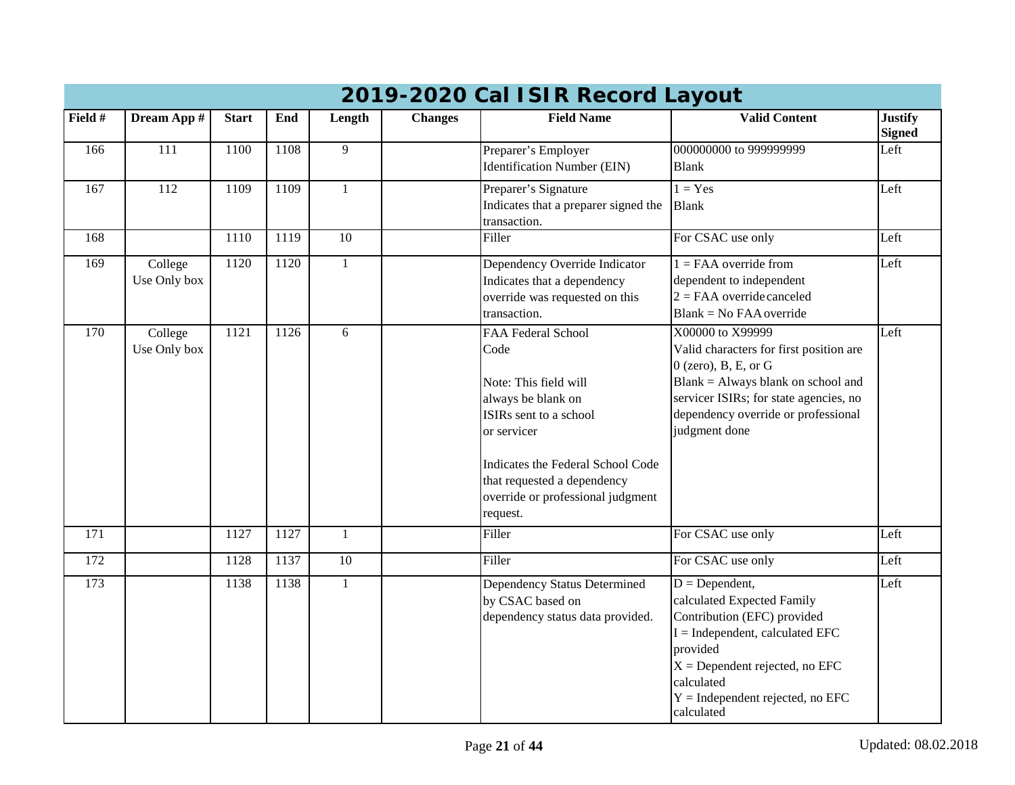| 2019-2020 Cal ISIR Record Layout |                         |              |      |              |                |                                                                                                                                                                                                                                         |                                                                                                                                                                                                                                       |                                 |  |  |  |
|----------------------------------|-------------------------|--------------|------|--------------|----------------|-----------------------------------------------------------------------------------------------------------------------------------------------------------------------------------------------------------------------------------------|---------------------------------------------------------------------------------------------------------------------------------------------------------------------------------------------------------------------------------------|---------------------------------|--|--|--|
| Field #                          | Dream App #             | <b>Start</b> | End  | Length       | <b>Changes</b> | <b>Field Name</b>                                                                                                                                                                                                                       | <b>Valid Content</b>                                                                                                                                                                                                                  | <b>Justify</b><br><b>Signed</b> |  |  |  |
| 166                              | 111                     | 1100         | 1108 | 9            |                | Preparer's Employer<br><b>Identification Number (EIN)</b>                                                                                                                                                                               | 000000000 to 999999999<br><b>Blank</b>                                                                                                                                                                                                | Left                            |  |  |  |
| 167                              | $\overline{112}$        | 1109         | 1109 | 1            |                | Preparer's Signature<br>Indicates that a preparer signed the<br>transaction.                                                                                                                                                            | $1 = Yes$<br><b>Blank</b>                                                                                                                                                                                                             | Left                            |  |  |  |
| 168                              |                         | 1110         | 1119 | 10           |                | Filler                                                                                                                                                                                                                                  | For CSAC use only                                                                                                                                                                                                                     | Left                            |  |  |  |
| 169                              | College<br>Use Only box | 1120         | 1120 | $\mathbf{1}$ |                | Dependency Override Indicator<br>Indicates that a dependency<br>override was requested on this<br>transaction.                                                                                                                          | $1 = FAA$ override from<br>dependent to independent<br>$2 = FAA$ override canceled<br>$Blank = No$ FAA override                                                                                                                       | Left                            |  |  |  |
| 170                              | College<br>Use Only box | 1121         | 1126 | 6            |                | FAA Federal School<br>Code<br>Note: This field will<br>always be blank on<br>ISIRs sent to a school<br>or servicer<br>Indicates the Federal School Code<br>that requested a dependency<br>override or professional judgment<br>request. | X00000 to X99999<br>Valid characters for first position are<br>$0$ (zero), B, E, or G<br>Blank = Always blank on school and<br>servicer ISIRs; for state agencies, no<br>dependency override or professional<br>judgment done         | Left                            |  |  |  |
| $\overline{171}$                 |                         | 1127         | 1127 | $\mathbf{1}$ |                | Filler                                                                                                                                                                                                                                  | For CSAC use only                                                                                                                                                                                                                     | Left                            |  |  |  |
| 172                              |                         | 1128         | 1137 | 10           |                | Filler                                                                                                                                                                                                                                  | For CSAC use only                                                                                                                                                                                                                     | Left                            |  |  |  |
| 173                              |                         | 1138         | 1138 | $\mathbf{1}$ |                | Dependency Status Determined<br>by CSAC based on<br>dependency status data provided.                                                                                                                                                    | $D = Dependent,$<br>calculated Expected Family<br>Contribution (EFC) provided<br>$I = Independent$ , calculated EFC<br>provided<br>$X =$ Dependent rejected, no EFC<br>calculated<br>$Y =$ Independent rejected, no EFC<br>calculated | Left                            |  |  |  |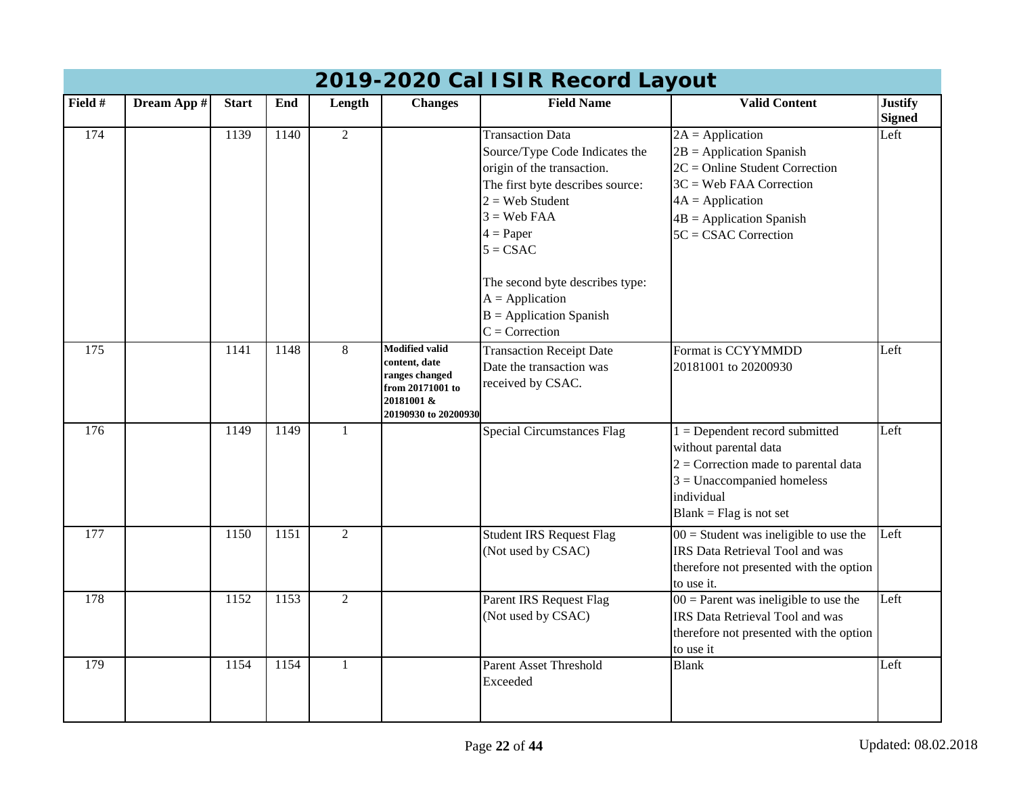| 2019-2020 Cal ISIR Record Layout |             |              |      |                |                                                                                                                    |                                                                                                                                                                                                |                                                                                                                                                                                                 |                                 |  |  |  |
|----------------------------------|-------------|--------------|------|----------------|--------------------------------------------------------------------------------------------------------------------|------------------------------------------------------------------------------------------------------------------------------------------------------------------------------------------------|-------------------------------------------------------------------------------------------------------------------------------------------------------------------------------------------------|---------------------------------|--|--|--|
| Field #                          | Dream App # | <b>Start</b> | End  | Length         | <b>Changes</b>                                                                                                     | <b>Field Name</b>                                                                                                                                                                              | <b>Valid Content</b>                                                                                                                                                                            | <b>Justify</b><br><b>Signed</b> |  |  |  |
| 174                              |             | 1139         | 1140 | $\overline{2}$ |                                                                                                                    | <b>Transaction Data</b><br>Source/Type Code Indicates the<br>origin of the transaction.<br>The first byte describes source:<br>$2 =$ Web Student<br>$3 =$ Web FAA<br>$4 = Paper$<br>$5 = CSAC$ | $2A = Application$<br>$2B =$ Application Spanish<br>$2C = Online Student Correction$<br>$3C =$ Web FAA Correction<br>$4A = Application$<br>$4B =$ Application Spanish<br>$5C = CSAC$ Correction | Left                            |  |  |  |
|                                  |             |              |      |                |                                                                                                                    | The second byte describes type:<br>$A = Application$<br>$B =$ Application Spanish<br>$C =$ Correction                                                                                          |                                                                                                                                                                                                 |                                 |  |  |  |
| 175                              |             | 1141         | 1148 | 8              | <b>Modified valid</b><br>content, date<br>ranges changed<br>from 20171001 to<br>20181001 &<br>20190930 to 20200930 | <b>Transaction Receipt Date</b><br>Date the transaction was<br>received by CSAC.                                                                                                               | Format is CCYYMMDD<br>20181001 to 20200930                                                                                                                                                      | Left                            |  |  |  |
| 176                              |             | 1149         | 1149 | 1              |                                                                                                                    | <b>Special Circumstances Flag</b>                                                                                                                                                              | $1 =$ Dependent record submitted<br>without parental data<br>$2$ = Correction made to parental data<br>$3$ = Unaccompanied homeless<br>individual<br>$Blank = Flag$ is not set                  | Left                            |  |  |  |
| 177                              |             | 1150         | 1151 | $\overline{2}$ |                                                                                                                    | <b>Student IRS Request Flag</b><br>(Not used by CSAC)                                                                                                                                          | $00 =$ Student was ineligible to use the<br><b>IRS Data Retrieval Tool and was</b><br>therefore not presented with the option<br>to use it.                                                     | Left                            |  |  |  |
| 178                              |             | 1152         | 1153 | $\overline{2}$ |                                                                                                                    | Parent IRS Request Flag<br>(Not used by CSAC)                                                                                                                                                  | $00 =$ Parent was ineligible to use the<br>IRS Data Retrieval Tool and was<br>therefore not presented with the option<br>to use it                                                              | Left                            |  |  |  |
| 179                              |             | 1154         | 1154 | $\mathbf{1}$   |                                                                                                                    | Parent Asset Threshold<br>Exceeded                                                                                                                                                             | <b>Blank</b>                                                                                                                                                                                    | Left                            |  |  |  |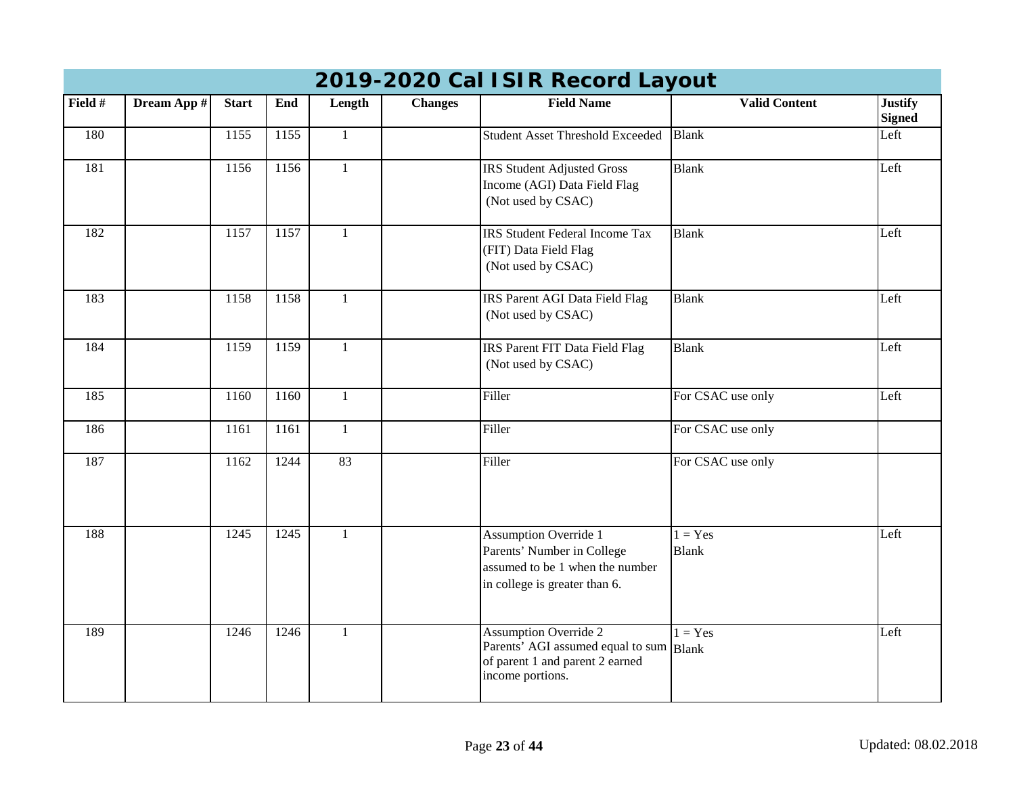| 2019-2020 Carl Sirk Record Layout |             |              |      |              |                |                                                                                                                                |                           |                                 |  |  |  |
|-----------------------------------|-------------|--------------|------|--------------|----------------|--------------------------------------------------------------------------------------------------------------------------------|---------------------------|---------------------------------|--|--|--|
| Field #                           | Dream App # | <b>Start</b> | End  | Length       | <b>Changes</b> | <b>Field Name</b>                                                                                                              | <b>Valid Content</b>      | <b>Justify</b><br><b>Signed</b> |  |  |  |
| 180                               |             | 1155         | 1155 | $\mathbf{1}$ |                | <b>Student Asset Threshold Exceeded</b>                                                                                        | <b>Blank</b>              | Left                            |  |  |  |
| 181                               |             | 1156         | 1156 | $\mathbf{1}$ |                | <b>IRS Student Adjusted Gross</b><br>Income (AGI) Data Field Flag<br>(Not used by CSAC)                                        | <b>Blank</b>              | Left                            |  |  |  |
| 182                               |             | 1157         | 1157 | $\mathbf{1}$ |                | <b>IRS</b> Student Federal Income Tax<br>(FIT) Data Field Flag<br>(Not used by CSAC)                                           | <b>Blank</b>              | Left                            |  |  |  |
| 183                               |             | 1158         | 1158 | $\mathbf{1}$ |                | IRS Parent AGI Data Field Flag<br>(Not used by CSAC)                                                                           | <b>Blank</b>              | Left                            |  |  |  |
| 184                               |             | 1159         | 1159 | $\mathbf{1}$ |                | IRS Parent FIT Data Field Flag<br>(Not used by CSAC)                                                                           | <b>Blank</b>              | Left                            |  |  |  |
| 185                               |             | 1160         | 1160 | $\mathbf{1}$ |                | Filler                                                                                                                         | For CSAC use only         | Left                            |  |  |  |
| 186                               |             | 1161         | 1161 | $\mathbf{1}$ |                | Filler                                                                                                                         | For CSAC use only         |                                 |  |  |  |
| 187                               |             | 1162         | 1244 | 83           |                | Filler                                                                                                                         | For CSAC use only         |                                 |  |  |  |
| 188                               |             | 1245         | 1245 | $\mathbf{1}$ |                | <b>Assumption Override 1</b><br>Parents' Number in College<br>assumed to be 1 when the number<br>in college is greater than 6. | $1 = Yes$<br><b>Blank</b> | Left                            |  |  |  |
| 189                               |             | 1246         | 1246 | $\mathbf{1}$ |                | <b>Assumption Override 2</b><br>Parents' AGI assumed equal to sum Blank<br>of parent 1 and parent 2 earned<br>income portions. | $1 = Yes$                 | Left                            |  |  |  |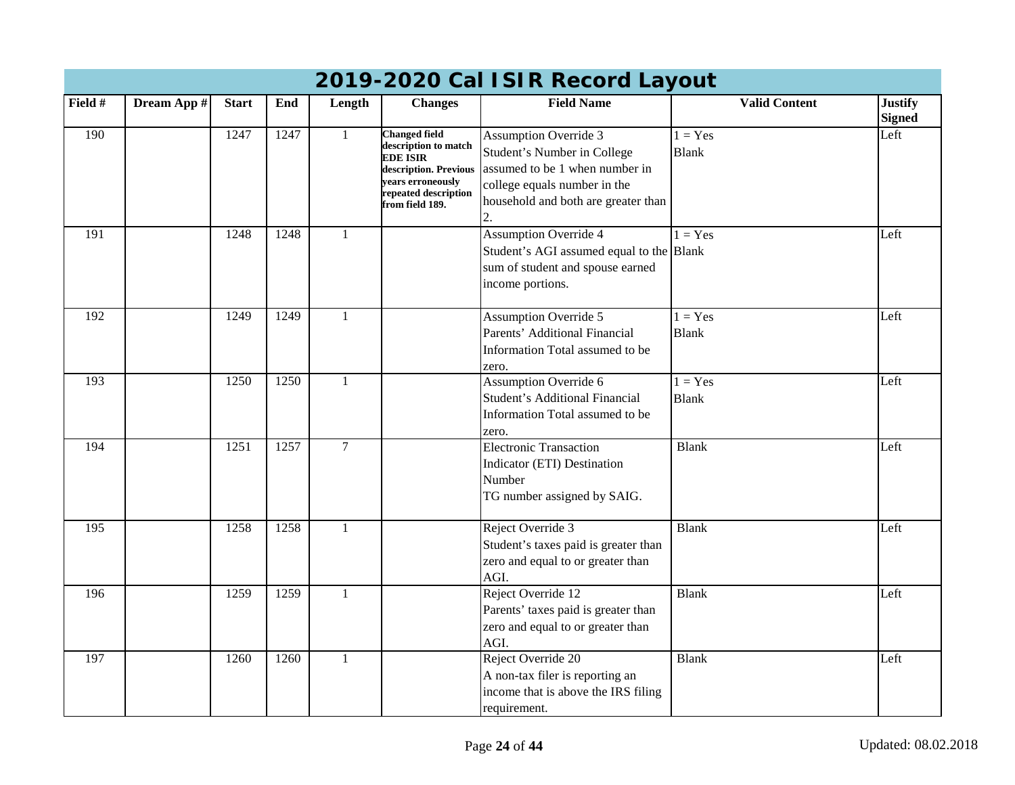| 2019-2020 Cal ISIR Record Layout |             |              |      |               |                                                                                                                                                          |                                                                                                                                                                      |                           |                                 |  |  |  |
|----------------------------------|-------------|--------------|------|---------------|----------------------------------------------------------------------------------------------------------------------------------------------------------|----------------------------------------------------------------------------------------------------------------------------------------------------------------------|---------------------------|---------------------------------|--|--|--|
| Field #                          | Dream App # | <b>Start</b> | End  | Length        | <b>Changes</b>                                                                                                                                           | <b>Field Name</b>                                                                                                                                                    | <b>Valid Content</b>      | <b>Justify</b><br><b>Signed</b> |  |  |  |
| 190                              |             | 1247         | 1247 | $\mathbf{1}$  | <b>Changed field</b><br>description to match<br><b>EDE ISIR</b><br>description. Previous<br>years erroneously<br>repeated description<br>from field 189. | <b>Assumption Override 3</b><br>Student's Number in College<br>assumed to be 1 when number in<br>college equals number in the<br>household and both are greater than | $1 = Yes$<br><b>Blank</b> | Left                            |  |  |  |
| 191                              |             | 1248         | 1248 | $\mathbf{1}$  |                                                                                                                                                          | <b>Assumption Override 4</b><br>Student's AGI assumed equal to the Blank<br>sum of student and spouse earned<br>income portions.                                     | $1 = Yes$                 | Left                            |  |  |  |
| 192                              |             | 1249         | 1249 | 1             |                                                                                                                                                          | <b>Assumption Override 5</b><br>Parents' Additional Financial<br>Information Total assumed to be<br>zero.                                                            | $1 = Yes$<br><b>Blank</b> | Left                            |  |  |  |
| 193                              |             | 1250         | 1250 | 1             |                                                                                                                                                          | <b>Assumption Override 6</b><br><b>Student's Additional Financial</b><br>Information Total assumed to be<br>zero.                                                    | $1 = Yes$<br><b>Blank</b> | Left                            |  |  |  |
| 194                              |             | 1251         | 1257 | $\mathcal{I}$ |                                                                                                                                                          | <b>Electronic Transaction</b><br>Indicator (ETI) Destination<br>Number<br>TG number assigned by SAIG.                                                                | <b>Blank</b>              | Left                            |  |  |  |
| 195                              |             | 1258         | 1258 |               |                                                                                                                                                          | Reject Override 3<br>Student's taxes paid is greater than<br>zero and equal to or greater than<br>AGI.                                                               | <b>Blank</b>              | Left                            |  |  |  |
| 196                              |             | 1259         | 1259 | $\mathbf{1}$  |                                                                                                                                                          | Reject Override 12<br>Parents' taxes paid is greater than<br>zero and equal to or greater than<br>AGI.                                                               | <b>Blank</b>              | Left                            |  |  |  |
| 197                              |             | 1260         | 1260 | $\mathbf{1}$  |                                                                                                                                                          | Reject Override 20<br>A non-tax filer is reporting an<br>income that is above the IRS filing<br>requirement.                                                         | <b>Blank</b>              | Left                            |  |  |  |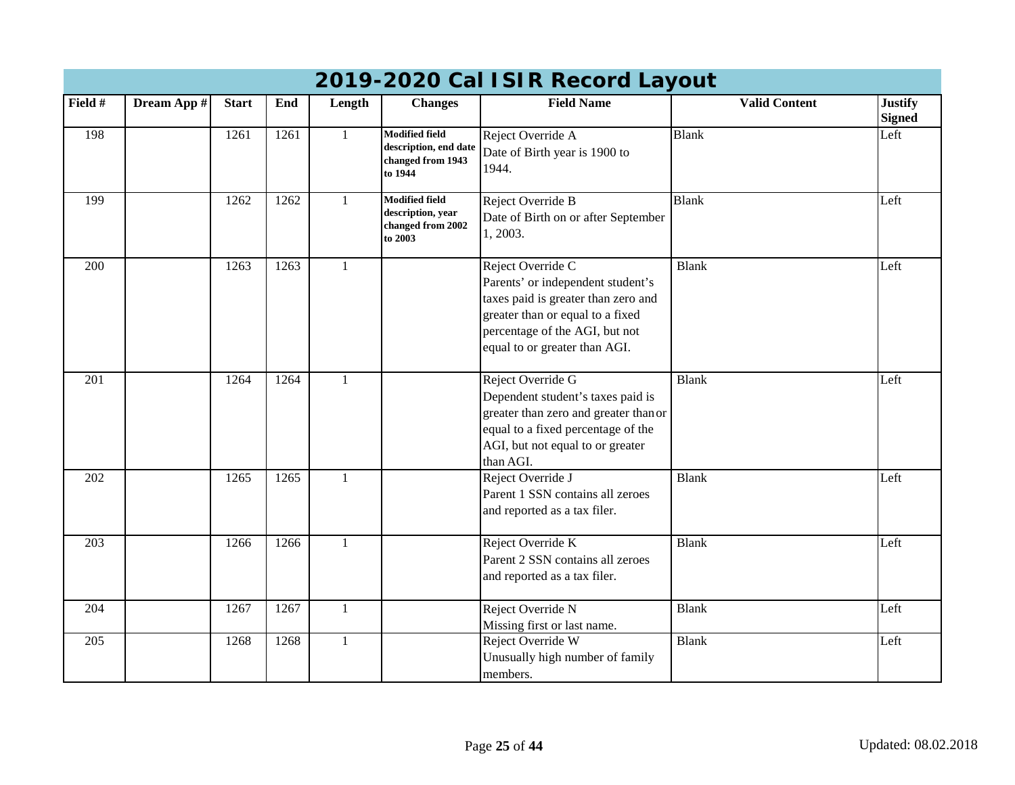|         | 2019-2020 Cal ISIR Record Layout |              |      |              |                                                                                |                                                                                                                                                                                                      |                      |                                 |  |  |  |  |
|---------|----------------------------------|--------------|------|--------------|--------------------------------------------------------------------------------|------------------------------------------------------------------------------------------------------------------------------------------------------------------------------------------------------|----------------------|---------------------------------|--|--|--|--|
| Field # | Dream App #                      | <b>Start</b> | End  | Length       | <b>Changes</b>                                                                 | <b>Field Name</b>                                                                                                                                                                                    | <b>Valid Content</b> | <b>Justify</b><br><b>Signed</b> |  |  |  |  |
| 198     |                                  | 1261         | 1261 | $\mathbf{1}$ | <b>Modified field</b><br>description, end date<br>changed from 1943<br>to 1944 | Reject Override A<br>Date of Birth year is 1900 to<br>1944.                                                                                                                                          | <b>Blank</b>         | Left                            |  |  |  |  |
| 199     |                                  | 1262         | 1262 | 1            | <b>Modified field</b><br>description, year<br>changed from 2002<br>to 2003     | Reject Override B<br>Date of Birth on or after September<br>1, 2003.                                                                                                                                 | <b>Blank</b>         | Left                            |  |  |  |  |
| 200     |                                  | 1263         | 1263 | $\mathbf{1}$ |                                                                                | Reject Override C<br>Parents' or independent student's<br>taxes paid is greater than zero and<br>greater than or equal to a fixed<br>percentage of the AGI, but not<br>equal to or greater than AGI. | <b>Blank</b>         | Left                            |  |  |  |  |
| 201     |                                  | 1264         | 1264 | 1            |                                                                                | Reject Override G<br>Dependent student's taxes paid is<br>greater than zero and greater than or<br>equal to a fixed percentage of the<br>AGI, but not equal to or greater<br>than AGI.               | <b>Blank</b>         | Left                            |  |  |  |  |
| 202     |                                  | 1265         | 1265 | $\mathbf{1}$ |                                                                                | Reject Override J<br>Parent 1 SSN contains all zeroes<br>and reported as a tax filer.                                                                                                                | <b>Blank</b>         | Left                            |  |  |  |  |
| 203     |                                  | 1266         | 1266 | $\mathbf{1}$ |                                                                                | Reject Override K<br>Parent 2 SSN contains all zeroes<br>and reported as a tax filer.                                                                                                                | <b>Blank</b>         | Left                            |  |  |  |  |
| 204     |                                  | 1267         | 1267 | $\mathbf{1}$ |                                                                                | Reject Override N<br>Missing first or last name.                                                                                                                                                     | <b>Blank</b>         | Left                            |  |  |  |  |
| 205     |                                  | 1268         | 1268 | $\mathbf{1}$ |                                                                                | Reject Override W<br>Unusually high number of family<br>members.                                                                                                                                     | <b>Blank</b>         | Left                            |  |  |  |  |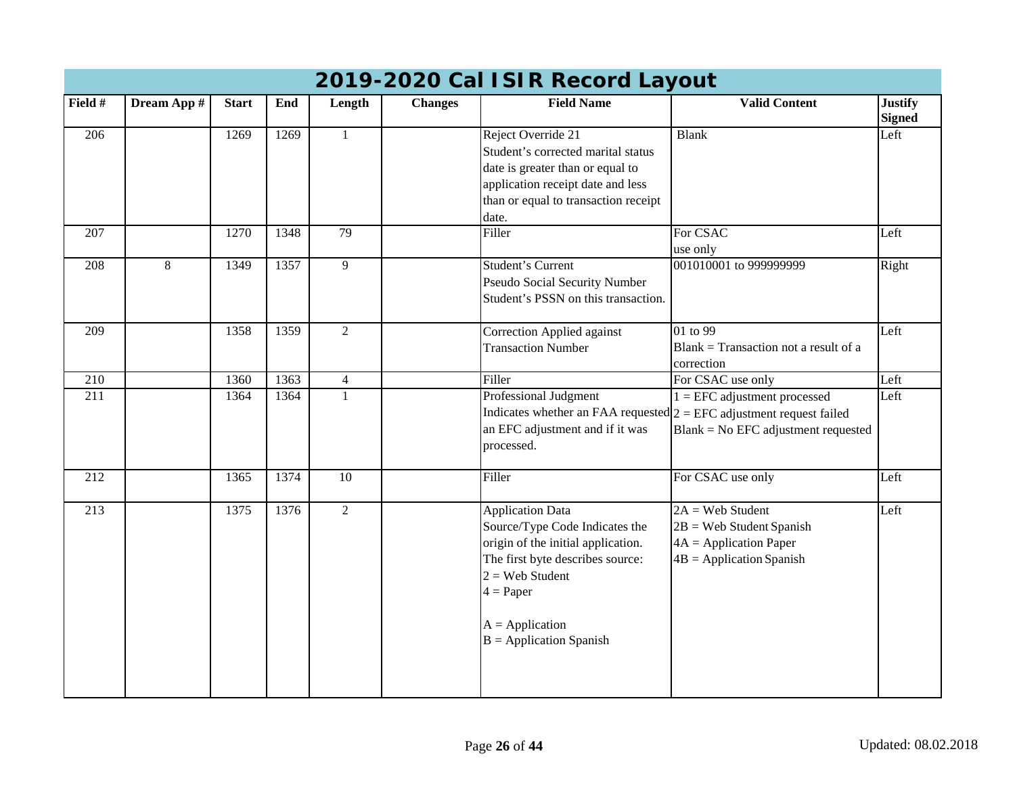|                  | 2019-2020 Cal ISIR Record Layout |              |      |                 |                |                                                                                                                                                                                                                           |                                                                                                            |                                 |  |  |  |  |
|------------------|----------------------------------|--------------|------|-----------------|----------------|---------------------------------------------------------------------------------------------------------------------------------------------------------------------------------------------------------------------------|------------------------------------------------------------------------------------------------------------|---------------------------------|--|--|--|--|
| Field #          | Dream App #                      | <b>Start</b> | End  | Length          | <b>Changes</b> | <b>Field Name</b>                                                                                                                                                                                                         | <b>Valid Content</b>                                                                                       | <b>Justify</b><br><b>Signed</b> |  |  |  |  |
| 206              |                                  | 1269         | 1269 | $\mathbf{1}$    |                | Reject Override 21<br>Student's corrected marital status<br>date is greater than or equal to<br>application receipt date and less<br>than or equal to transaction receipt<br>date.                                        | <b>Blank</b>                                                                                               | Left                            |  |  |  |  |
| 207              |                                  | 1270         | 1348 | 79              |                | Filler                                                                                                                                                                                                                    | For CSAC<br>use only                                                                                       | Left                            |  |  |  |  |
| 208              | 8                                | 1349         | 1357 | $\overline{9}$  |                | <b>Student's Current</b><br>Pseudo Social Security Number<br>Student's PSSN on this transaction.                                                                                                                          | 001010001 to 999999999                                                                                     | Right                           |  |  |  |  |
| 209              |                                  | 1358         | 1359 | $\overline{2}$  |                | Correction Applied against<br><b>Transaction Number</b>                                                                                                                                                                   | 01 to 99<br>$Blank = Transaction not a result of a$<br>correction                                          | Left                            |  |  |  |  |
| $\overline{210}$ |                                  | 1360         | 1363 | $\overline{4}$  |                | Filler                                                                                                                                                                                                                    | For CSAC use only                                                                                          | Left                            |  |  |  |  |
| $\overline{211}$ |                                  | 1364         | 1364 |                 |                | Professional Judgment<br>Indicates whether an FAA requested $2 = EFC$ adjustment request failed<br>an EFC adjustment and if it was<br>processed.                                                                          | $1 = EFC$ adjustment processed<br>$Blank = No EFC$ adjustment requested                                    | Left                            |  |  |  |  |
| 212              |                                  | 1365         | 1374 | $\overline{10}$ |                | Filler                                                                                                                                                                                                                    | For CSAC use only                                                                                          | Left                            |  |  |  |  |
| 213              |                                  | 1375         | 1376 | $\overline{2}$  |                | <b>Application Data</b><br>Source/Type Code Indicates the<br>origin of the initial application.<br>The first byte describes source:<br>$2 =$ Web Student<br>$4 = Paper$<br>$A = Application$<br>$B =$ Application Spanish | $2A = Web Student$<br>$2B =$ Web Student Spanish<br>$4A = Application Paper$<br>$4B = Application Spanish$ | Left                            |  |  |  |  |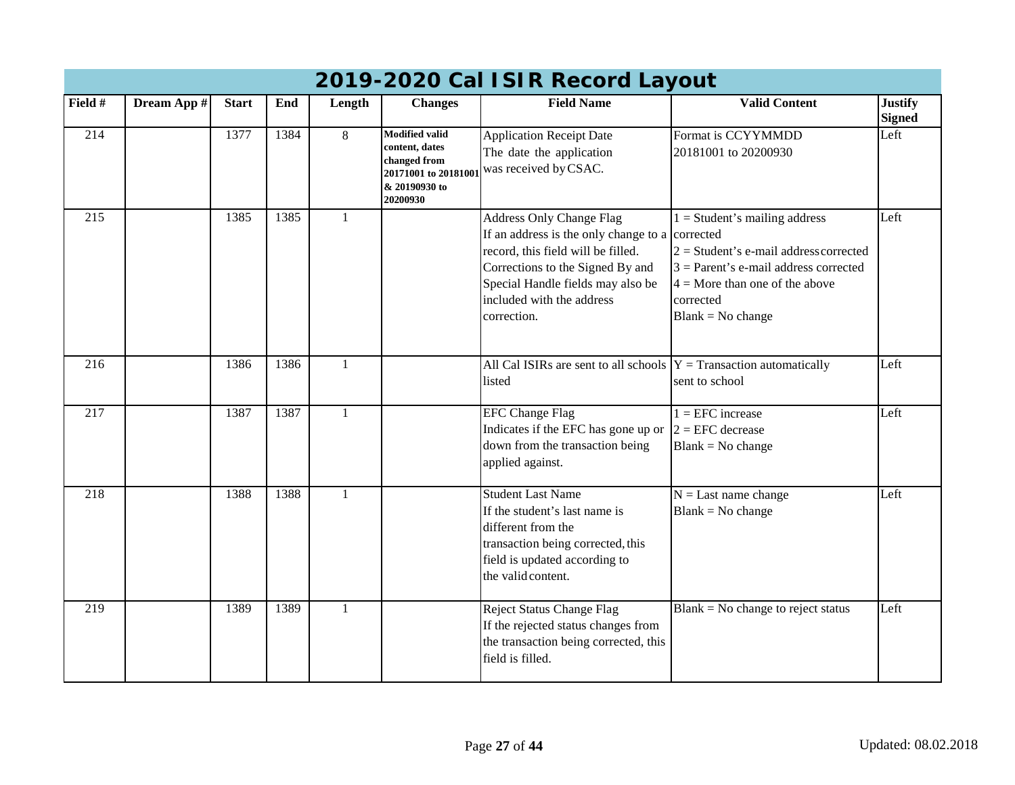|                  | 2019-2020 Cal ISIR Record Layout |              |      |              |                                                                                                             |                                                                                                                                                                                                                                               |                                                                                                                                                                                                |                                 |  |  |  |  |
|------------------|----------------------------------|--------------|------|--------------|-------------------------------------------------------------------------------------------------------------|-----------------------------------------------------------------------------------------------------------------------------------------------------------------------------------------------------------------------------------------------|------------------------------------------------------------------------------------------------------------------------------------------------------------------------------------------------|---------------------------------|--|--|--|--|
| Field #          | Dream App #                      | <b>Start</b> | End  | Length       | <b>Changes</b>                                                                                              | <b>Field Name</b>                                                                                                                                                                                                                             | <b>Valid Content</b>                                                                                                                                                                           | <b>Justify</b><br><b>Signed</b> |  |  |  |  |
| 214              |                                  | 1377         | 1384 | 8            | <b>Modified valid</b><br>content, dates<br>changed from<br>20171001 to 2018100<br>& 20190930 to<br>20200930 | <b>Application Receipt Date</b><br>The date the application<br>was received by CSAC.                                                                                                                                                          | Format is CCYYMMDD<br>20181001 to 20200930                                                                                                                                                     | Left                            |  |  |  |  |
| 215              |                                  | 1385         | 1385 |              |                                                                                                             | <b>Address Only Change Flag</b><br>If an address is the only change to a corrected<br>record, this field will be filled.<br>Corrections to the Signed By and<br>Special Handle fields may also be<br>included with the address<br>correction. | $1 =$ Student's mailing address<br>$2 = Student's e-mail address corrected$<br>$3$ = Parent's e-mail address corrected<br>$4 =$ More than one of the above<br>corrected<br>$Blank = No change$ | Left                            |  |  |  |  |
| 216              |                                  | 1386         | 1386 | 1            |                                                                                                             | All Cal ISIRs are sent to all schools $Y =$ Transaction automatically<br>listed                                                                                                                                                               | sent to school                                                                                                                                                                                 | Left                            |  |  |  |  |
| 217              |                                  | 1387         | 1387 | $\mathbf{1}$ |                                                                                                             | <b>EFC Change Flag</b><br>Indicates if the EFC has gone up or $2 = EFC$ decrease<br>down from the transaction being<br>applied against.                                                                                                       | $1 = EFC$ increase<br>$Blank = No change$                                                                                                                                                      | Left                            |  |  |  |  |
| $\overline{218}$ |                                  | 1388         | 1388 | $\mathbf{1}$ |                                                                                                             | <b>Student Last Name</b><br>If the student's last name is<br>different from the<br>transaction being corrected, this<br>field is updated according to<br>the valid content.                                                                   | $N =$ Last name change<br>$Blank = No change$                                                                                                                                                  | Left                            |  |  |  |  |
| 219              |                                  | 1389         | 1389 | $\mathbf{1}$ |                                                                                                             | <b>Reject Status Change Flag</b><br>If the rejected status changes from<br>the transaction being corrected, this<br>field is filled.                                                                                                          | $Blank = No change to reject status$                                                                                                                                                           | Left                            |  |  |  |  |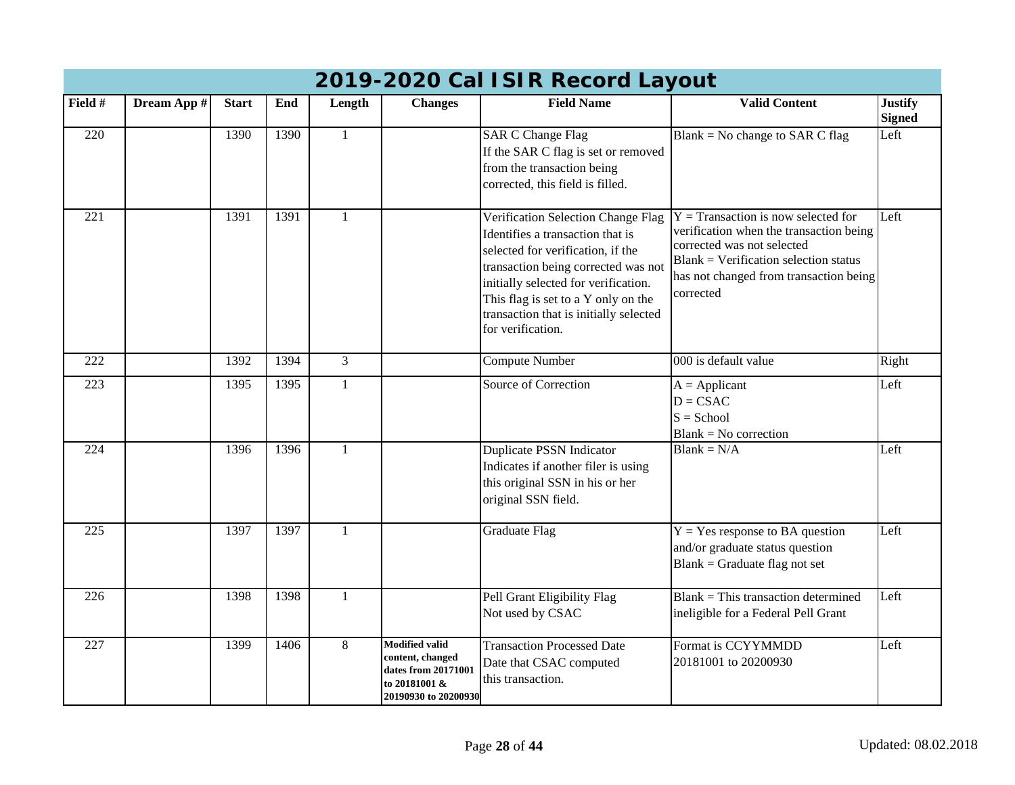| 2017-2020 Cal TSIR Recold Layout |             |              |      |              |                                                                                                           |                                                                                                                                                                                                                                                                                                  |                                                                                                                                                                                                                  |                                 |  |  |  |
|----------------------------------|-------------|--------------|------|--------------|-----------------------------------------------------------------------------------------------------------|--------------------------------------------------------------------------------------------------------------------------------------------------------------------------------------------------------------------------------------------------------------------------------------------------|------------------------------------------------------------------------------------------------------------------------------------------------------------------------------------------------------------------|---------------------------------|--|--|--|
| Field #                          | Dream App # | <b>Start</b> | End  | Length       | <b>Changes</b>                                                                                            | <b>Field Name</b>                                                                                                                                                                                                                                                                                | <b>Valid Content</b>                                                                                                                                                                                             | <b>Justify</b><br><b>Signed</b> |  |  |  |
| 220                              |             | 1390         | 1390 | $\mathbf{1}$ |                                                                                                           | <b>SAR C Change Flag</b><br>If the SAR C flag is set or removed<br>from the transaction being<br>corrected, this field is filled.                                                                                                                                                                | Blank = No change to SAR C flag                                                                                                                                                                                  | Left                            |  |  |  |
| 221                              |             | 1391         | 1391 | $\mathbf{1}$ |                                                                                                           | Verification Selection Change Flag<br>Identifies a transaction that is<br>selected for verification, if the<br>transaction being corrected was not<br>initially selected for verification.<br>This flag is set to a Y only on the<br>transaction that is initially selected<br>for verification. | $Y = Transaction$ is now selected for<br>verification when the transaction being<br>corrected was not selected<br>$Blank = Verification selection status$<br>has not changed from transaction being<br>corrected | Left                            |  |  |  |
| 222                              |             | 1392         | 1394 | 3            |                                                                                                           | <b>Compute Number</b>                                                                                                                                                                                                                                                                            | 000 is default value                                                                                                                                                                                             | Right                           |  |  |  |
| 223                              |             | 1395         | 1395 | $\mathbf{1}$ |                                                                                                           | <b>Source of Correction</b>                                                                                                                                                                                                                                                                      | $A = Applicant$<br>$D = CSAC$<br>$S =$ School<br>$Blank = No correction$                                                                                                                                         | Left                            |  |  |  |
| $\overline{224}$                 |             | 1396         | 1396 | $\mathbf{1}$ |                                                                                                           | <b>Duplicate PSSN Indicator</b><br>Indicates if another filer is using<br>this original SSN in his or her<br>original SSN field.                                                                                                                                                                 | $Blank = N/A$                                                                                                                                                                                                    | Left                            |  |  |  |
| 225                              |             | 1397         | 1397 | $\mathbf{1}$ |                                                                                                           | <b>Graduate Flag</b>                                                                                                                                                                                                                                                                             | $Y = Yes$ response to BA question<br>and/or graduate status question<br>Blank = Graduate flag not set                                                                                                            | Left                            |  |  |  |
| 226                              |             | 1398         | 1398 | $\mathbf{1}$ |                                                                                                           | Pell Grant Eligibility Flag<br>Not used by CSAC                                                                                                                                                                                                                                                  | $Blank = This transaction determined$<br>ineligible for a Federal Pell Grant                                                                                                                                     | Left                            |  |  |  |
| 227                              |             | 1399         | 1406 | 8            | <b>Modified valid</b><br>content, changed<br>dates from 20171001<br>to 20181001 &<br>20190930 to 20200930 | <b>Transaction Processed Date</b><br>Date that CSAC computed<br>this transaction.                                                                                                                                                                                                                | Format is CCYYMMDD<br>20181001 to 20200930                                                                                                                                                                       | Left                            |  |  |  |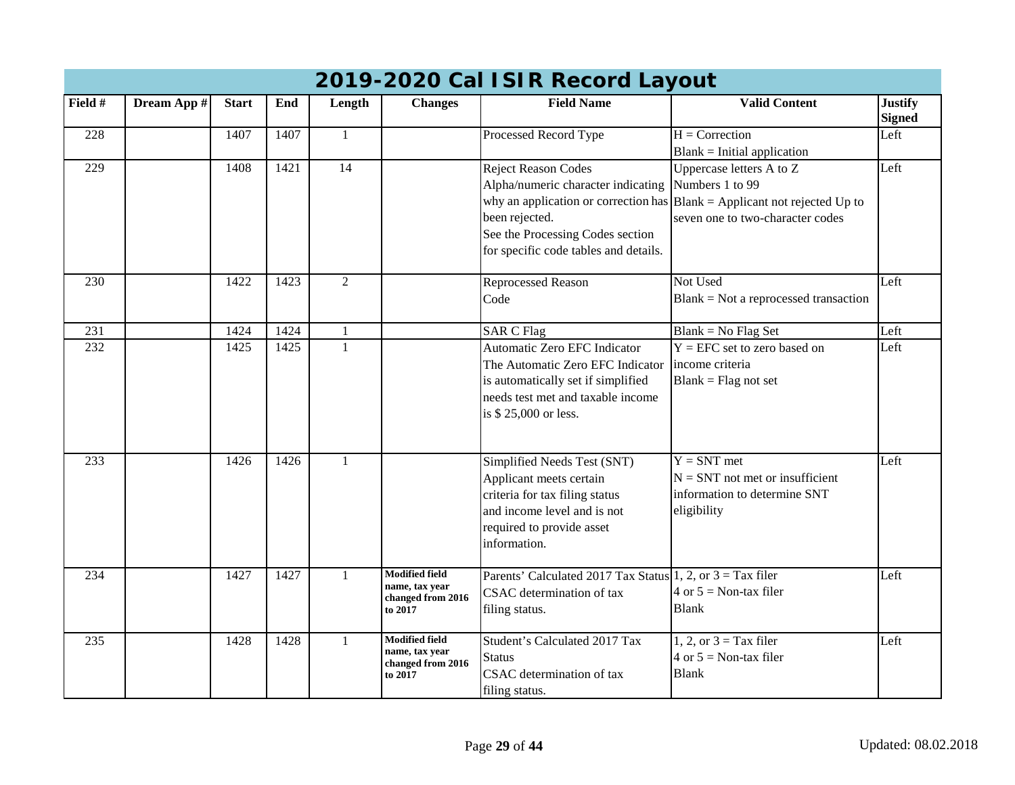|                  | 2019-2020 Cal ISIR Record Layout |              |      |                 |                                                                         |                                                                                                                                                                            |                                                                                                                                                                      |                                 |  |  |  |  |
|------------------|----------------------------------|--------------|------|-----------------|-------------------------------------------------------------------------|----------------------------------------------------------------------------------------------------------------------------------------------------------------------------|----------------------------------------------------------------------------------------------------------------------------------------------------------------------|---------------------------------|--|--|--|--|
| Field #          | Dream App #                      | <b>Start</b> | End  | Length          | <b>Changes</b>                                                          | <b>Field Name</b>                                                                                                                                                          | <b>Valid Content</b>                                                                                                                                                 | <b>Justify</b><br><b>Signed</b> |  |  |  |  |
| 228              |                                  | 1407         | 1407 | $\mathbf{1}$    |                                                                         | Processed Record Type                                                                                                                                                      | $H =$ Correction<br>$Blank = Initial application$                                                                                                                    | Left                            |  |  |  |  |
| 229              |                                  | 1408         | 1421 | $\overline{14}$ |                                                                         | <b>Reject Reason Codes</b><br>Alpha/numeric character indicating<br>been rejected.<br>See the Processing Codes section<br>for specific code tables and details.            | Uppercase letters A to Z<br>Numbers 1 to 99<br>why an application or correction has $\vert$ Blank = Applicant not rejected Up to<br>seven one to two-character codes | Left                            |  |  |  |  |
| 230              |                                  | 1422         | 1423 | $\overline{2}$  |                                                                         | <b>Reprocessed Reason</b><br>Code                                                                                                                                          | Not Used<br>$Blank = Not$ a reprocessed transaction                                                                                                                  | Left                            |  |  |  |  |
| 231              |                                  | 1424         | 1424 |                 |                                                                         | <b>SAR C Flag</b>                                                                                                                                                          | $Blank = No Flag Set$                                                                                                                                                | Left                            |  |  |  |  |
| $\overline{232}$ |                                  | 1425         | 1425 | $\mathbf{1}$    |                                                                         | <b>Automatic Zero EFC Indicator</b><br>The Automatic Zero EFC Indicator<br>is automatically set if simplified<br>needs test met and taxable income<br>is \$25,000 or less. | $Y = EFC$ set to zero based on<br>income criteria<br>$Blank = Flag$ not set                                                                                          | Left                            |  |  |  |  |
| 233              |                                  | 1426         | 1426 | $\mathbf{1}$    |                                                                         | Simplified Needs Test (SNT)<br>Applicant meets certain<br>criteria for tax filing status<br>and income level and is not<br>required to provide asset<br>information.       | $Y = SNT$ met<br>$N = SNT$ not met or insufficient<br>information to determine SNT<br>eligibility                                                                    | Left                            |  |  |  |  |
| 234              |                                  | 1427         | 1427 |                 | <b>Modified field</b><br>name, tax year<br>changed from 2016<br>to 2017 | Parents' Calculated 2017 Tax Status 1, 2, or $3 =$ Tax filer<br><b>CSAC</b> determination of tax<br>filing status.                                                         | 4 or $5 =$ Non-tax filer<br><b>Blank</b>                                                                                                                             | Left                            |  |  |  |  |
| 235              |                                  | 1428         | 1428 | 1               | <b>Modified field</b><br>name, tax year<br>changed from 2016<br>to 2017 | Student's Calculated 2017 Tax<br><b>Status</b><br><b>CSAC</b> determination of tax<br>filing status.                                                                       | 1, 2, or $3 = Tax$ filer<br>4 or $5 =$ Non-tax filer<br><b>Blank</b>                                                                                                 | Left                            |  |  |  |  |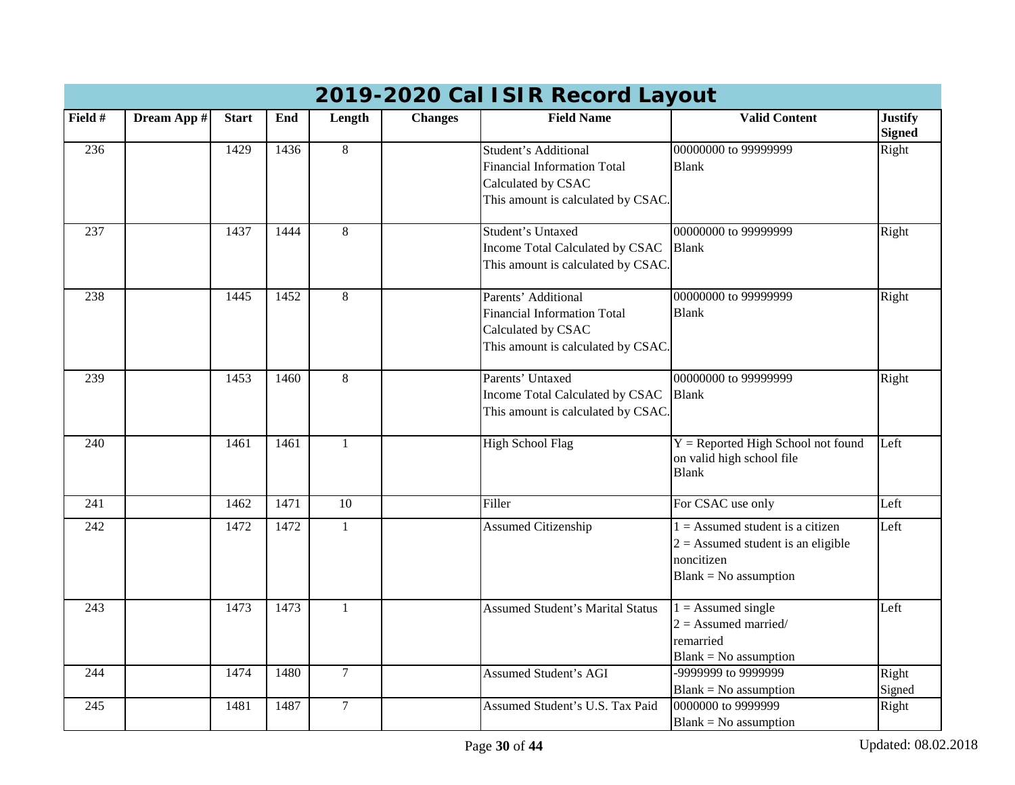|         | 2019-2020 Cal ISIR Record Layout |              |      |                 |                |                                                                                                                               |                                                                                                                     |                                 |  |  |  |  |
|---------|----------------------------------|--------------|------|-----------------|----------------|-------------------------------------------------------------------------------------------------------------------------------|---------------------------------------------------------------------------------------------------------------------|---------------------------------|--|--|--|--|
| Field # | Dream App #                      | <b>Start</b> | End  | Length          | <b>Changes</b> | <b>Field Name</b>                                                                                                             | <b>Valid Content</b>                                                                                                | <b>Justify</b><br><b>Signed</b> |  |  |  |  |
| 236     |                                  | 1429         | 1436 | 8               |                | <b>Student's Additional</b><br><b>Financial Information Total</b><br>Calculated by CSAC<br>This amount is calculated by CSAC. | 00000000 to 99999999<br><b>Blank</b>                                                                                | Right                           |  |  |  |  |
| 237     |                                  | 1437         | 1444 | 8               |                | <b>Student's Untaxed</b><br>Income Total Calculated by CSAC<br>This amount is calculated by CSAC.                             | 00000000 to 99999999<br><b>Blank</b>                                                                                | Right                           |  |  |  |  |
| 238     |                                  | 1445         | 1452 | 8               |                | Parents' Additional<br><b>Financial Information Total</b><br>Calculated by CSAC<br>This amount is calculated by CSAC.         | 00000000 to 99999999<br><b>Blank</b>                                                                                | Right                           |  |  |  |  |
| 239     |                                  | 1453         | 1460 | 8               |                | Parents' Untaxed<br>Income Total Calculated by CSAC<br>This amount is calculated by CSAC.                                     | 00000000 to 99999999<br><b>Blank</b>                                                                                | Right                           |  |  |  |  |
| 240     |                                  | 1461         | 1461 | 1               |                | <b>High School Flag</b>                                                                                                       | $Y =$ Reported High School not found<br>on valid high school file<br><b>Blank</b>                                   | Left                            |  |  |  |  |
| 241     |                                  | 1462         | 1471 | $\overline{10}$ |                | Filler                                                                                                                        | For CSAC use only                                                                                                   | Left                            |  |  |  |  |
| 242     |                                  | 1472         | 1472 |                 |                | <b>Assumed Citizenship</b>                                                                                                    | $1 =$ Assumed student is a citizen<br>$2 =$ Assumed student is an eligible<br>noncitizen<br>$Blank = No$ assumption | Left                            |  |  |  |  |
| 243     |                                  | 1473         | 1473 | $\mathbf{1}$    |                | <b>Assumed Student's Marital Status</b>                                                                                       | $1 =$ Assumed single<br>$2 =$ Assumed married/<br>remarried<br>$Blank = No$ assumption                              | Left                            |  |  |  |  |
| 244     |                                  | 1474         | 1480 | $\overline{7}$  |                | <b>Assumed Student's AGI</b>                                                                                                  | -9999999 to 9999999<br>$Blank = No$ assumption                                                                      | Right<br>Signed                 |  |  |  |  |
| 245     |                                  | 1481         | 1487 | $\overline{7}$  |                | Assumed Student's U.S. Tax Paid                                                                                               | 0000000 to 9999999<br>$Blank = No$ assumption                                                                       | Right                           |  |  |  |  |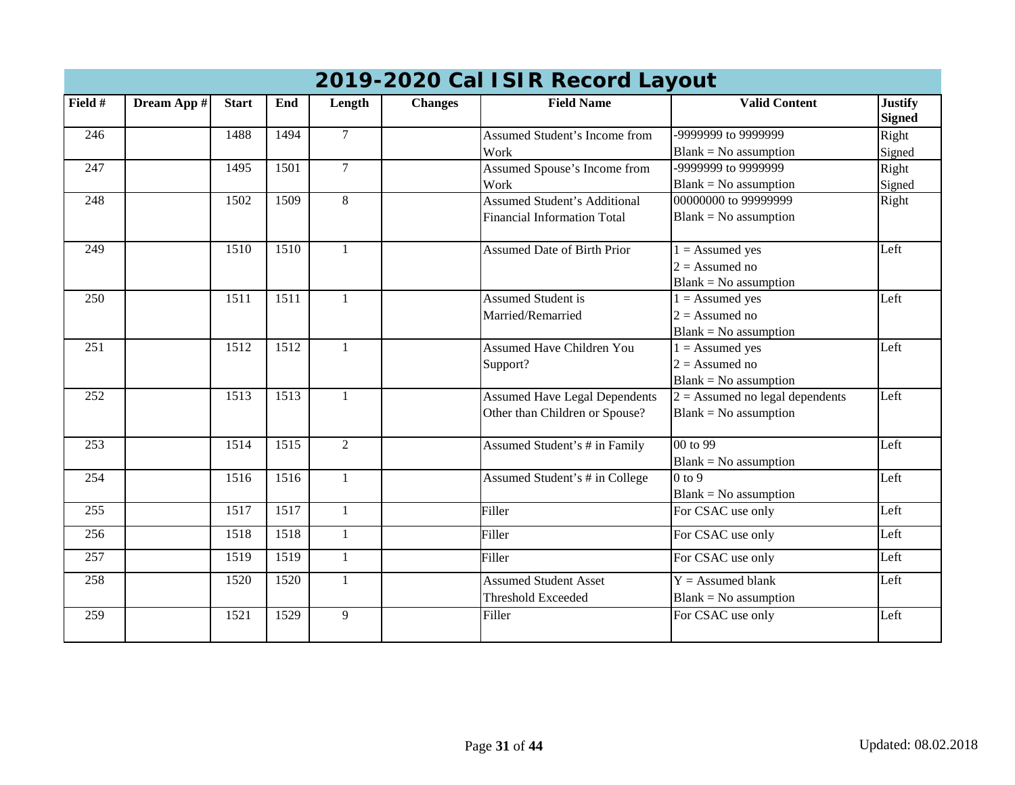| 2019-2020 Cal ISIR Record Layout |             |              |      |                |                |                                      |                                   |                                 |  |  |  |
|----------------------------------|-------------|--------------|------|----------------|----------------|--------------------------------------|-----------------------------------|---------------------------------|--|--|--|
| Field #                          | Dream App # | <b>Start</b> | End  | Length         | <b>Changes</b> | <b>Field Name</b>                    | <b>Valid Content</b>              | <b>Justify</b><br><b>Signed</b> |  |  |  |
| 246                              |             | 1488         | 1494 | $\mathcal{I}$  |                | Assumed Student's Income from        | -9999999 to 9999999               | Right                           |  |  |  |
|                                  |             |              |      |                |                | Work                                 | $Blank = No$ assumption           | Signed                          |  |  |  |
| 247                              |             | 1495         | 1501 | $\overline{7}$ |                | Assumed Spouse's Income from         | -9999999 to 9999999               | Right                           |  |  |  |
|                                  |             |              |      |                |                | Work                                 | $Blank = No$ assumption           | Signed                          |  |  |  |
| 248                              |             | 1502         | 1509 | $8\,$          |                | <b>Assumed Student's Additional</b>  | 00000000 to 99999999              | Right                           |  |  |  |
|                                  |             |              |      |                |                | <b>Financial Information Total</b>   | $Blank = No$ assumption           |                                 |  |  |  |
| 249                              |             | 1510         | 1510 | $\mathbf{1}$   |                | <b>Assumed Date of Birth Prior</b>   | $1 =$ Assumed yes                 | Left                            |  |  |  |
|                                  |             |              |      |                |                |                                      | $2 =$ Assumed no                  |                                 |  |  |  |
|                                  |             |              |      |                |                |                                      | $Blank = No$ assumption           |                                 |  |  |  |
| $\overline{250}$                 |             | 1511         | 1511 | $\mathbf{1}$   |                | <b>Assumed Student is</b>            | $1 =$ Assumed yes                 | Left                            |  |  |  |
|                                  |             |              |      |                |                | Married/Remarried                    | $2 =$ Assumed no                  |                                 |  |  |  |
|                                  |             |              |      |                |                |                                      | $Blank = No$ assumption           |                                 |  |  |  |
| 251                              |             | 1512         | 1512 | 1              |                | <b>Assumed Have Children You</b>     | $1 =$ Assumed yes                 | Left                            |  |  |  |
|                                  |             |              |      |                |                | Support?                             | $2 =$ Assumed no                  |                                 |  |  |  |
|                                  |             |              |      |                |                |                                      | $Blank = No$ assumption           |                                 |  |  |  |
| 252                              |             | 1513         | 1513 | $\mathbf{1}$   |                | <b>Assumed Have Legal Dependents</b> | $2 =$ Assumed no legal dependents | Left                            |  |  |  |
|                                  |             |              |      |                |                | Other than Children or Spouse?       | $Blank = No$ assumption           |                                 |  |  |  |
| 253                              |             | 1514         | 1515 | $\overline{2}$ |                | Assumed Student's # in Family        | 00 to 99                          | Left                            |  |  |  |
|                                  |             |              |      |                |                |                                      | $Blank = No$ assumption           |                                 |  |  |  |
| 254                              |             | 1516         | 1516 | $\mathbf{1}$   |                | Assumed Student's # in College       | $0$ to 9                          | Left                            |  |  |  |
|                                  |             |              |      |                |                |                                      | $Blank = No$ assumption           |                                 |  |  |  |
| 255                              |             | 1517         | 1517 | $\overline{1}$ |                | Filler                               | For CSAC use only                 | Left                            |  |  |  |
| 256                              |             | 1518         | 1518 | $\mathbf{1}$   |                | Filler                               | For CSAC use only                 | Left                            |  |  |  |
| 257                              |             | 1519         | 1519 | $\mathbf{1}$   |                | Filler                               | For CSAC use only                 | Left                            |  |  |  |
| 258                              |             | 1520         | 1520 | 1              |                | <b>Assumed Student Asset</b>         | $Y =$ Assumed blank               | Left                            |  |  |  |
|                                  |             |              |      |                |                | <b>Threshold Exceeded</b>            | $Blank = No$ assumption           |                                 |  |  |  |
| 259                              |             | 1521         | 1529 | 9              |                | Filler                               | For CSAC use only                 | Left                            |  |  |  |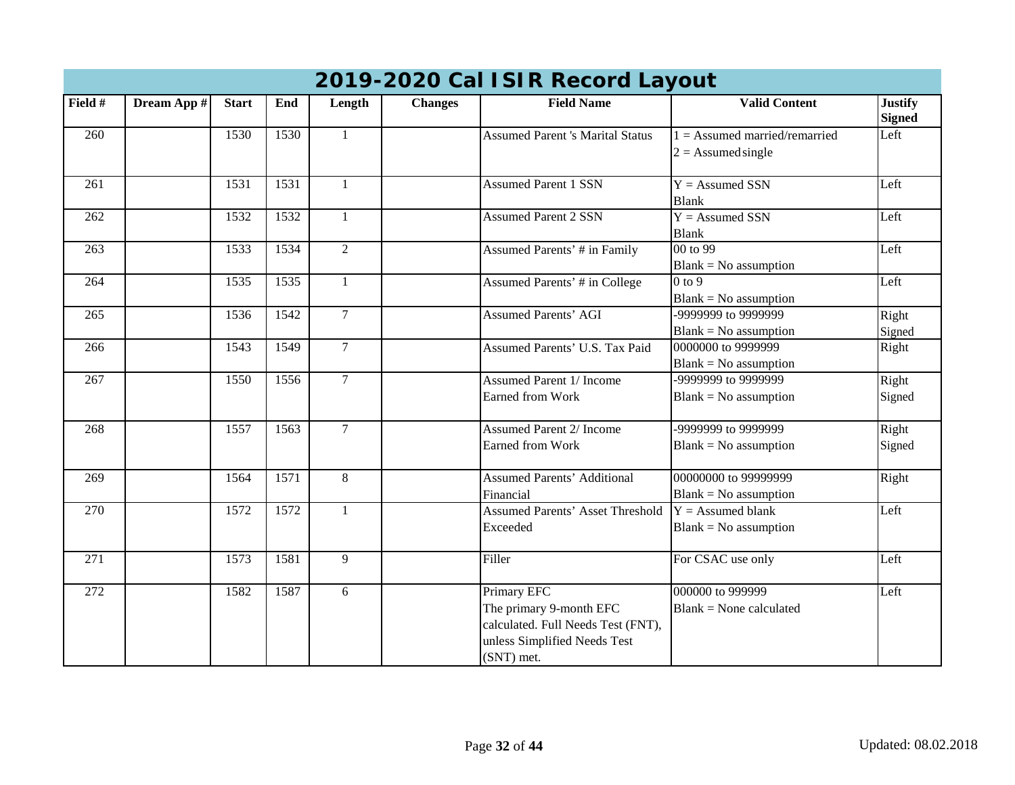|                  | 2019-2020 Cal ISIR Record Layout |              |      |                |                |                                                                                                                            |                                                         |                                 |  |  |  |  |
|------------------|----------------------------------|--------------|------|----------------|----------------|----------------------------------------------------------------------------------------------------------------------------|---------------------------------------------------------|---------------------------------|--|--|--|--|
| Field #          | Dream App #                      | <b>Start</b> | End  | Length         | <b>Changes</b> | <b>Field Name</b>                                                                                                          | <b>Valid Content</b>                                    | <b>Justify</b><br><b>Signed</b> |  |  |  |  |
| 260              |                                  | 1530         | 1530 | $\mathbf{1}$   |                | <b>Assumed Parent 's Marital Status</b>                                                                                    | $1 =$ Assumed married/remarried<br>$2 =$ Assumed single | Left                            |  |  |  |  |
| 261              |                                  | 1531         | 1531 | 1              |                | <b>Assumed Parent 1 SSN</b>                                                                                                | $Y =$ Assumed SSN<br><b>Blank</b>                       | Left                            |  |  |  |  |
| 262              |                                  | 1532         | 1532 | 1              |                | <b>Assumed Parent 2 SSN</b>                                                                                                | $Y =$ Assumed SSN<br><b>Blank</b>                       | Left                            |  |  |  |  |
| 263              |                                  | 1533         | 1534 | $\overline{2}$ |                | <b>Assumed Parents' # in Family</b>                                                                                        | 00 to 99<br>$Blank = No$ assumption                     | Left                            |  |  |  |  |
| 264              |                                  | 1535         | 1535 | $\mathbf{1}$   |                | Assumed Parents' # in College                                                                                              | $0$ to $9$<br>$Blank = No$ assumption                   | Left                            |  |  |  |  |
| 265              |                                  | 1536         | 1542 | $\overline{7}$ |                | <b>Assumed Parents' AGI</b>                                                                                                | -9999999 to 9999999<br>$Blank = No$ assumption          | Right<br>Signed                 |  |  |  |  |
| 266              |                                  | 1543         | 1549 | $\overline{7}$ |                | Assumed Parents' U.S. Tax Paid                                                                                             | 0000000 to 9999999<br>$Blank = No$ assumption           | Right                           |  |  |  |  |
| 267              |                                  | 1550         | 1556 | $\overline{7}$ |                | <b>Assumed Parent 1/ Income</b><br><b>Earned from Work</b>                                                                 | -9999999 to 9999999<br>$Blank = No$ assumption          | Right<br>Signed                 |  |  |  |  |
| 268              |                                  | 1557         | 1563 | $\overline{7}$ |                | <b>Assumed Parent 2/ Income</b><br><b>Earned from Work</b>                                                                 | -9999999 to 9999999<br>$Blank = No$ assumption          | Right<br>Signed                 |  |  |  |  |
| 269              |                                  | 1564         | 1571 | 8              |                | <b>Assumed Parents' Additional</b><br>Financial                                                                            | 00000000 to 99999999<br>$Blank = No$ assumption         | Right                           |  |  |  |  |
| 270              |                                  | 1572         | 1572 | $\mathbf{1}$   |                | <b>Assumed Parents' Asset Threshold</b><br>Exceeded                                                                        | $Y =$ Assumed blank<br>$Blank = No$ assumption          | Left                            |  |  |  |  |
| $\overline{271}$ |                                  | 1573         | 1581 | 9              |                | Filler                                                                                                                     | For CSAC use only                                       | Left                            |  |  |  |  |
| 272              |                                  | 1582         | 1587 | 6              |                | Primary EFC<br>The primary 9-month EFC<br>calculated. Full Needs Test (FNT),<br>unless Simplified Needs Test<br>(SNT) met. | 000000 to 999999<br>$Blank = None$ calculated           | Left                            |  |  |  |  |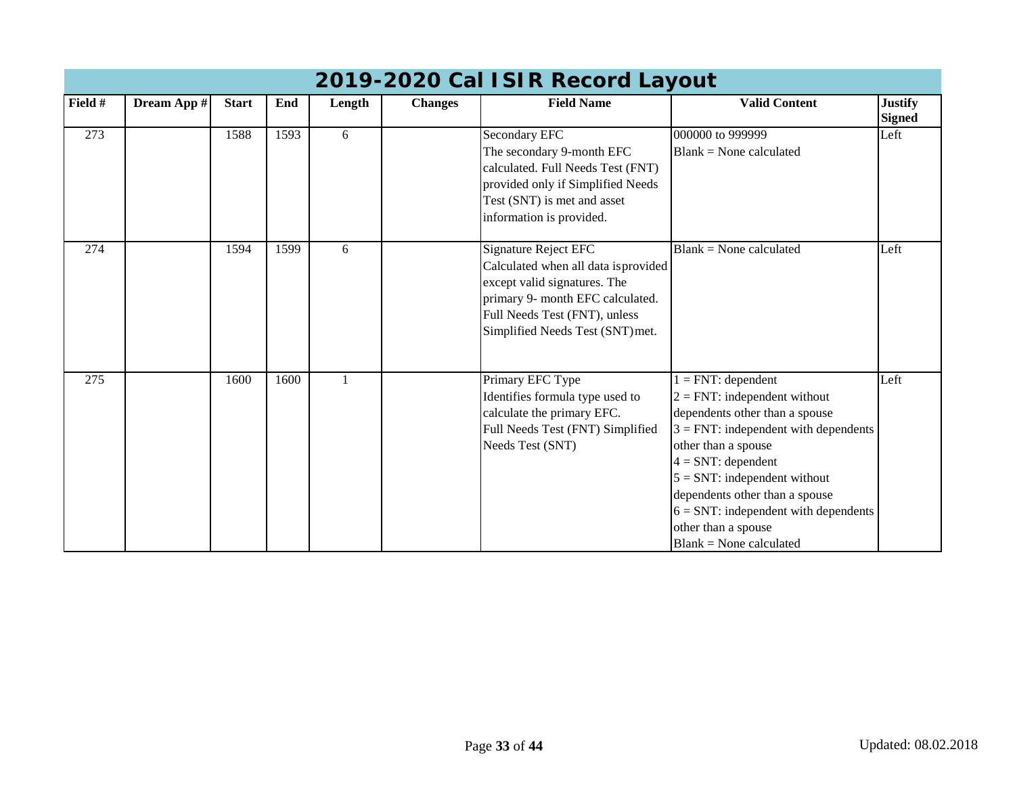|                  | 2019-2020 Cal ISIR Record Layout |              |      |        |                |                                                                  |                                                                |                                 |  |  |  |  |
|------------------|----------------------------------|--------------|------|--------|----------------|------------------------------------------------------------------|----------------------------------------------------------------|---------------------------------|--|--|--|--|
| Field #          | Dream App #                      | <b>Start</b> | End  | Length | <b>Changes</b> | <b>Field Name</b>                                                | <b>Valid Content</b>                                           | <b>Justify</b><br><b>Signed</b> |  |  |  |  |
| 273              |                                  | 1588         | 1593 | 6      |                | Secondary EFC<br>The secondary 9-month EFC                       | 000000 to 999999<br>$Blank = None calculated$                  | Left                            |  |  |  |  |
|                  |                                  |              |      |        |                | calculated. Full Needs Test (FNT)                                |                                                                |                                 |  |  |  |  |
|                  |                                  |              |      |        |                | provided only if Simplified Needs                                |                                                                |                                 |  |  |  |  |
|                  |                                  |              |      |        |                | Test (SNT) is met and asset                                      |                                                                |                                 |  |  |  |  |
|                  |                                  |              |      |        |                | information is provided.                                         |                                                                |                                 |  |  |  |  |
| $\overline{274}$ |                                  | 1594         | 1599 | 6      |                | Signature Reject EFC                                             | $Blank = None$ calculated                                      | Left                            |  |  |  |  |
|                  |                                  |              |      |        |                | Calculated when all data is provided                             |                                                                |                                 |  |  |  |  |
|                  |                                  |              |      |        |                | except valid signatures. The<br>primary 9- month EFC calculated. |                                                                |                                 |  |  |  |  |
|                  |                                  |              |      |        |                | Full Needs Test (FNT), unless                                    |                                                                |                                 |  |  |  |  |
|                  |                                  |              |      |        |                | Simplified Needs Test (SNT) met.                                 |                                                                |                                 |  |  |  |  |
|                  |                                  |              |      |        |                |                                                                  |                                                                |                                 |  |  |  |  |
| 275              |                                  | 1600         | 1600 |        |                | Primary EFC Type                                                 | $= FNT: dependent$                                             | Left                            |  |  |  |  |
|                  |                                  |              |      |        |                | Identifies formula type used to                                  | $2 = FNT$ : independent without                                |                                 |  |  |  |  |
|                  |                                  |              |      |        |                | calculate the primary EFC.                                       | dependents other than a spouse                                 |                                 |  |  |  |  |
|                  |                                  |              |      |        |                | Full Needs Test (FNT) Simplified<br>Needs Test (SNT)             | $3 = FNT$ : independent with dependents<br>other than a spouse |                                 |  |  |  |  |
|                  |                                  |              |      |        |                |                                                                  | $4 = SNT$ : dependent                                          |                                 |  |  |  |  |
|                  |                                  |              |      |        |                |                                                                  | $5 = SNT$ : independent without                                |                                 |  |  |  |  |
|                  |                                  |              |      |        |                |                                                                  | dependents other than a spouse                                 |                                 |  |  |  |  |
|                  |                                  |              |      |        |                |                                                                  | $6 = \text{SNT}$ : independent with dependents                 |                                 |  |  |  |  |
|                  |                                  |              |      |        |                |                                                                  | other than a spouse<br>$Blank = None calculated$               |                                 |  |  |  |  |
|                  |                                  |              |      |        |                |                                                                  |                                                                |                                 |  |  |  |  |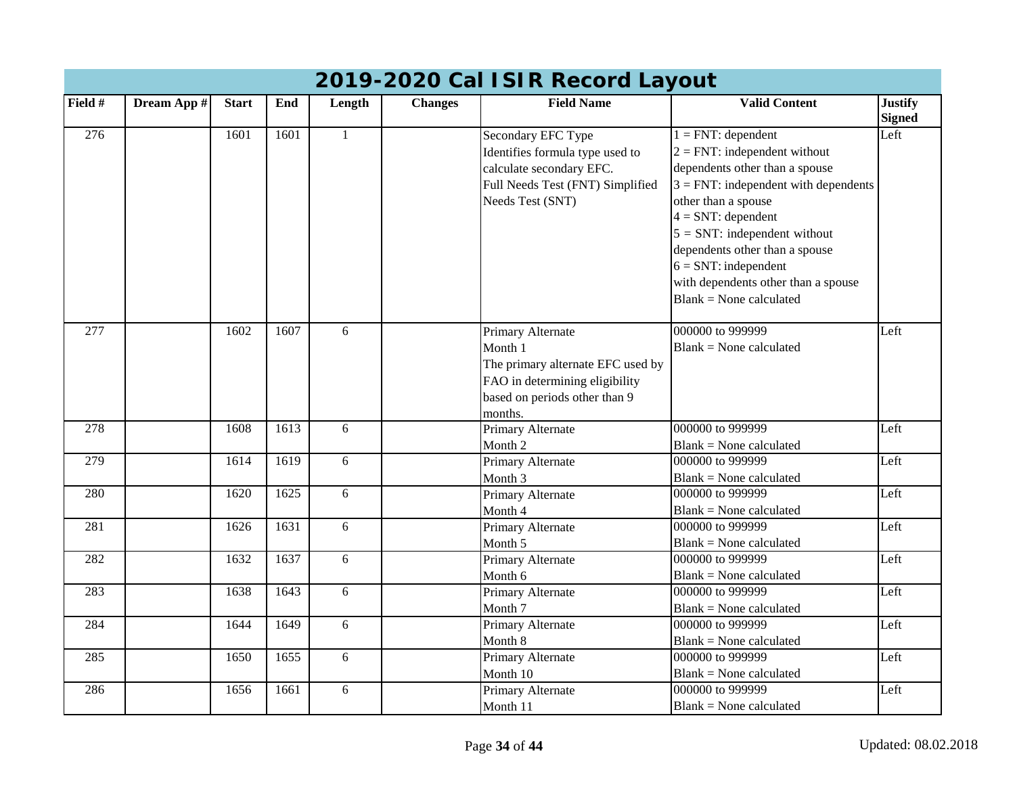|                  | 2019-2020 Cal ISIR Record Layout |              |      |              |                |                                                                                                                                                 |                                                                                                                                                                                                                                                                                                                                                           |                                 |  |  |  |  |
|------------------|----------------------------------|--------------|------|--------------|----------------|-------------------------------------------------------------------------------------------------------------------------------------------------|-----------------------------------------------------------------------------------------------------------------------------------------------------------------------------------------------------------------------------------------------------------------------------------------------------------------------------------------------------------|---------------------------------|--|--|--|--|
| Field #          | Dream App #                      | <b>Start</b> | End  | Length       | <b>Changes</b> | <b>Field Name</b>                                                                                                                               | <b>Valid Content</b>                                                                                                                                                                                                                                                                                                                                      | <b>Justify</b><br><b>Signed</b> |  |  |  |  |
| $\overline{276}$ |                                  | 1601         | 1601 | $\mathbf{1}$ |                | Secondary EFC Type<br>Identifies formula type used to<br>calculate secondary EFC.<br>Full Needs Test (FNT) Simplified<br>Needs Test (SNT)       | $1 = FNT$ : dependent<br>$2 = FNT$ : independent without<br>dependents other than a spouse<br>$3 = FNT$ : independent with dependents<br>other than a spouse<br>$4 = SNT$ : dependent<br>$5 = SNT$ : independent without<br>dependents other than a spouse<br>$6 = SNT$ : independent<br>with dependents other than a spouse<br>$Blank = None calculated$ | Left                            |  |  |  |  |
| $\overline{277}$ |                                  | 1602         | 1607 | 6            |                | Primary Alternate<br>Month 1<br>The primary alternate EFC used by<br>FAO in determining eligibility<br>based on periods other than 9<br>months. | 000000 to 999999<br>$Blank = None calculated$                                                                                                                                                                                                                                                                                                             | Left                            |  |  |  |  |
| 278              |                                  | 1608         | 1613 | 6            |                | Primary Alternate<br>Month 2                                                                                                                    | 000000 to 999999<br>Blank = None calculated                                                                                                                                                                                                                                                                                                               | Left                            |  |  |  |  |
| 279              |                                  | 1614         | 1619 | 6            |                | Primary Alternate<br>Month 3                                                                                                                    | 000000 to 999999<br>$Blank = None calculated$                                                                                                                                                                                                                                                                                                             | Left                            |  |  |  |  |
| 280              |                                  | 1620         | 1625 | 6            |                | Primary Alternate<br>Month 4                                                                                                                    | 000000 to 999999<br>$Blank = None calculated$                                                                                                                                                                                                                                                                                                             | Left                            |  |  |  |  |
| 281              |                                  | 1626         | 1631 | 6            |                | Primary Alternate<br>Month 5                                                                                                                    | 000000 to 999999<br>$Blank = None calculated$                                                                                                                                                                                                                                                                                                             | Left                            |  |  |  |  |
| 282              |                                  | 1632         | 1637 | 6            |                | Primary Alternate<br>Month 6                                                                                                                    | 000000 to 999999<br>$Blank = None calculated$                                                                                                                                                                                                                                                                                                             | Left                            |  |  |  |  |
| 283              |                                  | 1638         | 1643 | 6            |                | Primary Alternate<br>Month 7                                                                                                                    | 000000 to 999999<br>$Blank = None calculated$                                                                                                                                                                                                                                                                                                             | Left                            |  |  |  |  |
| 284              |                                  | 1644         | 1649 | 6            |                | Primary Alternate<br>Month 8                                                                                                                    | 000000 to 999999<br>$Blank = None calculated$                                                                                                                                                                                                                                                                                                             | Left                            |  |  |  |  |
| 285              |                                  | 1650         | 1655 | 6            |                | Primary Alternate<br>Month 10                                                                                                                   | 000000 to 999999<br>$Blank = None calculated$                                                                                                                                                                                                                                                                                                             | Left                            |  |  |  |  |
| 286              |                                  | 1656         | 1661 | 6            |                | Primary Alternate<br>Month 11                                                                                                                   | 000000 to 999999<br>$Blank = None calculated$                                                                                                                                                                                                                                                                                                             | Left                            |  |  |  |  |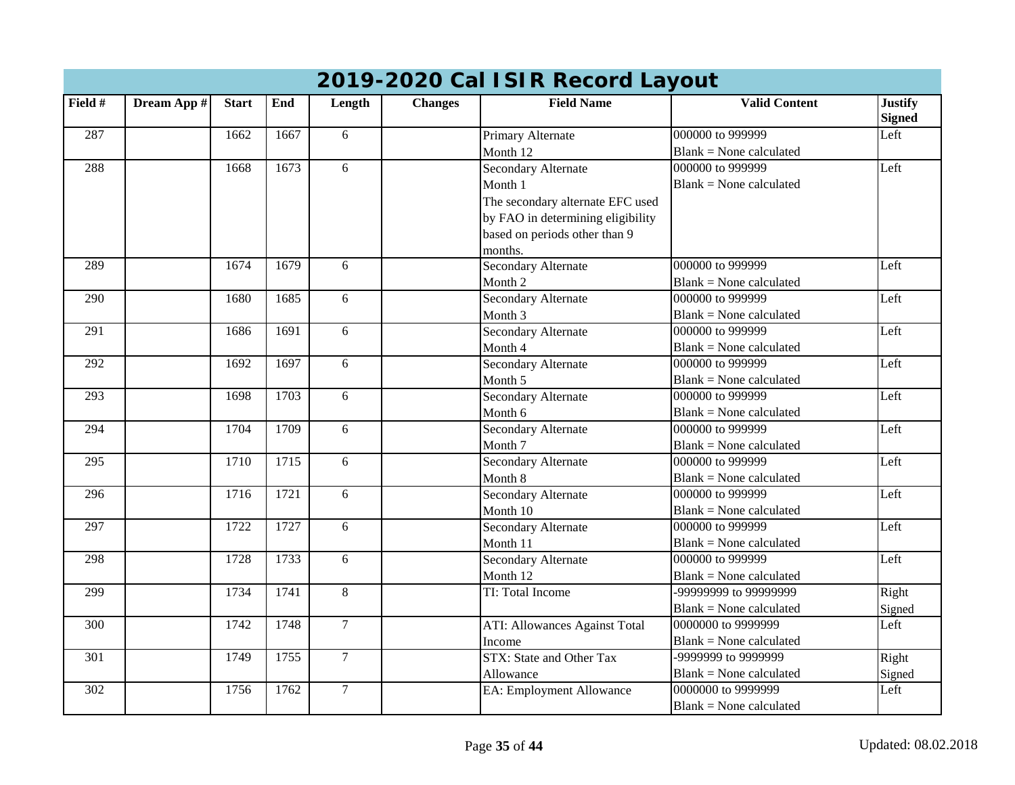|                  | 20 i 7-2020 Car TSI'N NECOLU LayOUL |              |      |                |                |                                      |                                |                                 |  |  |  |
|------------------|-------------------------------------|--------------|------|----------------|----------------|--------------------------------------|--------------------------------|---------------------------------|--|--|--|
| Field #          | Dream App #                         | <b>Start</b> | End  | Length         | <b>Changes</b> | <b>Field Name</b>                    | <b>Valid Content</b>           | <b>Justify</b><br><b>Signed</b> |  |  |  |
| 287              |                                     | 1662         | 1667 | 6              |                | Primary Alternate                    | 000000 to 999999               | Left                            |  |  |  |
|                  |                                     |              |      |                |                | Month 12                             | $Blank = None calculated$      |                                 |  |  |  |
| 288              |                                     | 1668         | 1673 | 6              |                | <b>Secondary Alternate</b>           | 000000 to 999999               | Left                            |  |  |  |
|                  |                                     |              |      |                |                | Month 1                              | $Blank = None calculated$      |                                 |  |  |  |
|                  |                                     |              |      |                |                | The secondary alternate EFC used     |                                |                                 |  |  |  |
|                  |                                     |              |      |                |                | by FAO in determining eligibility    |                                |                                 |  |  |  |
|                  |                                     |              |      |                |                | based on periods other than 9        |                                |                                 |  |  |  |
|                  |                                     |              |      |                |                | months.                              |                                |                                 |  |  |  |
| 289              |                                     | 1674         | 1679 | 6              |                | <b>Secondary Alternate</b>           | 000000 to 999999               | Left                            |  |  |  |
|                  |                                     |              |      |                |                | Month 2                              | <b>Blank = None calculated</b> |                                 |  |  |  |
| 290              |                                     | 1680         | 1685 | 6              |                | <b>Secondary Alternate</b>           | 000000 to 999999               | Left                            |  |  |  |
|                  |                                     |              |      |                |                | Month 3                              | $Blank = None calculated$      |                                 |  |  |  |
| 291              |                                     | 1686         | 1691 | 6              |                | <b>Secondary Alternate</b>           | 000000 to 999999               | Left                            |  |  |  |
|                  |                                     |              |      |                |                | Month 4                              | $Blank = None calculated$      |                                 |  |  |  |
| 292              |                                     | 1692         | 1697 | 6              |                | <b>Secondary Alternate</b>           | 000000 to 999999               | Left                            |  |  |  |
|                  |                                     |              |      |                |                | Month 5                              | $Blank = None calculated$      |                                 |  |  |  |
| 293              |                                     | 1698         | 1703 | 6              |                | <b>Secondary Alternate</b>           | 000000 to 999999               | Left                            |  |  |  |
|                  |                                     |              |      |                |                | Month 6                              | $Blank = None calculated$      |                                 |  |  |  |
| 294              |                                     | 1704         | 1709 | 6              |                | Secondary Alternate                  | 000000 to 999999               | Left                            |  |  |  |
|                  |                                     |              |      |                |                | Month 7                              | $Blank = None calculated$      |                                 |  |  |  |
| 295              |                                     | 1710         | 1715 | 6              |                | <b>Secondary Alternate</b>           | 000000 to 999999               | Left                            |  |  |  |
|                  |                                     |              |      |                |                | Month 8                              | <b>Blank = None calculated</b> |                                 |  |  |  |
| 296              |                                     | 1716         | 1721 | 6              |                | <b>Secondary Alternate</b>           | 000000 to 999999               | Left                            |  |  |  |
|                  |                                     |              |      |                |                | Month 10                             | $Blank = None calculated$      |                                 |  |  |  |
| 297              |                                     | 1722         | 1727 | 6              |                | <b>Secondary Alternate</b>           | 000000 to 999999               | Left                            |  |  |  |
|                  |                                     |              |      |                |                | Month 11                             | $Blank = None calculated$      |                                 |  |  |  |
| 298              |                                     | 1728         | 1733 | 6              |                | <b>Secondary Alternate</b>           | 000000 to 999999               | Left                            |  |  |  |
|                  |                                     |              |      |                |                | Month 12                             | $Blank = None calculated$      |                                 |  |  |  |
| 299              |                                     | 1734         | 1741 | 8              |                | TI: Total Income                     | -99999999 to 99999999          | Right                           |  |  |  |
|                  |                                     |              |      |                |                |                                      | $Blank = None calculated$      | Signed                          |  |  |  |
| $\overline{300}$ |                                     | 1742         | 1748 | $\overline{7}$ |                | <b>ATI: Allowances Against Total</b> | 0000000 to 9999999             | Left                            |  |  |  |
|                  |                                     |              |      |                |                | Income                               | $Blank = None calculated$      |                                 |  |  |  |
| 301              |                                     | 1749         | 1755 | $\overline{7}$ |                | STX: State and Other Tax             | -9999999 to 9999999            | Right                           |  |  |  |
|                  |                                     |              |      |                |                | Allowance                            | $Blank = None calculated$      | Signed                          |  |  |  |
| $\overline{302}$ |                                     | 1756         | 1762 | $\overline{7}$ |                | EA: Employment Allowance             | 0000000 to 9999999             | Left                            |  |  |  |
|                  |                                     |              |      |                |                |                                      | $Blank = None calculated$      |                                 |  |  |  |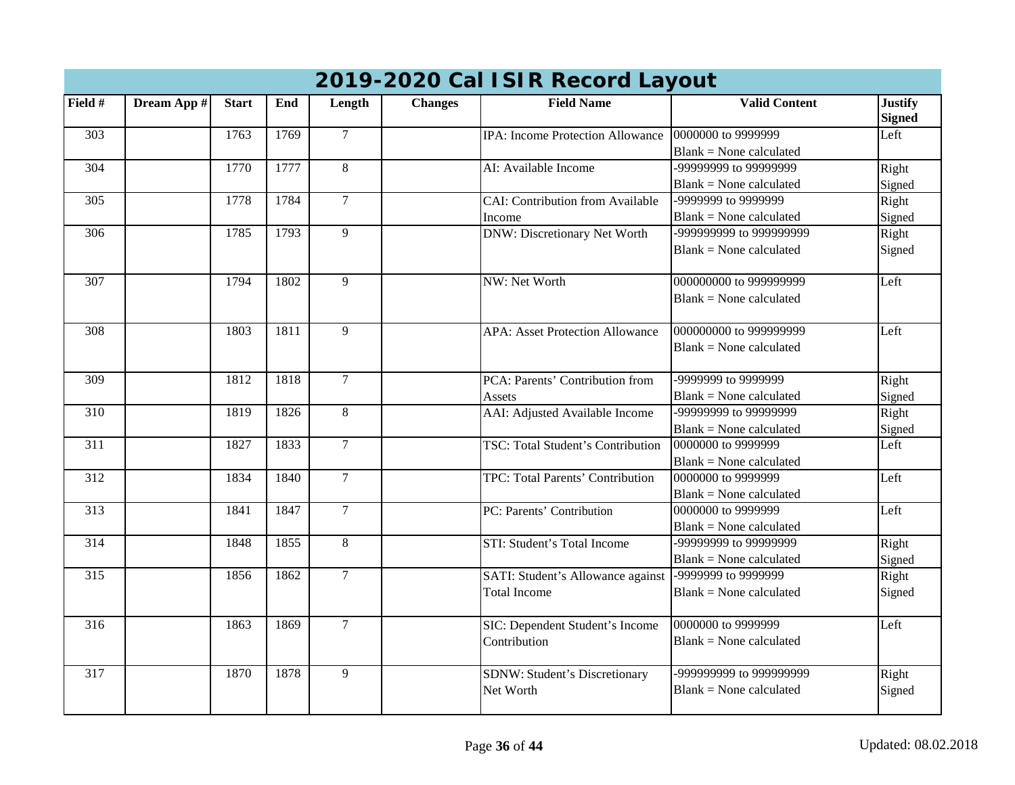|                  | 2019-2020 Cal ISIR Record Layout |              |      |                 |                |                                         |                                |                                 |  |  |  |  |
|------------------|----------------------------------|--------------|------|-----------------|----------------|-----------------------------------------|--------------------------------|---------------------------------|--|--|--|--|
| Field #          | Dream App #                      | <b>Start</b> | End  | Length          | <b>Changes</b> | <b>Field Name</b>                       | <b>Valid Content</b>           | <b>Justify</b><br><b>Signed</b> |  |  |  |  |
| 303              |                                  | 1763         | 1769 | $\mathcal{I}$   |                | <b>IPA:</b> Income Protection Allowance | 0000000 to 9999999             | Left                            |  |  |  |  |
|                  |                                  |              |      |                 |                |                                         | $Blank = None calculated$      |                                 |  |  |  |  |
| 304              |                                  | 1770         | 1777 | 8               |                | AI: Available Income                    | -99999999 to 99999999          | Right                           |  |  |  |  |
|                  |                                  |              |      |                 |                |                                         | $Blank = None calculated$      | Signed                          |  |  |  |  |
| 305              |                                  | 1778         | 1784 | $7\overline{ }$ |                | <b>CAI: Contribution from Available</b> | -9999999 to 9999999            | Right                           |  |  |  |  |
|                  |                                  |              |      |                 |                | Income                                  | $Blank = None calculated$      | Signed                          |  |  |  |  |
| 306              |                                  | 1785         | 1793 | 9               |                | <b>DNW: Discretionary Net Worth</b>     | -999999999 to 999999999        | Right                           |  |  |  |  |
|                  |                                  |              |      |                 |                |                                         | $Blank = None calculated$      | Signed                          |  |  |  |  |
| 307              |                                  | 1794         | 1802 | $\overline{9}$  |                | NW: Net Worth                           | 000000000 to 999999999         | Left                            |  |  |  |  |
|                  |                                  |              |      |                 |                |                                         | $Blank = None calculated$      |                                 |  |  |  |  |
| 308              |                                  | 1803         | 1811 | 9               |                | <b>APA: Asset Protection Allowance</b>  | 000000000 to 999999999         | Left                            |  |  |  |  |
|                  |                                  |              |      |                 |                |                                         | $Blank = None calculated$      |                                 |  |  |  |  |
| 309              |                                  | 1812         | 1818 | $\overline{7}$  |                | PCA: Parents' Contribution from         | -9999999 to 9999999            | Right                           |  |  |  |  |
|                  |                                  |              |      |                 |                | Assets                                  | $Blank = None calculated$      | Signed                          |  |  |  |  |
| 310              |                                  | 1819         | 1826 | 8               |                | AAI: Adjusted Available Income          | -99999999 to 99999999          | Right                           |  |  |  |  |
|                  |                                  |              |      |                 |                |                                         | $Blank = None calculated$      | Signed                          |  |  |  |  |
| 311              |                                  | 1827         | 1833 | $\overline{7}$  |                | TSC: Total Student's Contribution       | 0000000 to 9999999             | Left                            |  |  |  |  |
|                  |                                  |              |      |                 |                |                                         | $Blank = None calculated$      |                                 |  |  |  |  |
| 312              |                                  | 1834         | 1840 | $7\phantom{.0}$ |                | TPC: Total Parents' Contribution        | 0000000 to 9999999             | Left                            |  |  |  |  |
|                  |                                  |              |      |                 |                |                                         | $Blank = None calculated$      |                                 |  |  |  |  |
| 313              |                                  | 1841         | 1847 | $\overline{7}$  |                | PC: Parents' Contribution               | 0000000 to 9999999             | Left                            |  |  |  |  |
|                  |                                  |              |      |                 |                |                                         | <b>Blank = None calculated</b> |                                 |  |  |  |  |
| $\overline{314}$ |                                  | 1848         | 1855 | $\overline{8}$  |                | STI: Student's Total Income             | -99999999 to 99999999          | Right                           |  |  |  |  |
|                  |                                  |              |      |                 |                |                                         | <b>Blank = None calculated</b> | Signed                          |  |  |  |  |
| $\overline{315}$ |                                  | 1856         | 1862 | $\overline{7}$  |                | SATI: Student's Allowance against       | -9999999 to 9999999            | Right                           |  |  |  |  |
|                  |                                  |              |      |                 |                | <b>Total Income</b>                     | $Blank = None calculated$      | Signed                          |  |  |  |  |
| 316              |                                  | 1863         | 1869 | $\tau$          |                | SIC: Dependent Student's Income         | 0000000 to 9999999             | Left                            |  |  |  |  |
|                  |                                  |              |      |                 |                | Contribution                            | $Blank = None calculated$      |                                 |  |  |  |  |
| 317              |                                  | 1870         | 1878 | 9               |                | <b>SDNW: Student's Discretionary</b>    | -99999999 to 999999999         | Right                           |  |  |  |  |
|                  |                                  |              |      |                 |                | Net Worth                               | $Blank = None calculated$      | Signed                          |  |  |  |  |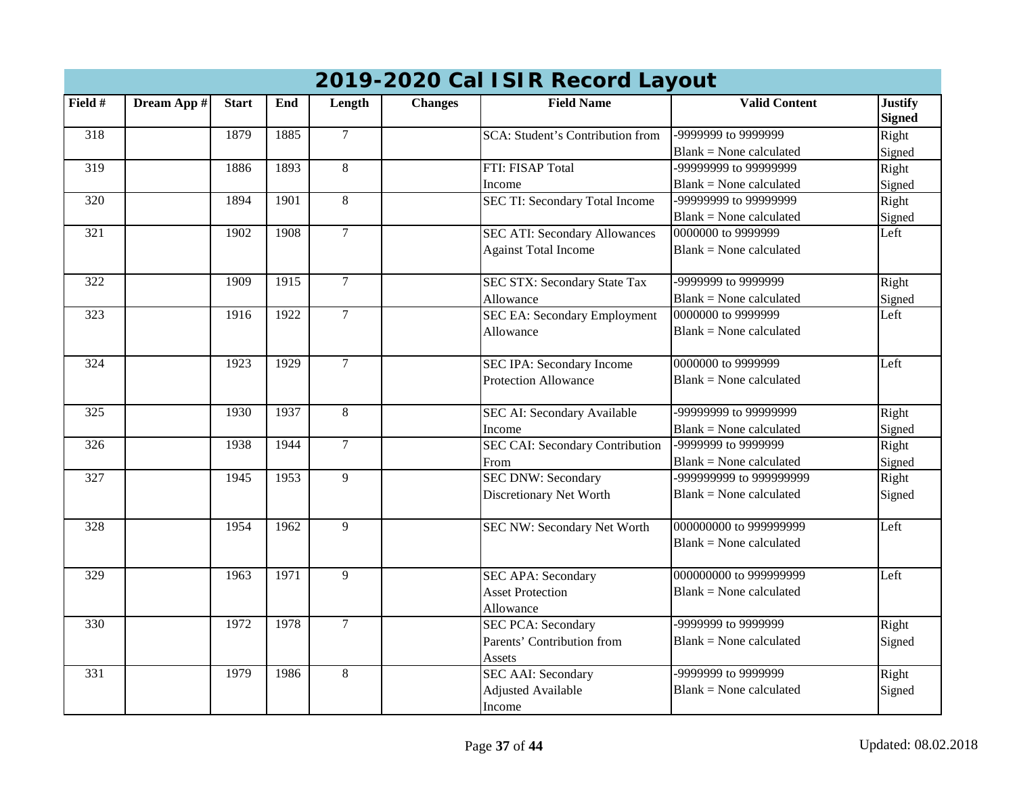|                 | 2019-2020 Cal ISIR Record Layout |              |      |                |                |                                         |                                |                                 |  |  |  |
|-----------------|----------------------------------|--------------|------|----------------|----------------|-----------------------------------------|--------------------------------|---------------------------------|--|--|--|
| Field #         | Dream App #                      | <b>Start</b> | End  | Length         | <b>Changes</b> | <b>Field Name</b>                       | <b>Valid Content</b>           | <b>Justify</b><br><b>Signed</b> |  |  |  |
| 318             |                                  | 1879         | 1885 | $\overline{7}$ |                | <b>SCA: Student's Contribution from</b> | -9999999 to 9999999            | Right                           |  |  |  |
|                 |                                  |              |      |                |                |                                         | $Blank = None calculated$      | Signed                          |  |  |  |
| 319             |                                  | 1886         | 1893 | 8              |                | FTI: FISAP Total                        | -99999999 to 99999999          | Right                           |  |  |  |
|                 |                                  |              |      |                |                | Income                                  | $Blank = None calculated$      | Signed                          |  |  |  |
| 320             |                                  | 1894         | 1901 | 8              |                | SEC TI: Secondary Total Income          | -99999999 to 99999999          | Right                           |  |  |  |
|                 |                                  |              |      |                |                |                                         | $Blank = None calculated$      | Signed                          |  |  |  |
| 321             |                                  | 1902         | 1908 | $\overline{7}$ |                | <b>SEC ATI: Secondary Allowances</b>    | 0000000 to 9999999             | Left                            |  |  |  |
|                 |                                  |              |      |                |                | <b>Against Total Income</b>             | <b>Blank = None calculated</b> |                                 |  |  |  |
| 322             |                                  | 1909         | 1915 | $\overline{7}$ |                | SEC STX: Secondary State Tax            | -9999999 to 9999999            | Right                           |  |  |  |
|                 |                                  |              |      |                |                | Allowance                               | $Blank = None calculated$      | Signed                          |  |  |  |
| 323             |                                  | 1916         | 1922 | $\overline{7}$ |                | <b>SEC EA: Secondary Employment</b>     | 0000000 to 9999999             | Left                            |  |  |  |
|                 |                                  |              |      |                |                | Allowance                               | $Blank = None calculated$      |                                 |  |  |  |
| $\frac{324}{ }$ |                                  | 1923         | 1929 | $\overline{7}$ |                | <b>SEC IPA: Secondary Income</b>        | 0000000 to 9999999             | Left                            |  |  |  |
|                 |                                  |              |      |                |                | <b>Protection Allowance</b>             | $Blank = None calculated$      |                                 |  |  |  |
| 325             |                                  | 1930         | 1937 | 8              |                | SEC AI: Secondary Available             | -99999999 to 99999999          | Right                           |  |  |  |
|                 |                                  |              |      |                |                | Income                                  | $Blank = None calculated$      | Signed                          |  |  |  |
| 326             |                                  | 1938         | 1944 | $\overline{7}$ |                | SEC CAI: Secondary Contribution         | -9999999 to 9999999            | Right                           |  |  |  |
|                 |                                  |              |      |                |                | From                                    | $Blank = None calculated$      | Signed                          |  |  |  |
| 327             |                                  | 1945         | 1953 | 9              |                | <b>SEC DNW: Secondary</b>               | -99999999 to 999999999         | Right                           |  |  |  |
|                 |                                  |              |      |                |                | Discretionary Net Worth                 | $Blank = None calculated$      | Signed                          |  |  |  |
| 328             |                                  | 1954         | 1962 | 9              |                | SEC NW: Secondary Net Worth             | 000000000 to 999999999         | Left                            |  |  |  |
|                 |                                  |              |      |                |                |                                         | $Blank = None calculated$      |                                 |  |  |  |
| 329             |                                  | 1963         | 1971 | $\overline{9}$ |                | <b>SEC APA: Secondary</b>               | 000000000 to 999999999         | Left                            |  |  |  |
|                 |                                  |              |      |                |                | <b>Asset Protection</b>                 | $Blank = None calculated$      |                                 |  |  |  |
|                 |                                  |              |      |                |                | Allowance                               |                                |                                 |  |  |  |
| 330             |                                  | 1972         | 1978 | $\tau$         |                | <b>SEC PCA: Secondary</b>               | -9999999 to 9999999            | Right                           |  |  |  |
|                 |                                  |              |      |                |                | Parents' Contribution from              | $Blank = None calculated$      | Signed                          |  |  |  |
|                 |                                  |              |      |                |                | Assets                                  |                                |                                 |  |  |  |
| 331             |                                  | 1979         | 1986 | 8              |                | <b>SEC AAI: Secondary</b>               | -9999999 to 9999999            | Right                           |  |  |  |
|                 |                                  |              |      |                |                | <b>Adjusted Available</b>               | $Blank = None calculated$      | Signed                          |  |  |  |
|                 |                                  |              |      |                |                | Income                                  |                                |                                 |  |  |  |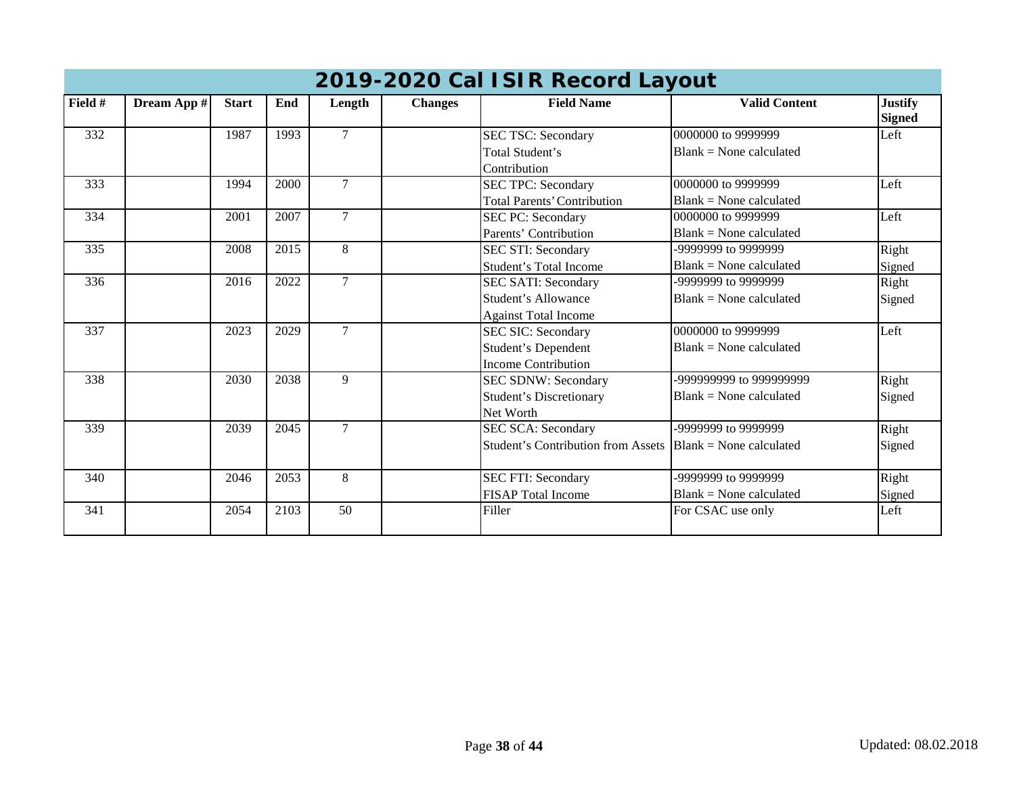|                  | 2019-2020 Cal ISIR Record Layout |              |      |                 |                |                                           |                           |                                 |  |  |  |  |
|------------------|----------------------------------|--------------|------|-----------------|----------------|-------------------------------------------|---------------------------|---------------------------------|--|--|--|--|
| Field #          | Dream App #                      | <b>Start</b> | End  | Length          | <b>Changes</b> | <b>Field Name</b>                         | <b>Valid Content</b>      | <b>Justify</b><br><b>Signed</b> |  |  |  |  |
| 332              |                                  | 1987         | 1993 | $\overline{7}$  |                | <b>SEC TSC: Secondary</b>                 | 0000000 to 9999999        | Left                            |  |  |  |  |
|                  |                                  |              |      |                 |                | Total Student's                           | $Blank = None$ calculated |                                 |  |  |  |  |
|                  |                                  |              |      |                 |                | Contribution                              |                           |                                 |  |  |  |  |
| 333              |                                  | 1994         | 2000 | $7\overline{ }$ |                | <b>SEC TPC: Secondary</b>                 | 0000000 to 9999999        | Left                            |  |  |  |  |
|                  |                                  |              |      |                 |                | <b>Total Parents' Contribution</b>        | $Blank = None$ calculated |                                 |  |  |  |  |
| 334              |                                  | 2001         | 2007 | $\overline{7}$  |                | SEC PC: Secondary                         | 0000000 to 9999999        | Left                            |  |  |  |  |
|                  |                                  |              |      |                 |                | Parents' Contribution                     | $Blank = None$ calculated |                                 |  |  |  |  |
| 335              |                                  | 2008         | 2015 | 8               |                | SEC STI: Secondary                        | -9999999 to 9999999       | Right                           |  |  |  |  |
|                  |                                  |              |      |                 |                | Student's Total Income                    | $Blank = None calculated$ | Signed                          |  |  |  |  |
| 336              |                                  | 2016         | 2022 | $\tau$          |                | <b>SEC SATI: Secondary</b>                | -9999999 to 9999999       | Right                           |  |  |  |  |
|                  |                                  |              |      |                 |                | Student's Allowance                       | $Blank = None$ calculated | Signed                          |  |  |  |  |
|                  |                                  |              |      |                 |                | <b>Against Total Income</b>               |                           |                                 |  |  |  |  |
| 337              |                                  | 2023         | 2029 | $\tau$          |                | <b>SEC SIC: Secondary</b>                 | 0000000 to 9999999        | Left                            |  |  |  |  |
|                  |                                  |              |      |                 |                | Student's Dependent                       | $Blank = None$ calculated |                                 |  |  |  |  |
|                  |                                  |              |      |                 |                | <b>Income Contribution</b>                |                           |                                 |  |  |  |  |
| 338              |                                  | 2030         | 2038 | 9               |                | SEC SDNW: Secondary                       | -999999999 to 999999999   | Right                           |  |  |  |  |
|                  |                                  |              |      |                 |                | <b>Student's Discretionary</b>            | $Blank = None$ calculated | Signed                          |  |  |  |  |
|                  |                                  |              |      |                 |                | Net Worth                                 |                           |                                 |  |  |  |  |
| 339              |                                  | 2039         | 2045 | $\tau$          |                | <b>SEC SCA: Secondary</b>                 | -9999999 to 9999999       | Right                           |  |  |  |  |
|                  |                                  |              |      |                 |                | <b>Student's Contribution from Assets</b> | $Blank = None calculated$ | Signed                          |  |  |  |  |
| 340              |                                  | 2046         | 2053 | 8               |                | <b>SEC FTI: Secondary</b>                 | -9999999 to 9999999       | Right                           |  |  |  |  |
|                  |                                  |              |      |                 |                | <b>FISAP</b> Total Income                 | $Blank = None$ calculated | Signed                          |  |  |  |  |
| $\overline{341}$ |                                  | 2054         | 2103 | $\overline{50}$ |                | Filler                                    | For CSAC use only         | Left                            |  |  |  |  |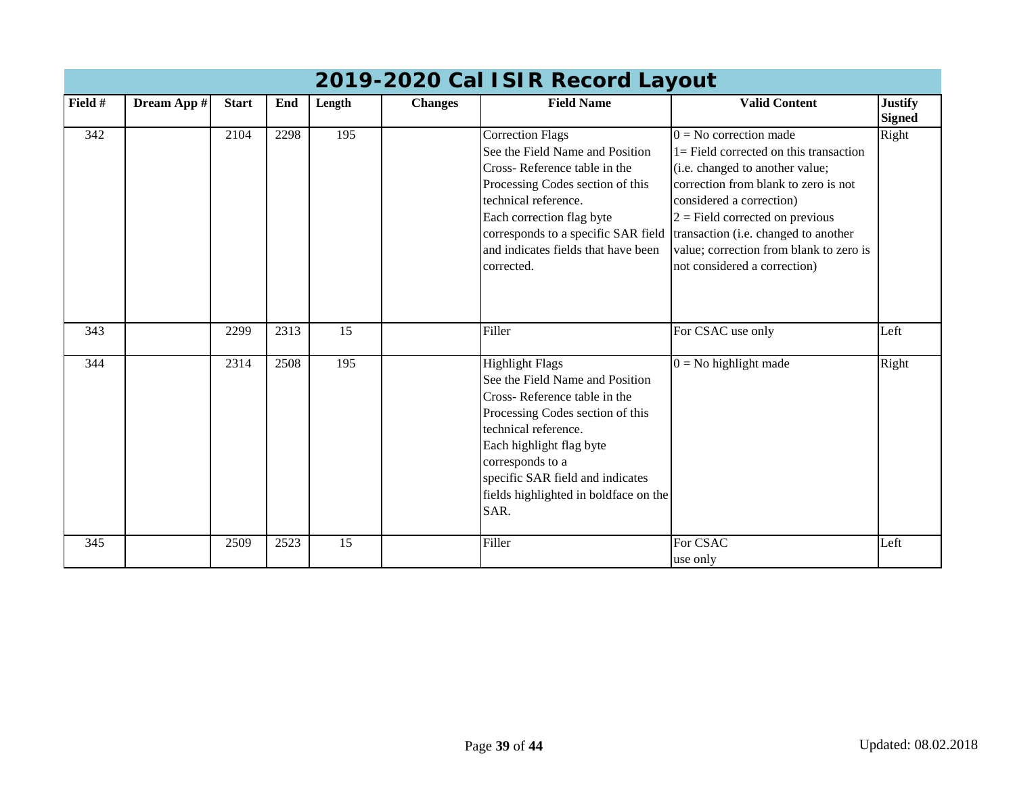|         |             |              |      |                 |                | 2019-2020 Cal ISIR Record Layout                                                                                                                                                                                                                                                           |                                                                                                                                                                                                                                                                                                                                      |                                 |
|---------|-------------|--------------|------|-----------------|----------------|--------------------------------------------------------------------------------------------------------------------------------------------------------------------------------------------------------------------------------------------------------------------------------------------|--------------------------------------------------------------------------------------------------------------------------------------------------------------------------------------------------------------------------------------------------------------------------------------------------------------------------------------|---------------------------------|
| Field # | Dream App # | <b>Start</b> | End  | Length          | <b>Changes</b> | <b>Field Name</b>                                                                                                                                                                                                                                                                          | <b>Valid Content</b>                                                                                                                                                                                                                                                                                                                 | <b>Justify</b><br><b>Signed</b> |
| 342     |             | 2104         | 2298 | 195             |                | Correction Flags<br>See the Field Name and Position<br>Cross-Reference table in the<br>Processing Codes section of this<br>technical reference.<br>Each correction flag byte<br>corresponds to a specific SAR field<br>and indicates fields that have been<br>corrected.                   | $0 = No$ correction made<br>$1 =$ Field corrected on this transaction<br>(i.e. changed to another value;<br>correction from blank to zero is not<br>considered a correction)<br>$2 =$ Field corrected on previous<br>transaction (i.e. changed to another<br>value; correction from blank to zero is<br>not considered a correction) | Right                           |
| 343     |             | 2299         | 2313 | $\overline{15}$ |                | Filler                                                                                                                                                                                                                                                                                     | For CSAC use only                                                                                                                                                                                                                                                                                                                    | Left                            |
| 344     |             | 2314         | 2508 | 195             |                | <b>Highlight Flags</b><br>See the Field Name and Position<br>Cross-Reference table in the<br>Processing Codes section of this<br>technical reference.<br>Each highlight flag byte<br>corresponds to a<br>specific SAR field and indicates<br>fields highlighted in boldface on the<br>SAR. | $0 = No$ highlight made                                                                                                                                                                                                                                                                                                              | Right                           |
| 345     |             | 2509         | 2523 | $\overline{15}$ |                | Filler                                                                                                                                                                                                                                                                                     | For CSAC<br>use only                                                                                                                                                                                                                                                                                                                 | Left                            |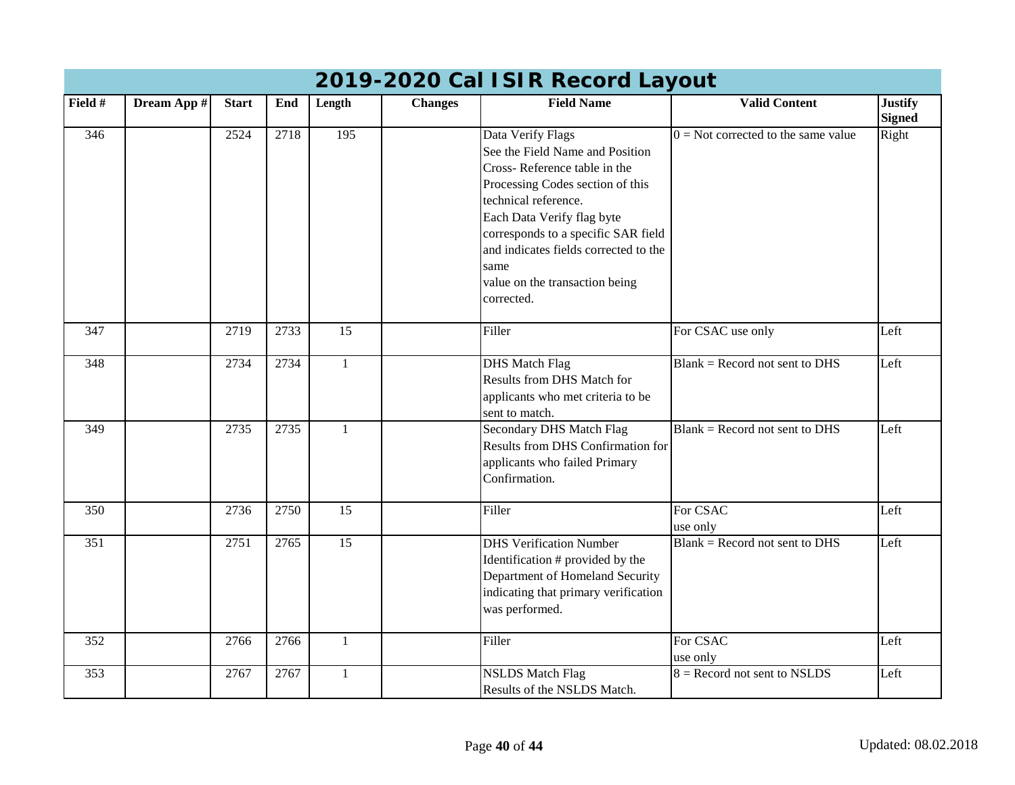|                  | 2019-2020 Cal ISIR Record Layout |              |      |                  |                |                                                                                                                                                                                                                                                                                                                        |                                       |                                 |  |  |  |  |
|------------------|----------------------------------|--------------|------|------------------|----------------|------------------------------------------------------------------------------------------------------------------------------------------------------------------------------------------------------------------------------------------------------------------------------------------------------------------------|---------------------------------------|---------------------------------|--|--|--|--|
| Field #          | Dream App #                      | <b>Start</b> | End  | Length           | <b>Changes</b> | <b>Field Name</b>                                                                                                                                                                                                                                                                                                      | <b>Valid Content</b>                  | <b>Justify</b><br><b>Signed</b> |  |  |  |  |
| 346              |                                  | 2524         | 2718 | $\overline{195}$ |                | Data Verify Flags<br>See the Field Name and Position<br>Cross-Reference table in the<br>Processing Codes section of this<br>technical reference.<br>Each Data Verify flag byte<br>corresponds to a specific SAR field<br>and indicates fields corrected to the<br>same<br>value on the transaction being<br>corrected. | $0 =$ Not corrected to the same value | Right                           |  |  |  |  |
| 347              |                                  | 2719         | 2733 | $\overline{15}$  |                | Filler                                                                                                                                                                                                                                                                                                                 | For CSAC use only                     | Left                            |  |  |  |  |
| $\overline{348}$ |                                  | 2734         | 2734 | $\mathbf{1}$     |                | <b>DHS Match Flag</b><br>Results from DHS Match for<br>applicants who met criteria to be<br>sent to match.                                                                                                                                                                                                             | $Blank = Record$ not sent to DHS      | Left                            |  |  |  |  |
| 349              |                                  | 2735         | 2735 | $\mathbf{1}$     |                | Secondary DHS Match Flag<br>Results from DHS Confirmation for<br>applicants who failed Primary<br>Confirmation.                                                                                                                                                                                                        | $Blank = Record$ not sent to DHS      | Left                            |  |  |  |  |
| 350              |                                  | 2736         | 2750 | 15               |                | Filler                                                                                                                                                                                                                                                                                                                 | For CSAC<br>use only                  | Left                            |  |  |  |  |
| 351              |                                  | 2751         | 2765 | 15               |                | <b>DHS Verification Number</b><br>Identification # provided by the<br>Department of Homeland Security<br>indicating that primary verification<br>was performed.                                                                                                                                                        | $Blank = Record$ not sent to DHS      | Left                            |  |  |  |  |
| 352              |                                  | 2766         | 2766 | $\mathbf{1}$     |                | Filler                                                                                                                                                                                                                                                                                                                 | For CSAC<br>use only                  | Left                            |  |  |  |  |
| 353              |                                  | 2767         | 2767 | $\mathbf{1}$     |                | <b>NSLDS</b> Match Flag<br>Results of the NSLDS Match.                                                                                                                                                                                                                                                                 | $8 =$ Record not sent to NSLDS        | Left                            |  |  |  |  |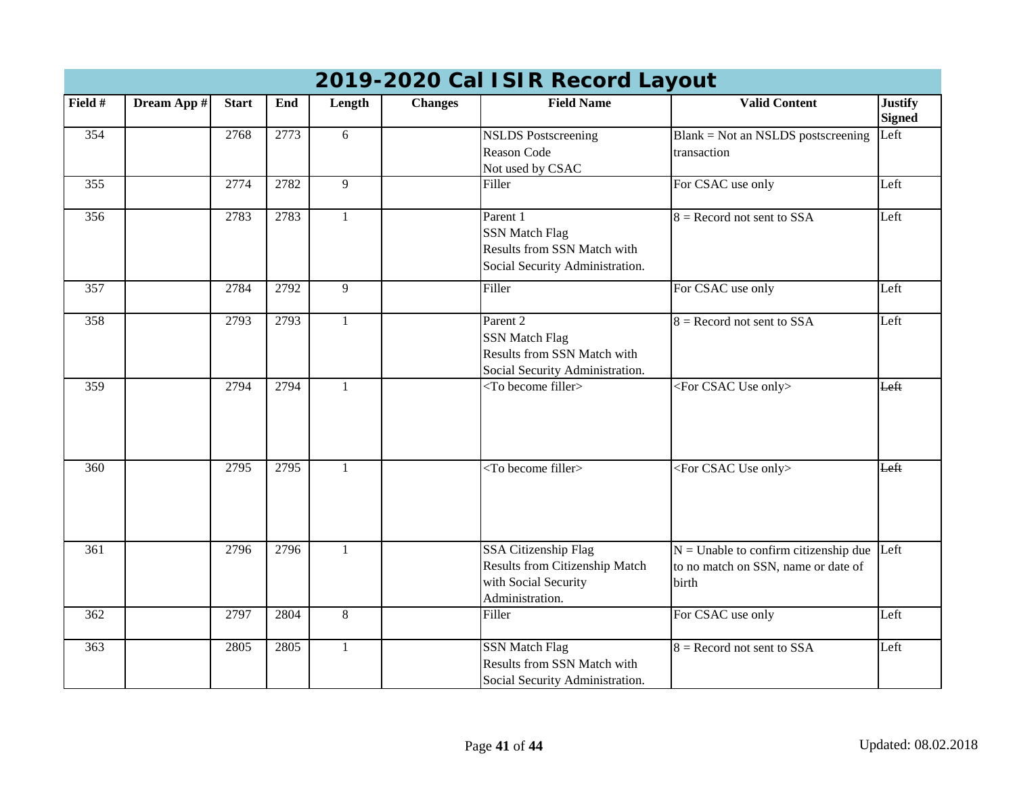|         |             |              |      |              |                | 2019-2020 Cal ISIR Record Layout                                                                    |                                                                                              |                                 |
|---------|-------------|--------------|------|--------------|----------------|-----------------------------------------------------------------------------------------------------|----------------------------------------------------------------------------------------------|---------------------------------|
| Field # | Dream App # | <b>Start</b> | End  | Length       | <b>Changes</b> | <b>Field Name</b>                                                                                   | <b>Valid Content</b>                                                                         | <b>Justify</b><br><b>Signed</b> |
| 354     |             | 2768         | 2773 | 6            |                | <b>NSLDS</b> Postscreening<br>Reason Code<br>Not used by CSAC                                       | $Blank = Not$ an NSLDS postscreening<br>transaction                                          | Left                            |
| 355     |             | 2774         | 2782 | 9            |                | Filler                                                                                              | For CSAC use only                                                                            | Left                            |
| 356     |             | 2783         | 2783 | $\mathbf{1}$ |                | Parent 1<br><b>SSN Match Flag</b><br>Results from SSN Match with<br>Social Security Administration. | $8 =$ Record not sent to SSA                                                                 | Left                            |
| 357     |             | 2784         | 2792 | 9            |                | Filler                                                                                              | For CSAC use only                                                                            | Left                            |
| 358     |             | 2793         | 2793 | $\mathbf{1}$ |                | Parent 2<br><b>SSN Match Flag</b><br>Results from SSN Match with<br>Social Security Administration. | $8 =$ Record not sent to SSA                                                                 | Left                            |
| 359     |             | 2794         | 2794 | $\mathbf{1}$ |                | <to become="" filler=""></to>                                                                       | <for csac="" only="" use=""></for>                                                           | Left                            |
| 360     |             | 2795         | 2795 | $\mathbf{1}$ |                | $\overline{\text{1}}$ obecome filler                                                                | <for csac="" only="" use=""></for>                                                           | Left                            |
| 361     |             | 2796         | 2796 | $\mathbf{1}$ |                | SSA Citizenship Flag<br>Results from Citizenship Match<br>with Social Security<br>Administration.   | $N =$ Unable to confirm citizenship due Left<br>to no match on SSN, name or date of<br>birth |                                 |
| 362     |             | 2797         | 2804 | 8            |                | Filler                                                                                              | For CSAC use only                                                                            | Left                            |
| 363     |             | 2805         | 2805 | $\mathbf{1}$ |                | <b>SSN Match Flag</b><br>Results from SSN Match with<br>Social Security Administration.             | $8 =$ Record not sent to SSA                                                                 | Left                            |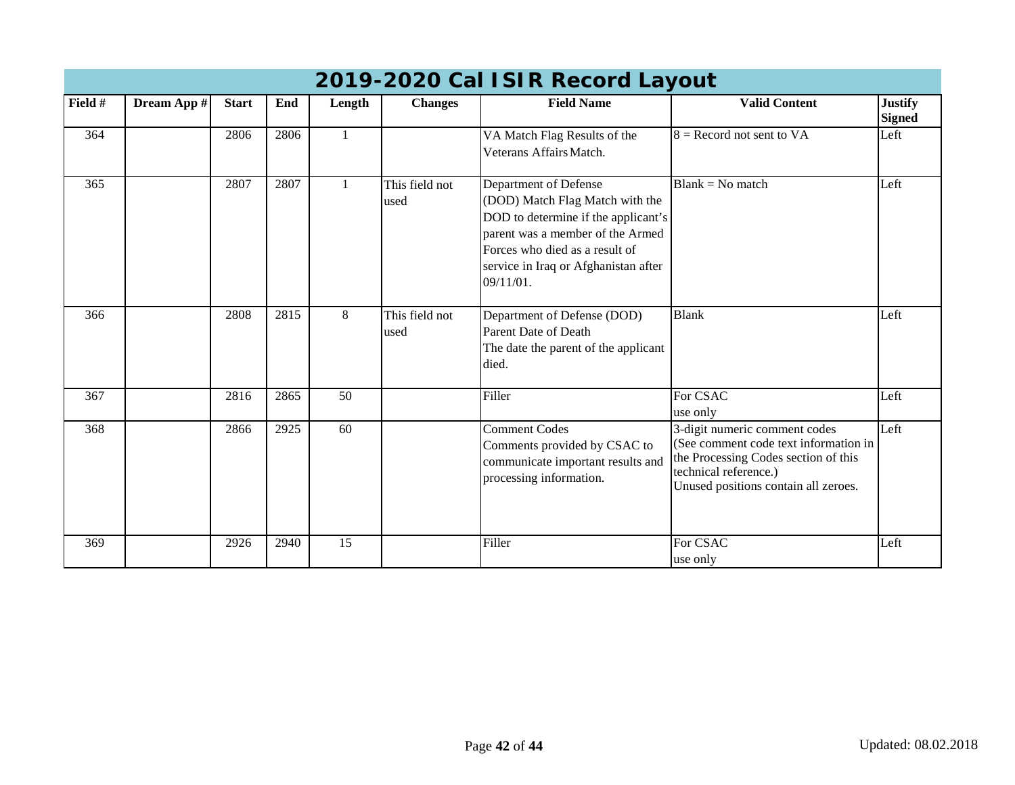|         | 2019-2020 Cal ISIR Record Layout |              |      |                 |                        |                                                                                                                                                                                                                            |                                                                                                                                                                                 |                                 |  |  |  |  |  |
|---------|----------------------------------|--------------|------|-----------------|------------------------|----------------------------------------------------------------------------------------------------------------------------------------------------------------------------------------------------------------------------|---------------------------------------------------------------------------------------------------------------------------------------------------------------------------------|---------------------------------|--|--|--|--|--|
| Field # | Dream App #                      | <b>Start</b> | End  | Length          | <b>Changes</b>         | <b>Field Name</b>                                                                                                                                                                                                          | <b>Valid Content</b>                                                                                                                                                            | <b>Justify</b><br><b>Signed</b> |  |  |  |  |  |
| 364     |                                  | 2806         | 2806 |                 |                        | VA Match Flag Results of the<br>Veterans Affairs Match.                                                                                                                                                                    | $8 =$ Record not sent to VA                                                                                                                                                     | Left                            |  |  |  |  |  |
| 365     |                                  | 2807         | 2807 |                 | This field not<br>used | Department of Defense<br>(DOD) Match Flag Match with the<br>DOD to determine if the applicant's<br>parent was a member of the Armed<br>Forces who died as a result of<br>service in Iraq or Afghanistan after<br>09/11/01. | $Blank = No$ match                                                                                                                                                              | Left                            |  |  |  |  |  |
| 366     |                                  | 2808         | 2815 | 8               | This field not<br>used | Department of Defense (DOD)<br><b>Parent Date of Death</b><br>The date the parent of the applicant<br>died.                                                                                                                | <b>Blank</b>                                                                                                                                                                    | Left                            |  |  |  |  |  |
| 367     |                                  | 2816         | 2865 | 50              |                        | Filler                                                                                                                                                                                                                     | For CSAC<br>use only                                                                                                                                                            | Left                            |  |  |  |  |  |
| 368     |                                  | 2866         | 2925 | 60              |                        | <b>Comment Codes</b><br>Comments provided by CSAC to<br>communicate important results and<br>processing information.                                                                                                       | 3-digit numeric comment codes<br>(See comment code text information in<br>the Processing Codes section of this<br>technical reference.)<br>Unused positions contain all zeroes. | Left                            |  |  |  |  |  |
| 369     |                                  | 2926         | 2940 | $\overline{15}$ |                        | Filler                                                                                                                                                                                                                     | For CSAC<br>use only                                                                                                                                                            | Left                            |  |  |  |  |  |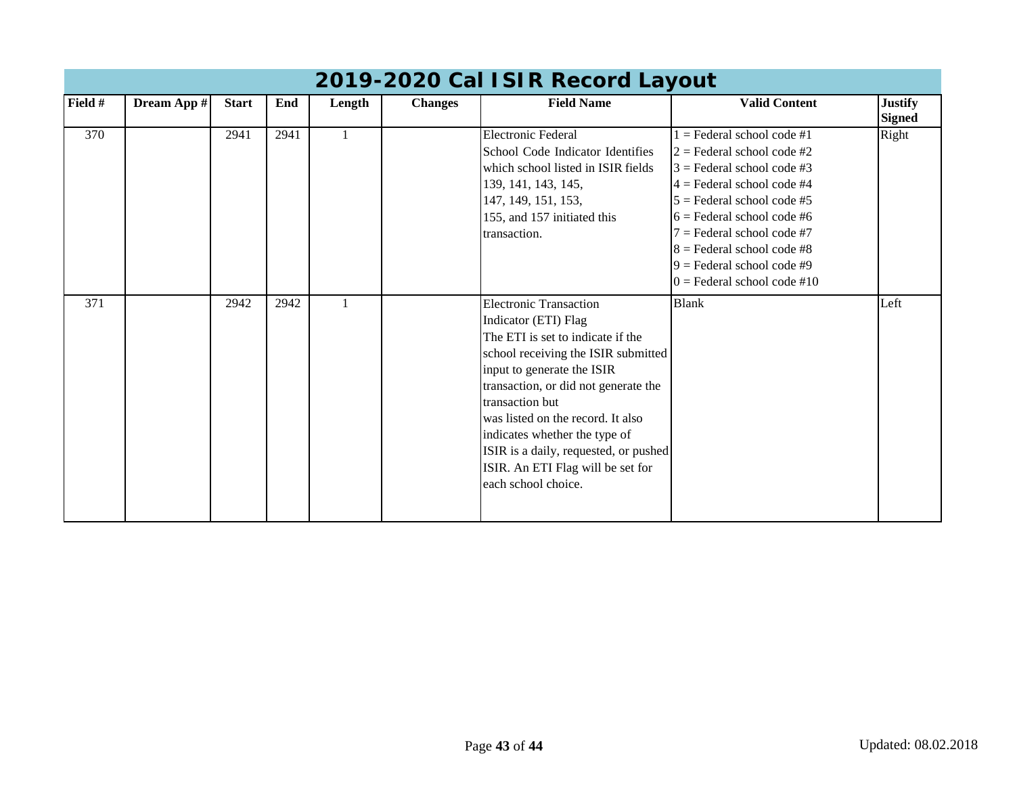|         | 2019-2020 Cal ISIR Record Layout |              |      |        |                |                                                                                                                                                                                                                                                                                                                                                                                                       |                                                                                                                                                                                                                                                                                                                               |                                 |  |  |  |  |
|---------|----------------------------------|--------------|------|--------|----------------|-------------------------------------------------------------------------------------------------------------------------------------------------------------------------------------------------------------------------------------------------------------------------------------------------------------------------------------------------------------------------------------------------------|-------------------------------------------------------------------------------------------------------------------------------------------------------------------------------------------------------------------------------------------------------------------------------------------------------------------------------|---------------------------------|--|--|--|--|
| Field # | Dream App #                      | <b>Start</b> | End  | Length | <b>Changes</b> | <b>Field Name</b>                                                                                                                                                                                                                                                                                                                                                                                     | <b>Valid Content</b>                                                                                                                                                                                                                                                                                                          | <b>Justify</b><br><b>Signed</b> |  |  |  |  |
| 370     |                                  | 2941         | 2941 |        |                | <b>Electronic Federal</b><br>School Code Indicator Identifies<br>which school listed in ISIR fields<br>139, 141, 143, 145,<br>147, 149, 151, 153,<br>155, and 157 initiated this<br>transaction.                                                                                                                                                                                                      | $1 =$ Federal school code #1<br>$2$ = Federal school code #2<br>$3 =$ Federal school code #3<br>$4 =$ Federal school code #4<br>$5 =$ Federal school code #5<br>$6$ = Federal school code #6<br>$7 =$ Federal school code #7<br>$8 =$ Federal school code #8<br>$9$ = Federal school code #9<br>$0 =$ Federal school code #10 | Right                           |  |  |  |  |
| 371     |                                  | 2942         | 2942 |        |                | <b>Electronic Transaction</b><br>Indicator (ETI) Flag<br>The ETI is set to indicate if the<br>school receiving the ISIR submitted<br>input to generate the ISIR<br>transaction, or did not generate the<br>transaction but<br>was listed on the record. It also<br>indicates whether the type of<br>ISIR is a daily, requested, or pushed<br>ISIR. An ETI Flag will be set for<br>each school choice. | <b>Blank</b>                                                                                                                                                                                                                                                                                                                  | Left                            |  |  |  |  |